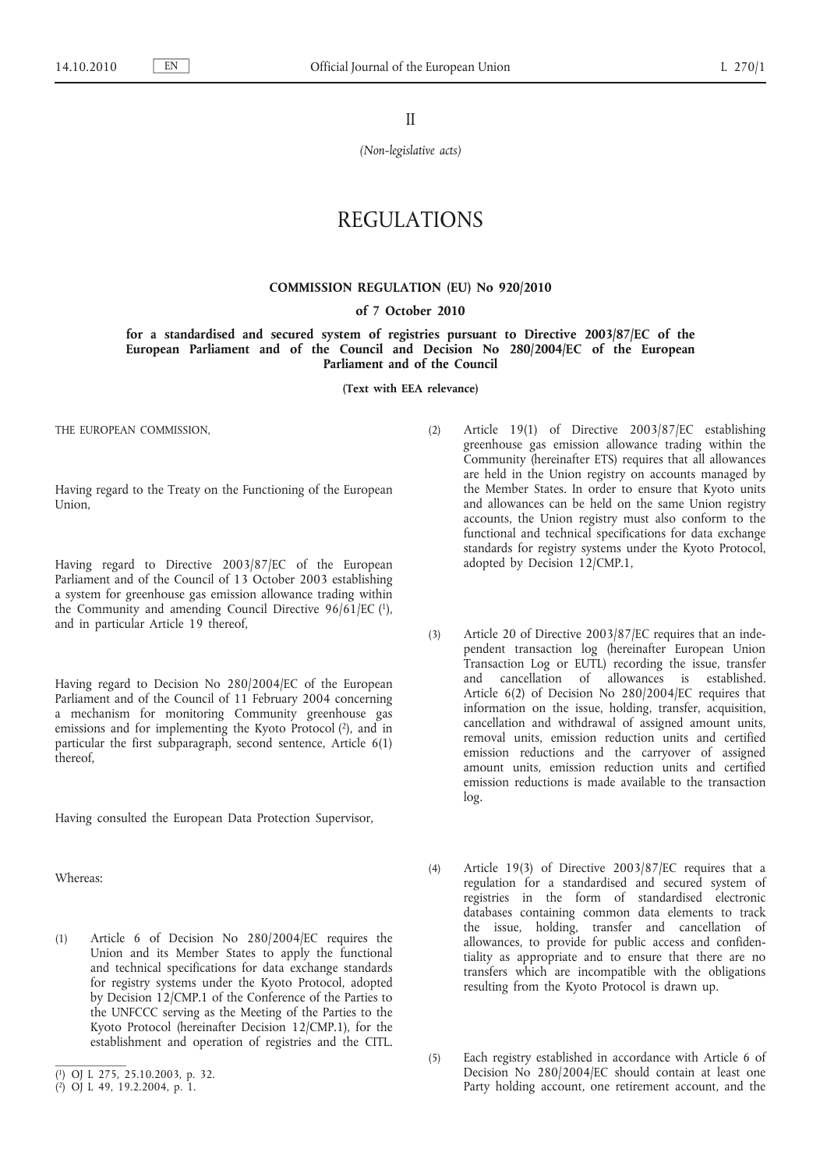II

*(Non-legislative acts)*

# REGULATIONS

### **COMMISSION REGULATION (EU) No 920/2010**

#### **of 7 October 2010**

**for a standardised and secured system of registries pursuant to Directive 2003/87/EC of the European Parliament and of the Council and Decision No 280/2004/EC of the European Parliament and of the Council**

**(Text with EEA relevance)**

THE EUROPEAN COMMISSION,

Having regard to the Treaty on the Functioning of the European Union,

Having regard to Directive 2003/87/EC of the European Parliament and of the Council of 13 October 2003 establishing a system for greenhouse gas emission allowance trading within the Community and amending Council Directive  $96/61/EC$  (1), and in particular Article 19 thereof,

Having regard to Decision No 280/2004/EC of the European Parliament and of the Council of 11 February 2004 concerning a mechanism for monitoring Community greenhouse gas emissions and for implementing the Kyoto Protocol  $(2)$ , and in particular the first subparagraph, second sentence, Article 6(1) thereof,

Having consulted the European Data Protection Supervisor,

Whereas:

(1) Article 6 of Decision No 280/2004/EC requires the Union and its Member States to apply the functional and technical specifications for data exchange standards for registry systems under the Kyoto Protocol, adopted by Decision 12/CMP.1 of the Conference of the Parties to the UNFCCC serving as the Meeting of the Parties to the Kyoto Protocol (hereinafter Decision 12/CMP.1), for the establishment and operation of registries and the CITL.

- (2) Article 19(1) of Directive 2003/87/EC establishing greenhouse gas emission allowance trading within the Community (hereinafter ETS) requires that all allowances are held in the Union registry on accounts managed by the Member States. In order to ensure that Kyoto units and allowances can be held on the same Union registry accounts, the Union registry must also conform to the functional and technical specifications for data exchange standards for registry systems under the Kyoto Protocol, adopted by Decision 12/CMP.1,
- (3) Article 20 of Directive 2003/87/EC requires that an independent transaction log (hereinafter European Union Transaction Log or EUTL) recording the issue, transfer and cancellation of allowances is established. Article 6(2) of Decision No 280/2004/EC requires that information on the issue, holding, transfer, acquisition, cancellation and withdrawal of assigned amount units, removal units, emission reduction units and certified emission reductions and the carryover of assigned amount units, emission reduction units and certified emission reductions is made available to the transaction log.
- (4) Article 19(3) of Directive 2003/87/EC requires that a regulation for a standardised and secured system of registries in the form of standardised electronic databases containing common data elements to track the issue, holding, transfer and cancellation of allowances, to provide for public access and confidentiality as appropriate and to ensure that there are no transfers which are incompatible with the obligations resulting from the Kyoto Protocol is drawn up.
- (5) Each registry established in accordance with Article 6 of Decision No 280/2004/EC should contain at least one Party holding account, one retirement account, and the

<sup>(</sup> 1) OJ L 275, 25.10.2003, p. 32.

<sup>(</sup> 2) OJ L 49, 19.2.2004, p. 1.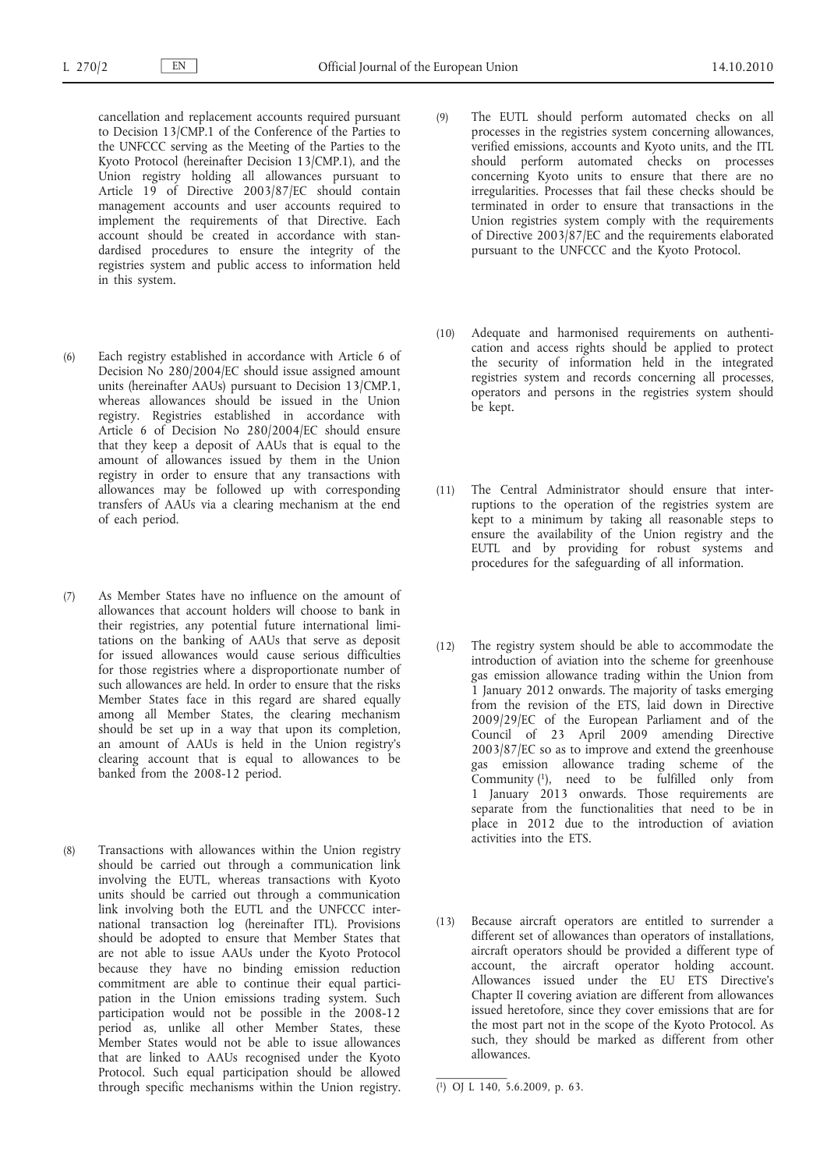cancellation and replacement accounts required pursuant to Decision 13/CMP.1 of the Conference of the Parties to the UNFCCC serving as the Meeting of the Parties to the Kyoto Protocol (hereinafter Decision 13/CMP.1), and the Union registry holding all allowances pursuant to Article 19 of Directive 2003/87/EC should contain management accounts and user accounts required to implement the requirements of that Directive. Each account should be created in accordance with standardised procedures to ensure the integrity of the registries system and public access to information held in this system.

- (6) Each registry established in accordance with Article 6 of Decision No 280/2004/EC should issue assigned amount units (hereinafter AAUs) pursuant to Decision 13/CMP.1, whereas allowances should be issued in the Union registry. Registries established in accordance with Article 6 of Decision No 280/2004/EC should ensure that they keep a deposit of AAUs that is equal to the amount of allowances issued by them in the Union registry in order to ensure that any transactions with allowances may be followed up with corresponding transfers of AAUs via a clearing mechanism at the end of each period.
- (7) As Member States have no influence on the amount of allowances that account holders will choose to bank in their registries, any potential future international limitations on the banking of AAUs that serve as deposit for issued allowances would cause serious difficulties for those registries where a disproportionate number of such allowances are held. In order to ensure that the risks Member States face in this regard are shared equally among all Member States, the clearing mechanism should be set up in a way that upon its completion, an amount of AAUs is held in the Union registry's clearing account that is equal to allowances to be banked from the 2008-12 period.
- (8) Transactions with allowances within the Union registry should be carried out through a communication link involving the EUTL, whereas transactions with Kyoto units should be carried out through a communication link involving both the EUTL and the UNFCCC international transaction log (hereinafter ITL). Provisions should be adopted to ensure that Member States that are not able to issue AAUs under the Kyoto Protocol because they have no binding emission reduction commitment are able to continue their equal participation in the Union emissions trading system. Such participation would not be possible in the 2008-12 period as, unlike all other Member States, these Member States would not be able to issue allowances that are linked to AAUs recognised under the Kyoto Protocol. Such equal participation should be allowed through specific mechanisms within the Union registry.
- (9) The EUTL should perform automated checks on all processes in the registries system concerning allowances, verified emissions, accounts and Kyoto units, and the ITL should perform automated checks on processes concerning Kyoto units to ensure that there are no irregularities. Processes that fail these checks should be terminated in order to ensure that transactions in the Union registries system comply with the requirements of Directive 2003/87/EC and the requirements elaborated pursuant to the UNFCCC and the Kyoto Protocol.
- (10) Adequate and harmonised requirements on authentication and access rights should be applied to protect the security of information held in the integrated registries system and records concerning all processes, operators and persons in the registries system should be kept.
- (11) The Central Administrator should ensure that interruptions to the operation of the registries system are kept to a minimum by taking all reasonable steps to ensure the availability of the Union registry and the EUTL and by providing for robust systems and procedures for the safeguarding of all information.
- (12) The registry system should be able to accommodate the introduction of aviation into the scheme for greenhouse gas emission allowance trading within the Union from 1 January 2012 onwards. The majority of tasks emerging from the revision of the ETS, laid down in Directive 2009/29/EC of the European Parliament and of the Council of 23 April 2009 amending Directive 2003/87/EC so as to improve and extend the greenhouse gas emission allowance trading scheme of the Community  $(1)$ , need to be fulfilled only from 1 January 2013 onwards. Those requirements are separate from the functionalities that need to be in place in 2012 due to the introduction of aviation activities into the ETS.
- (13) Because aircraft operators are entitled to surrender a different set of allowances than operators of installations, aircraft operators should be provided a different type of account, the aircraft operator holding account. Allowances issued under the EU ETS Directive's Chapter II covering aviation are different from allowances issued heretofore, since they cover emissions that are for the most part not in the scope of the Kyoto Protocol. As such, they should be marked as different from other allowances.

<sup>(</sup> 1) OJ L 140, 5.6.2009, p. 63.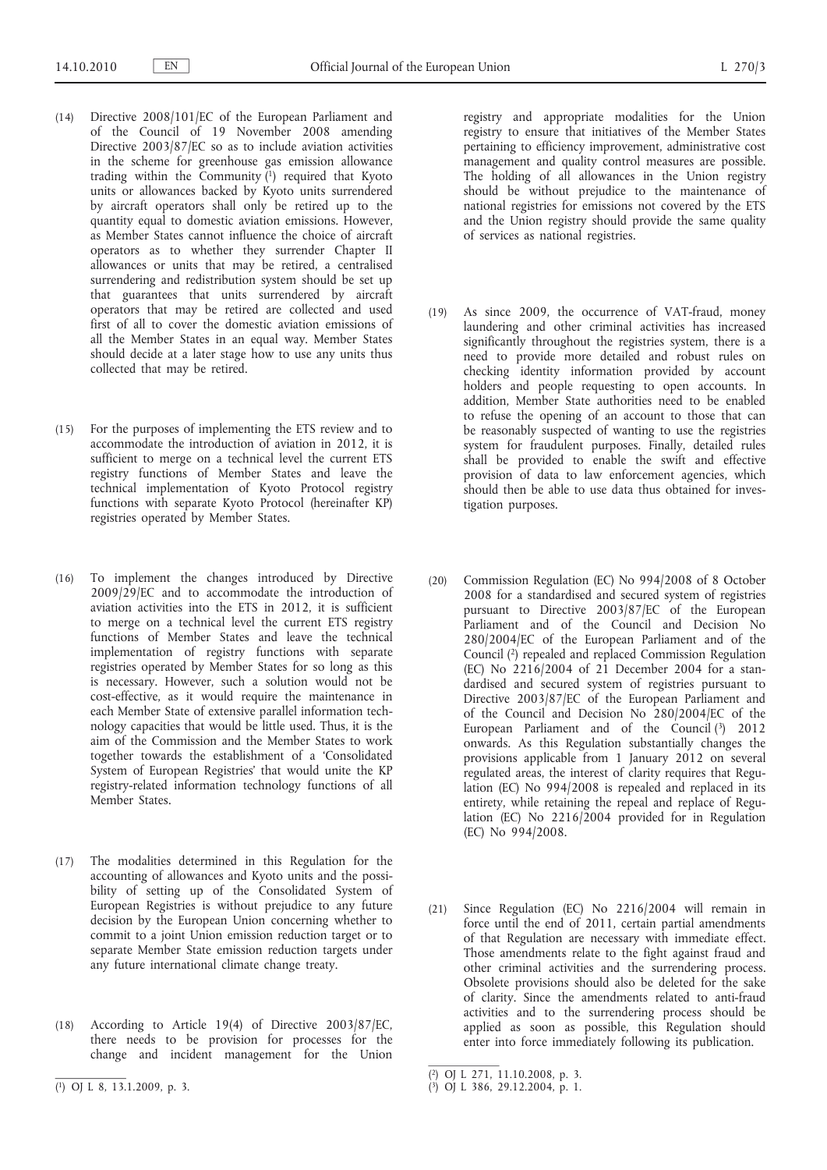- (14) Directive 2008/101/EC of the European Parliament and of the Council of 19 November 2008 amending Directive 2003/87/EC so as to include aviation activities in the scheme for greenhouse gas emission allowance trading within the Community  $(1)$  required that Kyoto units or allowances backed by Kyoto units surrendered by aircraft operators shall only be retired up to the quantity equal to domestic aviation emissions. However, as Member States cannot influence the choice of aircraft operators as to whether they surrender Chapter II allowances or units that may be retired, a centralised surrendering and redistribution system should be set up that guarantees that units surrendered by aircraft operators that may be retired are collected and used first of all to cover the domestic aviation emissions of all the Member States in an equal way. Member States should decide at a later stage how to use any units thus collected that may be retired.
- (15) For the purposes of implementing the ETS review and to accommodate the introduction of aviation in 2012, it is sufficient to merge on a technical level the current ETS registry functions of Member States and leave the technical implementation of Kyoto Protocol registry functions with separate Kyoto Protocol (hereinafter KP) registries operated by Member States.
- (16) To implement the changes introduced by Directive 2009/29/EC and to accommodate the introduction of aviation activities into the ETS in 2012, it is sufficient to merge on a technical level the current ETS registry functions of Member States and leave the technical implementation of registry functions with separate registries operated by Member States for so long as this is necessary. However, such a solution would not be cost-effective, as it would require the maintenance in each Member State of extensive parallel information technology capacities that would be little used. Thus, it is the aim of the Commission and the Member States to work together towards the establishment of a 'Consolidated System of European Registries' that would unite the KP registry-related information technology functions of all Member States.
- (17) The modalities determined in this Regulation for the accounting of allowances and Kyoto units and the possibility of setting up of the Consolidated System of European Registries is without prejudice to any future decision by the European Union concerning whether to commit to a joint Union emission reduction target or to separate Member State emission reduction targets under any future international climate change treaty.
- (18) According to Article 19(4) of Directive 2003/87/EC, there needs to be provision for processes for the change and incident management for the Union

registry and appropriate modalities for the Union registry to ensure that initiatives of the Member States pertaining to efficiency improvement, administrative cost management and quality control measures are possible. The holding of all allowances in the Union registry should be without prejudice to the maintenance of national registries for emissions not covered by the ETS and the Union registry should provide the same quality of services as national registries.

- (19) As since 2009, the occurrence of VAT-fraud, money laundering and other criminal activities has increased significantly throughout the registries system, there is a need to provide more detailed and robust rules on checking identity information provided by account holders and people requesting to open accounts. In addition, Member State authorities need to be enabled to refuse the opening of an account to those that can be reasonably suspected of wanting to use the registries system for fraudulent purposes. Finally, detailed rules shall be provided to enable the swift and effective provision of data to law enforcement agencies, which should then be able to use data thus obtained for investigation purposes.
- (20) Commission Regulation (EC) No 994/2008 of 8 October 2008 for a standardised and secured system of registries pursuant to Directive 2003/87/EC of the European Parliament and of the Council and Decision No 280/2004/EC of the European Parliament and of the Council (2) repealed and replaced Commission Regulation (EC) No 2216/2004 of 21 December 2004 for a standardised and secured system of registries pursuant to Directive 2003/87/EC of the European Parliament and of the Council and Decision No 280/2004/EC of the European Parliament and of the Council (3) 2012 onwards. As this Regulation substantially changes the provisions applicable from 1 January 2012 on several regulated areas, the interest of clarity requires that Regulation (EC) No 994/2008 is repealed and replaced in its entirety, while retaining the repeal and replace of Regulation (EC) No 2216/2004 provided for in Regulation (EC) No 994/2008.
- (21) Since Regulation (EC) No 2216/2004 will remain in force until the end of 2011, certain partial amendments of that Regulation are necessary with immediate effect. Those amendments relate to the fight against fraud and other criminal activities and the surrendering process. Obsolete provisions should also be deleted for the sake of clarity. Since the amendments related to anti-fraud activities and to the surrendering process should be applied as soon as possible, this Regulation should enter into force immediately following its publication.

( 1) OJ L 8, 13.1.2009, p. 3.

<sup>(</sup> 2) OJ L 271, 11.10.2008, p. 3.

<sup>(</sup> 3) OJ L 386, 29.12.2004, p. 1.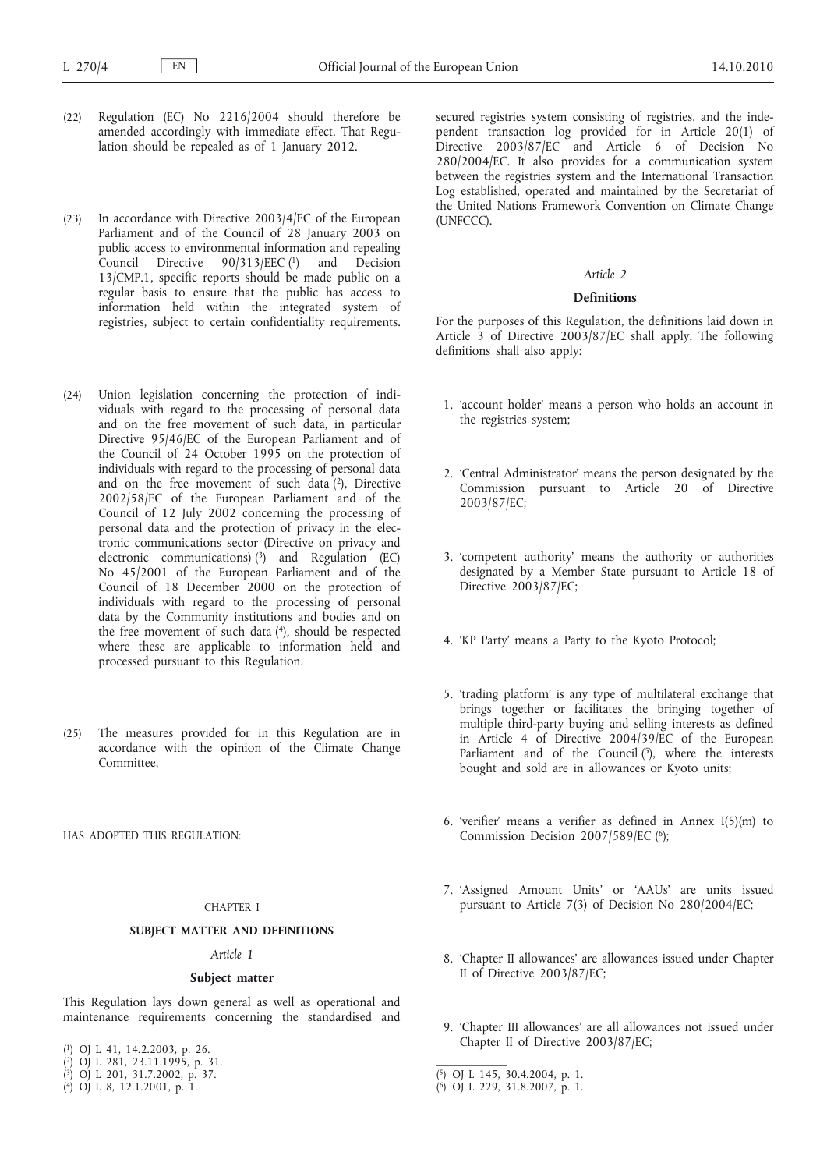- (22) Regulation (EC) No 2216/2004 should therefore be amended accordingly with immediate effect. That Regulation should be repealed as of 1 January 2012.
- (23) In accordance with Directive 2003/4/EC of the European Parliament and of the Council of 28 January 2003 on public access to environmental information and repealing Council Directive 90/313/EEC (1) and Decision 13/CMP.1, specific reports should be made public on a regular basis to ensure that the public has access to information held within the integrated system of registries, subject to certain confidentiality requirements.
- (24) Union legislation concerning the protection of individuals with regard to the processing of personal data and on the free movement of such data, in particular Directive 95/46/EC of the European Parliament and of the Council of 24 October 1995 on the protection of individuals with regard to the processing of personal data and on the free movement of such data  $(2)$ , Directive 2002/58/EC of the European Parliament and of the Council of 12 July 2002 concerning the processing of personal data and the protection of privacy in the electronic communications sector (Directive on privacy and electronic communications)  $(3)$  and Regulation (EC) No 45/2001 of the European Parliament and of the Council of 18 December 2000 on the protection of individuals with regard to the processing of personal data by the Community institutions and bodies and on the free movement of such data (4), should be respected where these are applicable to information held and processed pursuant to this Regulation.
- (25) The measures provided for in this Regulation are in accordance with the opinion of the Climate Change Committee,

HAS ADOPTED THIS REGULATION:

#### CHAPTER I

#### **SUBJECT MATTER AND DEFINITIONS**

#### *Article 1*

#### **Subject matter**

This Regulation lays down general as well as operational and maintenance requirements concerning the standardised and

( 4) OJ L 8, 12.1.2001, p. 1.

secured registries system consisting of registries, and the independent transaction log provided for in Article 20(1) of Directive 2003/87/EC and Article 6 of Decision No 280/2004/EC. It also provides for a communication system between the registries system and the International Transaction Log established, operated and maintained by the Secretariat of the United Nations Framework Convention on Climate Change (UNFCCC).

#### *Article 2*

### **Definitions**

For the purposes of this Regulation, the definitions laid down in Article 3 of Directive 2003/87/EC shall apply. The following definitions shall also apply:

- 1. 'account holder' means a person who holds an account in the registries system;
- 2. 'Central Administrator' means the person designated by the Commission pursuant to Article 20 of Directive 2003/87/EC;
- 3. 'competent authority' means the authority or authorities designated by a Member State pursuant to Article 18 of Directive 2003/87/EC;
- 4. 'KP Party' means a Party to the Kyoto Protocol;
- 5. 'trading platform' is any type of multilateral exchange that brings together or facilitates the bringing together of multiple third-party buying and selling interests as defined in Article 4 of Directive 2004/39/EC of the European Parliament and of the Council  $(5)$ , where the interests bought and sold are in allowances or Kyoto units;
- 6. 'verifier' means a verifier as defined in Annex I(5)(m) to Commission Decision 2007/589/EC (6);
- 7. 'Assigned Amount Units' or 'AAUs' are units issued pursuant to Article 7(3) of Decision No 280/2004/EC;
- 8. 'Chapter II allowances' are allowances issued under Chapter II of Directive 2003/87/EC;
- 9. 'Chapter III allowances' are all allowances not issued under Chapter II of Directive 2003/87/EC;

<sup>(</sup> 1) OJ L 41, 14.2.2003, p. 26.

<sup>(</sup> 2) OJ L 281, 23.11.1995, p. 31.

<sup>(</sup> 3) OJ L 201, 31.7.2002, p. 37.

<sup>(</sup> 5) OJ L 145, 30.4.2004, p. 1.

<sup>(</sup> 6) OJ L 229, 31.8.2007, p. 1.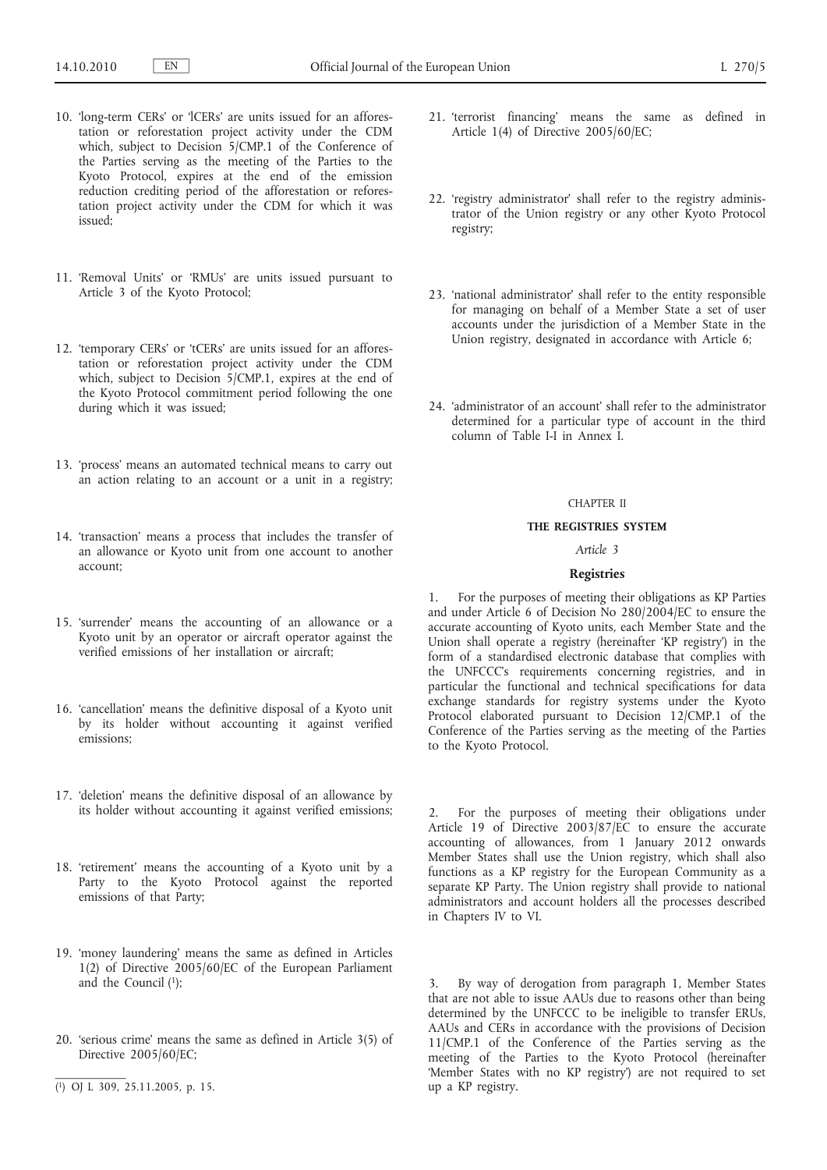- 10. 'long-term CERs' or 'lCERs' are units issued for an afforestation or reforestation project activity under the CDM which, subject to Decision 5/CMP.1 of the Conference of the Parties serving as the meeting of the Parties to the Kyoto Protocol, expires at the end of the emission reduction crediting period of the afforestation or reforestation project activity under the CDM for which it was issued;
- 11. 'Removal Units' or 'RMUs' are units issued pursuant to Article 3 of the Kyoto Protocol;
- 12. 'temporary CERs' or 'tCERs' are units issued for an afforestation or reforestation project activity under the CDM which, subject to Decision 5/CMP.1, expires at the end of the Kyoto Protocol commitment period following the one during which it was issued;
- 13. 'process' means an automated technical means to carry out an action relating to an account or a unit in a registry;
- 14. 'transaction' means a process that includes the transfer of an allowance or Kyoto unit from one account to another account;
- 15. 'surrender' means the accounting of an allowance or a Kyoto unit by an operator or aircraft operator against the verified emissions of her installation or aircraft;
- 16. 'cancellation' means the definitive disposal of a Kyoto unit by its holder without accounting it against verified emissions;
- 17. 'deletion' means the definitive disposal of an allowance by its holder without accounting it against verified emissions;
- 18. 'retirement' means the accounting of a Kyoto unit by a Party to the Kyoto Protocol against the reported emissions of that Party;
- 19. 'money laundering' means the same as defined in Articles 1(2) of Directive 2005/60/EC of the European Parliament and the Council (1);
- 20. 'serious crime' means the same as defined in Article 3(5) of Directive 2005/60/EC;
- 21. 'terrorist financing' means the same as defined in Article 1(4) of Directive 2005/60/EC;
- 22. 'registry administrator' shall refer to the registry administrator of the Union registry or any other Kyoto Protocol registry;
- 23. 'national administrator' shall refer to the entity responsible for managing on behalf of a Member State a set of user accounts under the jurisdiction of a Member State in the Union registry, designated in accordance with Article 6;
- 24. 'administrator of an account' shall refer to the administrator determined for a particular type of account in the third column of Table I-I in Annex I.

### CHAPTER II

#### **THE REGISTRIES SYSTEM**

# *Article 3*

### **Registries**

1. For the purposes of meeting their obligations as KP Parties and under Article 6 of Decision No 280/2004/EC to ensure the accurate accounting of Kyoto units, each Member State and the Union shall operate a registry (hereinafter 'KP registry') in the form of a standardised electronic database that complies with the UNFCCC's requirements concerning registries, and in particular the functional and technical specifications for data exchange standards for registry systems under the Kyoto Protocol elaborated pursuant to Decision 12/CMP.1 of the Conference of the Parties serving as the meeting of the Parties to the Kyoto Protocol.

2. For the purposes of meeting their obligations under Article 19 of Directive 2003/87/EC to ensure the accurate accounting of allowances, from 1 January 2012 onwards Member States shall use the Union registry, which shall also functions as a KP registry for the European Community as a separate KP Party. The Union registry shall provide to national administrators and account holders all the processes described in Chapters IV to VI.

3. By way of derogation from paragraph 1, Member States that are not able to issue AAUs due to reasons other than being determined by the UNFCCC to be ineligible to transfer ERUs, AAUs and CERs in accordance with the provisions of Decision 11/CMP.1 of the Conference of the Parties serving as the meeting of the Parties to the Kyoto Protocol (hereinafter 'Member States with no KP registry') are not required to set up a KP registry.

<sup>(</sup> 1) OJ L 309, 25.11.2005, p. 15.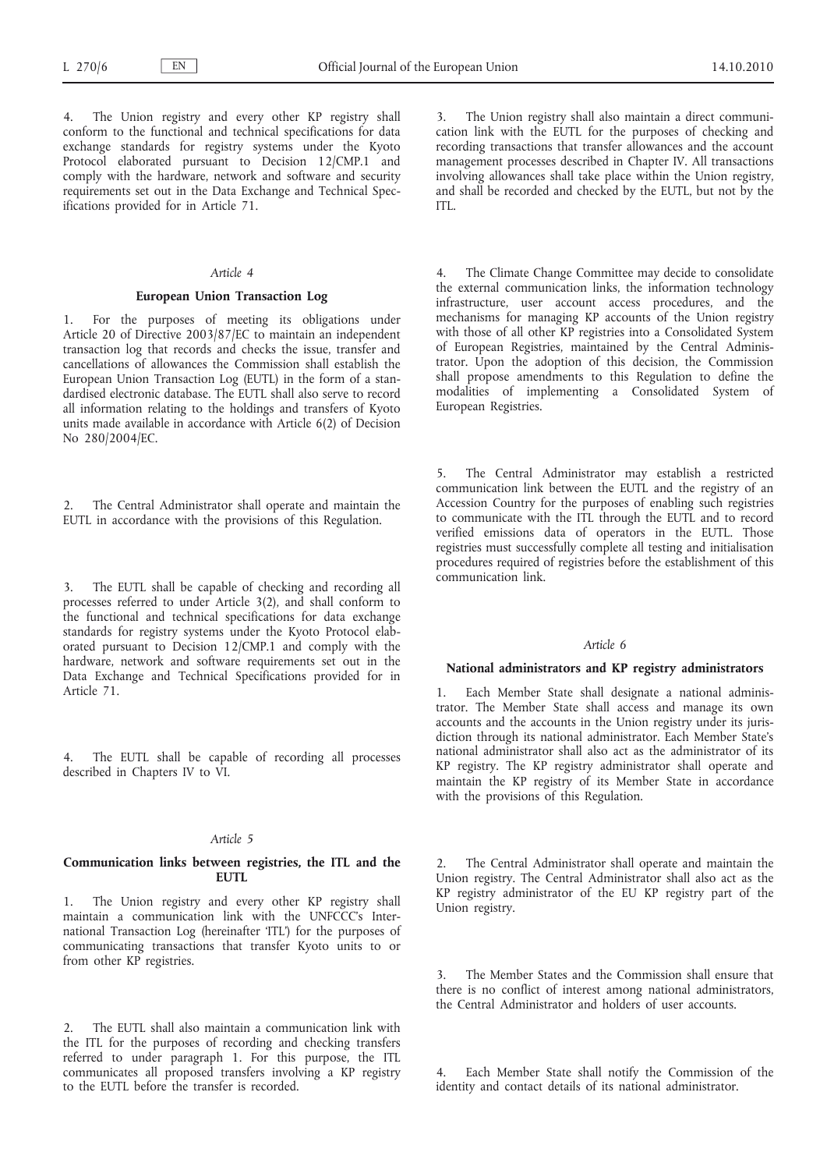The Union registry and every other KP registry shall conform to the functional and technical specifications for data exchange standards for registry systems under the Kyoto Protocol elaborated pursuant to Decision 12/CMP.1 and comply with the hardware, network and software and security requirements set out in the Data Exchange and Technical Specifications provided for in Article 71.

### *Article 4*

### **European Union Transaction Log**

1. For the purposes of meeting its obligations under Article 20 of Directive 2003/87/EC to maintain an independent transaction log that records and checks the issue, transfer and cancellations of allowances the Commission shall establish the European Union Transaction Log (EUTL) in the form of a standardised electronic database. The EUTL shall also serve to record all information relating to the holdings and transfers of Kyoto units made available in accordance with Article 6(2) of Decision No 280/2004/EC.

The Central Administrator shall operate and maintain the EUTL in accordance with the provisions of this Regulation.

3. The EUTL shall be capable of checking and recording all processes referred to under Article 3(2), and shall conform to the functional and technical specifications for data exchange standards for registry systems under the Kyoto Protocol elaborated pursuant to Decision 12/CMP.1 and comply with the hardware, network and software requirements set out in the Data Exchange and Technical Specifications provided for in Article 71.

4. The EUTL shall be capable of recording all processes described in Chapters IV to VI.

### *Article 5*

### **Communication links between registries, the ITL and the EUTL**

1. The Union registry and every other KP registry shall maintain a communication link with the UNFCCC's International Transaction Log (hereinafter 'ITL') for the purposes of communicating transactions that transfer Kyoto units to or from other KP registries.

The EUTL shall also maintain a communication link with the ITL for the purposes of recording and checking transfers referred to under paragraph 1. For this purpose, the ITL communicates all proposed transfers involving a KP registry to the EUTL before the transfer is recorded.

3. The Union registry shall also maintain a direct communication link with the EUTL for the purposes of checking and recording transactions that transfer allowances and the account management processes described in Chapter IV. All transactions involving allowances shall take place within the Union registry, and shall be recorded and checked by the EUTL, but not by the ITL.

4. The Climate Change Committee may decide to consolidate the external communication links, the information technology infrastructure, user account access procedures, and the mechanisms for managing KP accounts of the Union registry with those of all other KP registries into a Consolidated System of European Registries, maintained by the Central Administrator. Upon the adoption of this decision, the Commission shall propose amendments to this Regulation to define the modalities of implementing a Consolidated System of European Registries.

5. The Central Administrator may establish a restricted communication link between the EUTL and the registry of an Accession Country for the purposes of enabling such registries to communicate with the ITL through the EUTL and to record verified emissions data of operators in the EUTL. Those registries must successfully complete all testing and initialisation procedures required of registries before the establishment of this communication link.

# *Article 6*

### **National administrators and KP registry administrators**

Each Member State shall designate a national administrator. The Member State shall access and manage its own accounts and the accounts in the Union registry under its jurisdiction through its national administrator. Each Member State's national administrator shall also act as the administrator of its KP registry. The KP registry administrator shall operate and maintain the KP registry of its Member State in accordance with the provisions of this Regulation.

The Central Administrator shall operate and maintain the Union registry. The Central Administrator shall also act as the KP registry administrator of the EU KP registry part of the Union registry.

The Member States and the Commission shall ensure that there is no conflict of interest among national administrators, the Central Administrator and holders of user accounts.

Each Member State shall notify the Commission of the identity and contact details of its national administrator.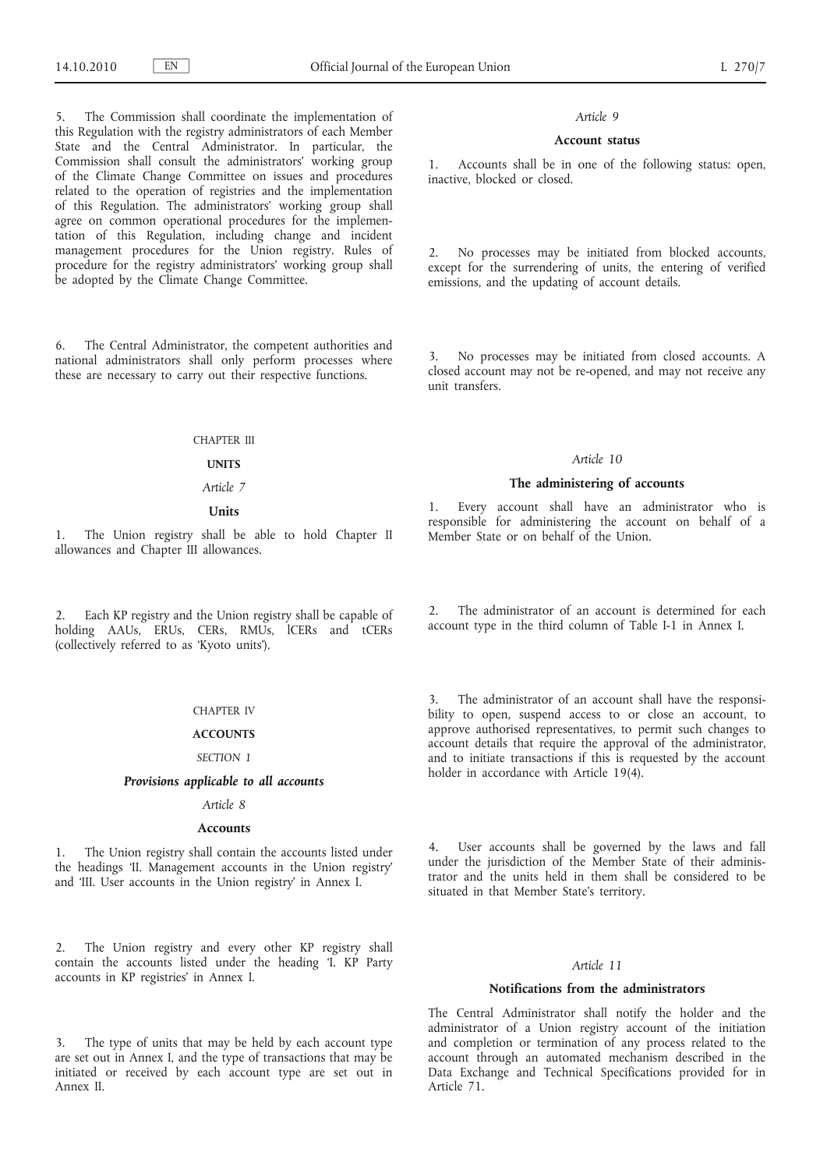The Commission shall coordinate the implementation of this Regulation with the registry administrators of each Member State and the Central Administrator. In particular, the Commission shall consult the administrators' working group of the Climate Change Committee on issues and procedures related to the operation of registries and the implementation of this Regulation. The administrators' working group shall agree on common operational procedures for the implementation of this Regulation, including change and incident management procedures for the Union registry. Rules of procedure for the registry administrators' working group shall be adopted by the Climate Change Committee.

6. The Central Administrator, the competent authorities and national administrators shall only perform processes where these are necessary to carry out their respective functions.

### CHAPTER III

### **UNITS**

*Article 7*

# **Units**

1. The Union registry shall be able to hold Chapter II allowances and Chapter III allowances.

2. Each KP registry and the Union registry shall be capable of holding AAUs, ERUs, CERs, RMUs, ICERs and tCERs (collectively referred to as 'Kyoto units').

### CHAPTER IV

# **ACCOUNTS**

#### *SECTION 1*

# *Provisions applicable to all accounts*

### *Article 8*

#### **Accounts**

1. The Union registry shall contain the accounts listed under the headings 'II. Management accounts in the Union registry' and 'III. User accounts in the Union registry' in Annex I.

2. The Union registry and every other KP registry shall contain the accounts listed under the heading 'I. KP Party accounts in KP registries' in Annex I.

3. The type of units that may be held by each account type are set out in Annex I, and the type of transactions that may be initiated or received by each account type are set out in Annex II.

#### *Article 9*

### **Account status**

1. Accounts shall be in one of the following status: open, inactive, blocked or closed.

2. No processes may be initiated from blocked accounts, except for the surrendering of units, the entering of verified emissions, and the updating of account details.

3. No processes may be initiated from closed accounts. A closed account may not be re-opened, and may not receive any unit transfers.

#### *Article 10*

#### **The administering of accounts**

1. Every account shall have an administrator who is responsible for administering the account on behalf of a Member State or on behalf of the Union.

2. The administrator of an account is determined for each account type in the third column of Table I-1 in Annex I.

3. The administrator of an account shall have the responsibility to open, suspend access to or close an account, to approve authorised representatives, to permit such changes to account details that require the approval of the administrator, and to initiate transactions if this is requested by the account holder in accordance with Article 19(4).

4. User accounts shall be governed by the laws and fall under the jurisdiction of the Member State of their administrator and the units held in them shall be considered to be situated in that Member State's territory.

### *Article 11*

### **Notifications from the administrators**

The Central Administrator shall notify the holder and the administrator of a Union registry account of the initiation and completion or termination of any process related to the account through an automated mechanism described in the Data Exchange and Technical Specifications provided for in Article 71.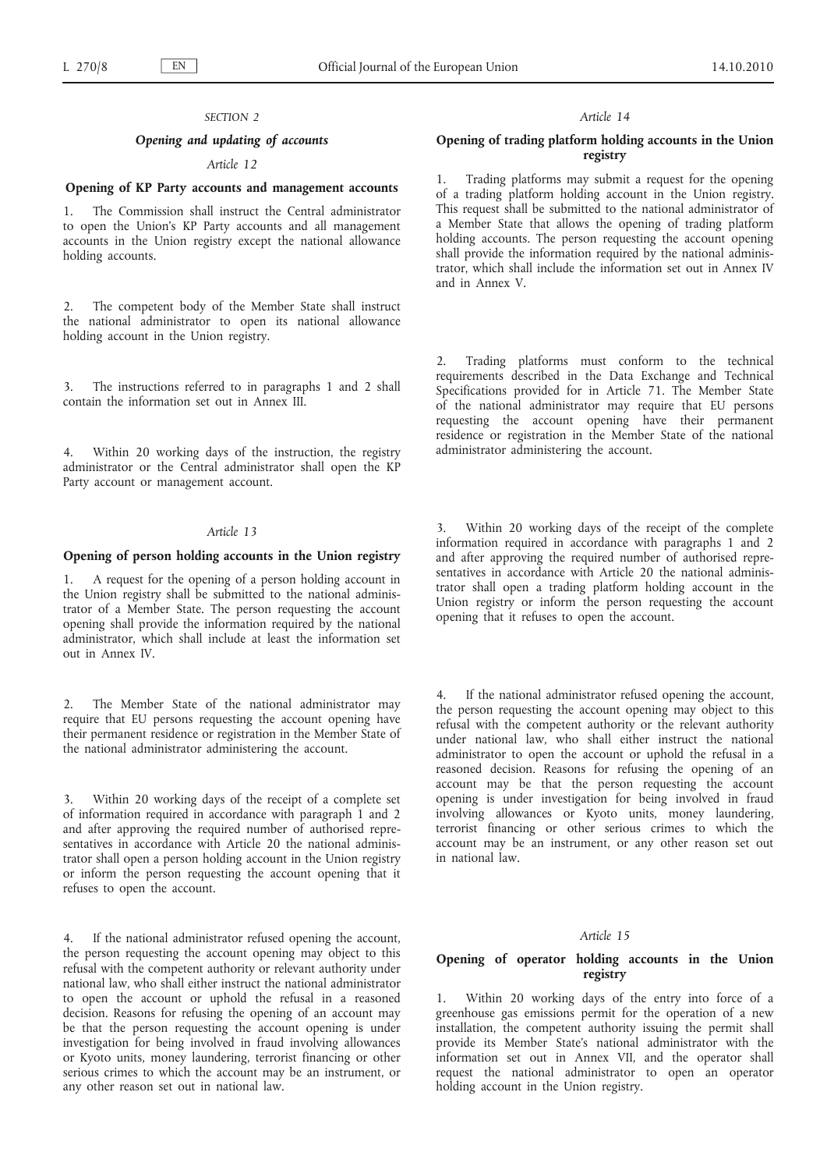#### *SECTION 2*

# *Opening and updating of accounts*

# *Article 12*

### **Opening of KP Party accounts and management accounts**

1. The Commission shall instruct the Central administrator to open the Union's KP Party accounts and all management accounts in the Union registry except the national allowance holding accounts.

2. The competent body of the Member State shall instruct the national administrator to open its national allowance holding account in the Union registry.

3. The instructions referred to in paragraphs 1 and 2 shall contain the information set out in Annex III.

4. Within 20 working days of the instruction, the registry administrator or the Central administrator shall open the KP Party account or management account.

### *Article 13*

### **Opening of person holding accounts in the Union registry**

1. A request for the opening of a person holding account in the Union registry shall be submitted to the national administrator of a Member State. The person requesting the account opening shall provide the information required by the national administrator, which shall include at least the information set out in Annex IV.

2. The Member State of the national administrator may require that EU persons requesting the account opening have their permanent residence or registration in the Member State of the national administrator administering the account.

Within 20 working days of the receipt of a complete set of information required in accordance with paragraph 1 and 2 and after approving the required number of authorised representatives in accordance with Article 20 the national administrator shall open a person holding account in the Union registry or inform the person requesting the account opening that it refuses to open the account.

4. If the national administrator refused opening the account, the person requesting the account opening may object to this refusal with the competent authority or relevant authority under national law, who shall either instruct the national administrator to open the account or uphold the refusal in a reasoned decision. Reasons for refusing the opening of an account may be that the person requesting the account opening is under investigation for being involved in fraud involving allowances or Kyoto units, money laundering, terrorist financing or other serious crimes to which the account may be an instrument, or any other reason set out in national law.

#### *Article 14*

### **Opening of trading platform holding accounts in the Union registry**

1. Trading platforms may submit a request for the opening of a trading platform holding account in the Union registry. This request shall be submitted to the national administrator of a Member State that allows the opening of trading platform holding accounts. The person requesting the account opening shall provide the information required by the national administrator, which shall include the information set out in Annex IV and in Annex V.

2. Trading platforms must conform to the technical requirements described in the Data Exchange and Technical Specifications provided for in Article 71. The Member State of the national administrator may require that EU persons requesting the account opening have their permanent residence or registration in the Member State of the national administrator administering the account.

Within 20 working days of the receipt of the complete information required in accordance with paragraphs 1 and 2 and after approving the required number of authorised representatives in accordance with Article 20 the national administrator shall open a trading platform holding account in the Union registry or inform the person requesting the account opening that it refuses to open the account.

4. If the national administrator refused opening the account, the person requesting the account opening may object to this refusal with the competent authority or the relevant authority under national law, who shall either instruct the national administrator to open the account or uphold the refusal in a reasoned decision. Reasons for refusing the opening of an account may be that the person requesting the account opening is under investigation for being involved in fraud involving allowances or Kyoto units, money laundering, terrorist financing or other serious crimes to which the account may be an instrument, or any other reason set out in national law.

### *Article 15*

# **Opening of operator holding accounts in the Union registry**

1. Within 20 working days of the entry into force of a greenhouse gas emissions permit for the operation of a new installation, the competent authority issuing the permit shall provide its Member State's national administrator with the information set out in Annex VII, and the operator shall request the national administrator to open an operator holding account in the Union registry.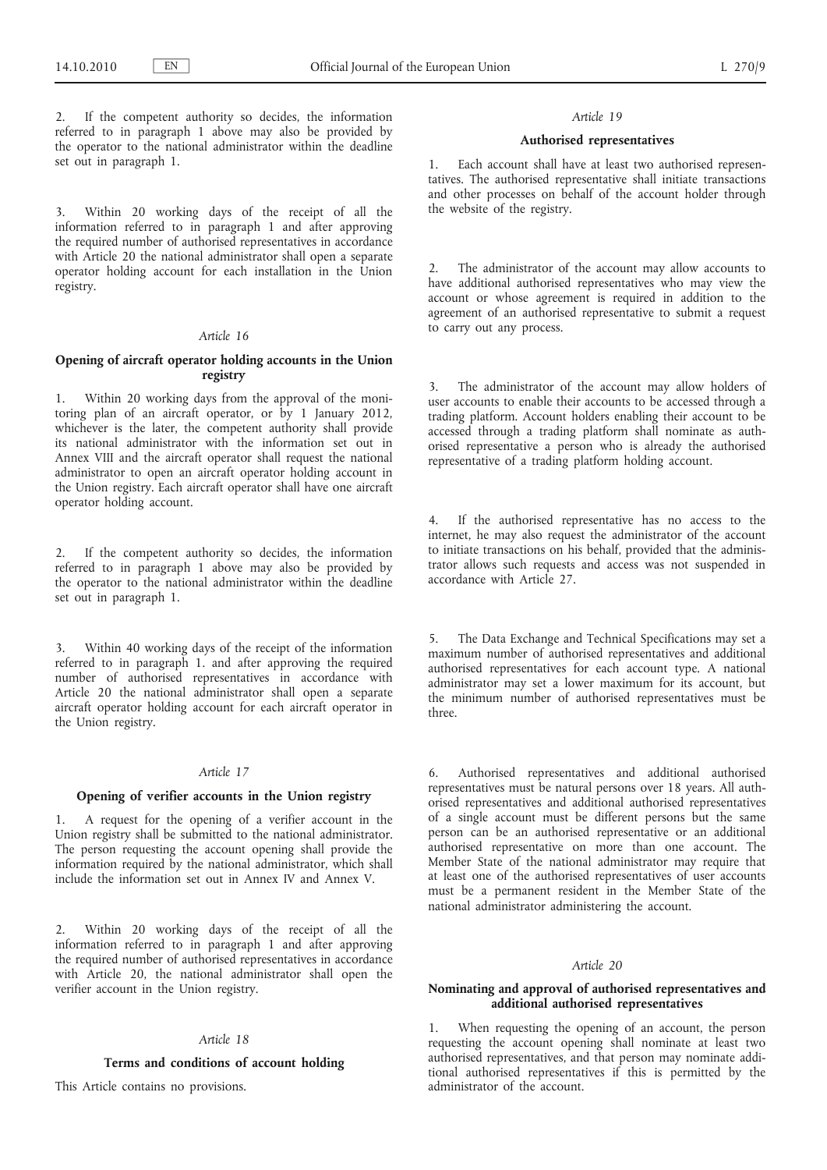2. If the competent authority so decides, the information referred to in paragraph 1 above may also be provided by the operator to the national administrator within the deadline set out in paragraph 1.

3. Within 20 working days of the receipt of all the information referred to in paragraph 1 and after approving the required number of authorised representatives in accordance with Article 20 the national administrator shall open a separate operator holding account for each installation in the Union registry.

### *Article 16*

# **Opening of aircraft operator holding accounts in the Union registry**

1. Within 20 working days from the approval of the monitoring plan of an aircraft operator, or by 1 January 2012, whichever is the later, the competent authority shall provide its national administrator with the information set out in Annex VIII and the aircraft operator shall request the national administrator to open an aircraft operator holding account in the Union registry. Each aircraft operator shall have one aircraft operator holding account.

2. If the competent authority so decides, the information referred to in paragraph 1 above may also be provided by the operator to the national administrator within the deadline set out in paragraph 1.

3. Within 40 working days of the receipt of the information referred to in paragraph 1. and after approving the required number of authorised representatives in accordance with Article 20 the national administrator shall open a separate aircraft operator holding account for each aircraft operator in the Union registry.

#### *Article 17*

#### **Opening of verifier accounts in the Union registry**

1. A request for the opening of a verifier account in the Union registry shall be submitted to the national administrator. The person requesting the account opening shall provide the information required by the national administrator, which shall include the information set out in Annex IV and Annex V.

2. Within 20 working days of the receipt of all the information referred to in paragraph 1 and after approving the required number of authorised representatives in accordance with Article 20, the national administrator shall open the verifier account in the Union registry.

#### *Article 18*

#### **Terms and conditions of account holding**

This Article contains no provisions.

#### *Article 19*

### **Authorised representatives**

1. Each account shall have at least two authorised representatives. The authorised representative shall initiate transactions and other processes on behalf of the account holder through the website of the registry.

The administrator of the account may allow accounts to have additional authorised representatives who may view the account or whose agreement is required in addition to the agreement of an authorised representative to submit a request to carry out any process.

3. The administrator of the account may allow holders of user accounts to enable their accounts to be accessed through a trading platform. Account holders enabling their account to be accessed through a trading platform shall nominate as authorised representative a person who is already the authorised representative of a trading platform holding account.

4. If the authorised representative has no access to the internet, he may also request the administrator of the account to initiate transactions on his behalf, provided that the administrator allows such requests and access was not suspended in accordance with Article 27.

5. The Data Exchange and Technical Specifications may set a maximum number of authorised representatives and additional authorised representatives for each account type. A national administrator may set a lower maximum for its account, but the minimum number of authorised representatives must be three.

6. Authorised representatives and additional authorised representatives must be natural persons over 18 years. All authorised representatives and additional authorised representatives of a single account must be different persons but the same person can be an authorised representative or an additional authorised representative on more than one account. The Member State of the national administrator may require that at least one of the authorised representatives of user accounts must be a permanent resident in the Member State of the national administrator administering the account.

### *Article 20*

### **Nominating and approval of authorised representatives and additional authorised representatives**

1. When requesting the opening of an account, the person requesting the account opening shall nominate at least two authorised representatives, and that person may nominate additional authorised representatives if this is permitted by the administrator of the account.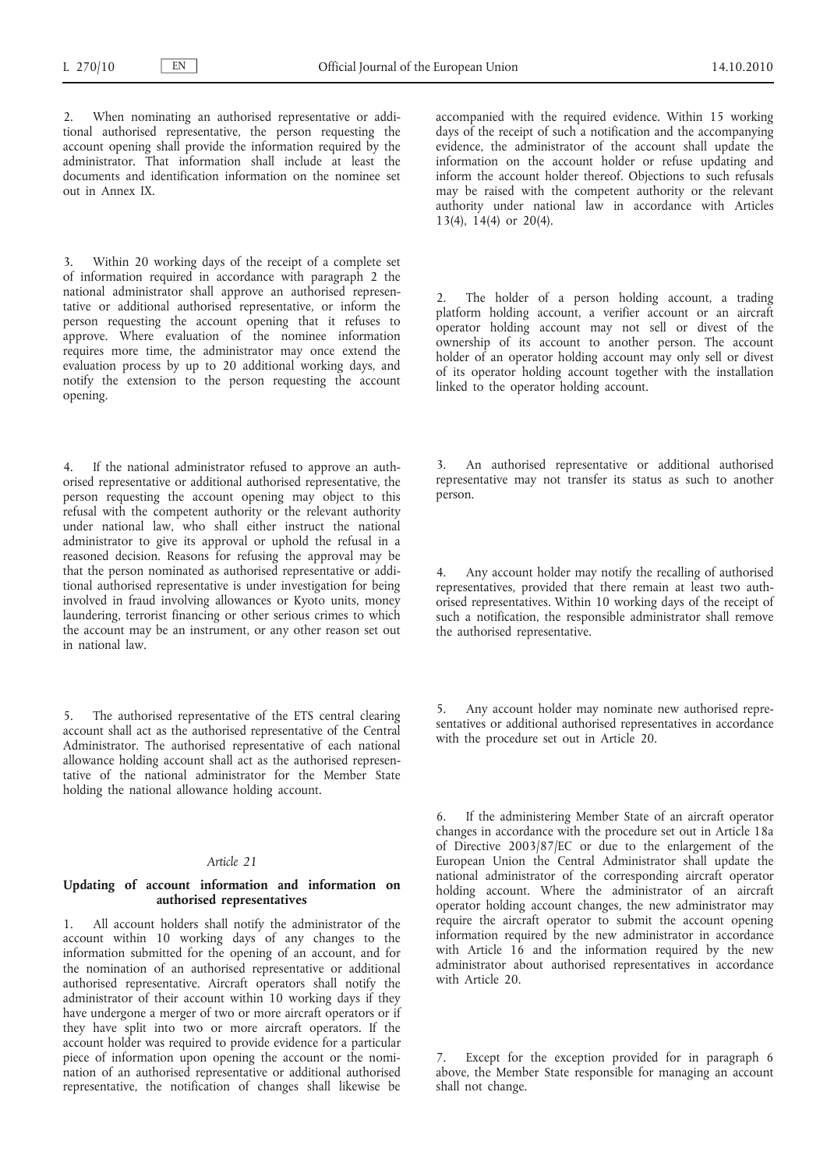When nominating an authorised representative or additional authorised representative, the person requesting the account opening shall provide the information required by the administrator. That information shall include at least the documents and identification information on the nominee set out in Annex IX.

3. Within 20 working days of the receipt of a complete set of information required in accordance with paragraph 2 the national administrator shall approve an authorised representative or additional authorised representative, or inform the person requesting the account opening that it refuses to approve. Where evaluation of the nominee information requires more time, the administrator may once extend the evaluation process by up to 20 additional working days, and notify the extension to the person requesting the account opening.

If the national administrator refused to approve an authorised representative or additional authorised representative, the person requesting the account opening may object to this refusal with the competent authority or the relevant authority under national law, who shall either instruct the national administrator to give its approval or uphold the refusal in a reasoned decision. Reasons for refusing the approval may be that the person nominated as authorised representative or additional authorised representative is under investigation for being involved in fraud involving allowances or Kyoto units, money laundering, terrorist financing or other serious crimes to which the account may be an instrument, or any other reason set out in national law.

5. The authorised representative of the ETS central clearing account shall act as the authorised representative of the Central Administrator. The authorised representative of each national allowance holding account shall act as the authorised representative of the national administrator for the Member State holding the national allowance holding account.

### *Article 21*

### **Updating of account information and information on authorised representatives**

1. All account holders shall notify the administrator of the account within 10 working days of any changes to the information submitted for the opening of an account, and for the nomination of an authorised representative or additional authorised representative. Aircraft operators shall notify the administrator of their account within 10 working days if they have undergone a merger of two or more aircraft operators or if they have split into two or more aircraft operators. If the account holder was required to provide evidence for a particular piece of information upon opening the account or the nomination of an authorised representative or additional authorised representative, the notification of changes shall likewise be accompanied with the required evidence. Within 15 working days of the receipt of such a notification and the accompanying evidence, the administrator of the account shall update the information on the account holder or refuse updating and inform the account holder thereof. Objections to such refusals may be raised with the competent authority or the relevant authority under national law in accordance with Articles 13(4), 14(4) or 20(4).

2. The holder of a person holding account, a trading platform holding account, a verifier account or an aircraft operator holding account may not sell or divest of the ownership of its account to another person. The account holder of an operator holding account may only sell or divest of its operator holding account together with the installation linked to the operator holding account.

3. An authorised representative or additional authorised representative may not transfer its status as such to another person.

4. Any account holder may notify the recalling of authorised representatives, provided that there remain at least two authorised representatives. Within 10 working days of the receipt of such a notification, the responsible administrator shall remove the authorised representative.

Any account holder may nominate new authorised representatives or additional authorised representatives in accordance with the procedure set out in Article 20.

If the administering Member State of an aircraft operator changes in accordance with the procedure set out in Article 18a of Directive 2003/87/EC or due to the enlargement of the European Union the Central Administrator shall update the national administrator of the corresponding aircraft operator holding account. Where the administrator of an aircraft operator holding account changes, the new administrator may require the aircraft operator to submit the account opening information required by the new administrator in accordance with Article 16 and the information required by the new administrator about authorised representatives in accordance with Article 20.

Except for the exception provided for in paragraph 6 above, the Member State responsible for managing an account shall not change.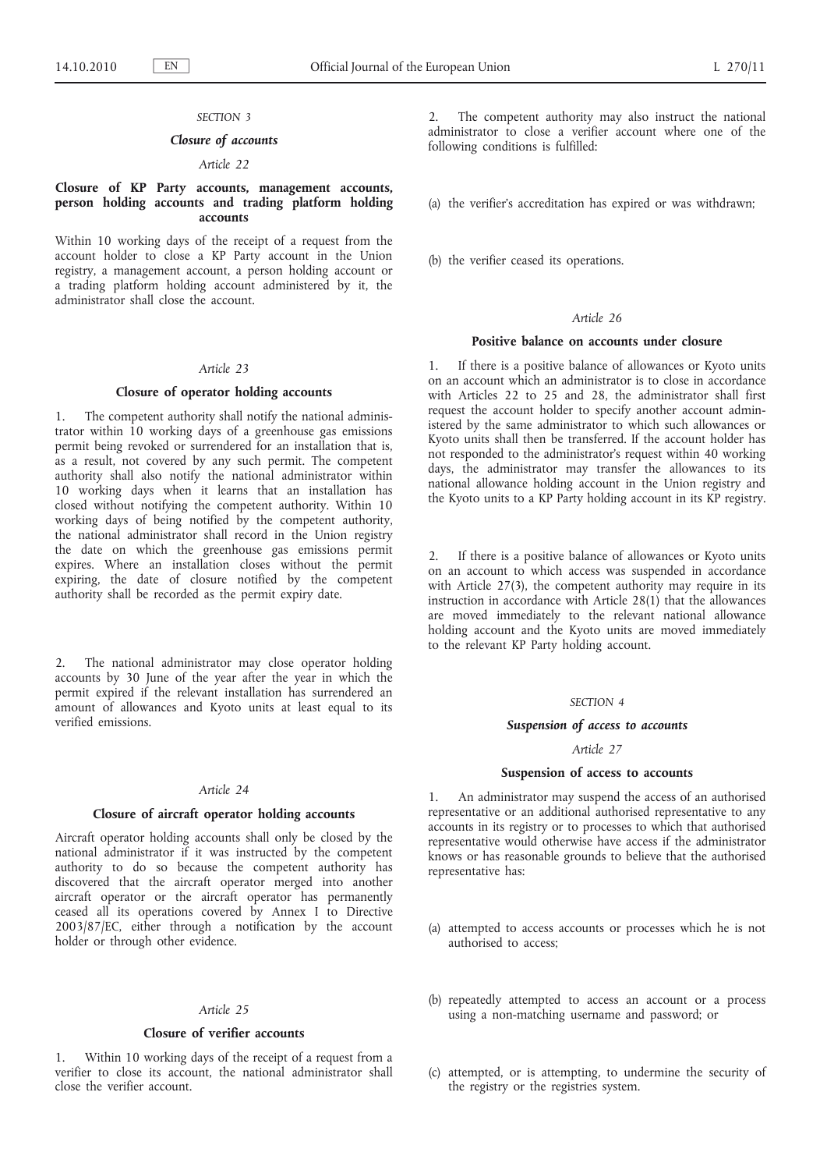#### *SECTION 3*

### *Closure of accounts*

# *Article 22*

### **Closure of KP Party accounts, management accounts, person holding accounts and trading platform holding accounts**

Within 10 working days of the receipt of a request from the account holder to close a KP Party account in the Union registry, a management account, a person holding account or a trading platform holding account administered by it, the administrator shall close the account.

#### *Article 23*

# **Closure of operator holding accounts**

1. The competent authority shall notify the national administrator within 10 working days of a greenhouse gas emissions permit being revoked or surrendered for an installation that is, as a result, not covered by any such permit. The competent authority shall also notify the national administrator within 10 working days when it learns that an installation has closed without notifying the competent authority. Within 10 working days of being notified by the competent authority, the national administrator shall record in the Union registry the date on which the greenhouse gas emissions permit expires. Where an installation closes without the permit expiring, the date of closure notified by the competent authority shall be recorded as the permit expiry date.

2. The national administrator may close operator holding accounts by 30 June of the year after the year in which the permit expired if the relevant installation has surrendered an amount of allowances and Kyoto units at least equal to its verified emissions.

#### *Article 24*

### **Closure of aircraft operator holding accounts**

Aircraft operator holding accounts shall only be closed by the national administrator if it was instructed by the competent authority to do so because the competent authority has discovered that the aircraft operator merged into another aircraft operator or the aircraft operator has permanently ceased all its operations covered by Annex I to Directive 2003/87/EC, either through a notification by the account holder or through other evidence.

### *Article 25*

#### **Closure of verifier accounts**

1. Within 10 working days of the receipt of a request from a verifier to close its account, the national administrator shall close the verifier account.

The competent authority may also instruct the national administrator to close a verifier account where one of the following conditions is fulfilled:

(a) the verifier's accreditation has expired or was withdrawn;

(b) the verifier ceased its operations.

### *Article 26*

### **Positive balance on accounts under closure**

1. If there is a positive balance of allowances or Kyoto units on an account which an administrator is to close in accordance with Articles 22 to 25 and 28, the administrator shall first request the account holder to specify another account administered by the same administrator to which such allowances or Kyoto units shall then be transferred. If the account holder has not responded to the administrator's request within 40 working days, the administrator may transfer the allowances to its national allowance holding account in the Union registry and the Kyoto units to a KP Party holding account in its KP registry.

2. If there is a positive balance of allowances or Kyoto units on an account to which access was suspended in accordance with Article 27(3), the competent authority may require in its instruction in accordance with Article 28(1) that the allowances are moved immediately to the relevant national allowance holding account and the Kyoto units are moved immediately to the relevant KP Party holding account.

#### *SECTION 4*

### *Suspension of access to accounts*

#### *Article 27*

### **Suspension of access to accounts**

1. An administrator may suspend the access of an authorised representative or an additional authorised representative to any accounts in its registry or to processes to which that authorised representative would otherwise have access if the administrator knows or has reasonable grounds to believe that the authorised representative has:

- (a) attempted to access accounts or processes which he is not authorised to access;
- (b) repeatedly attempted to access an account or a process using a non-matching username and password; or
- (c) attempted, or is attempting, to undermine the security of the registry or the registries system.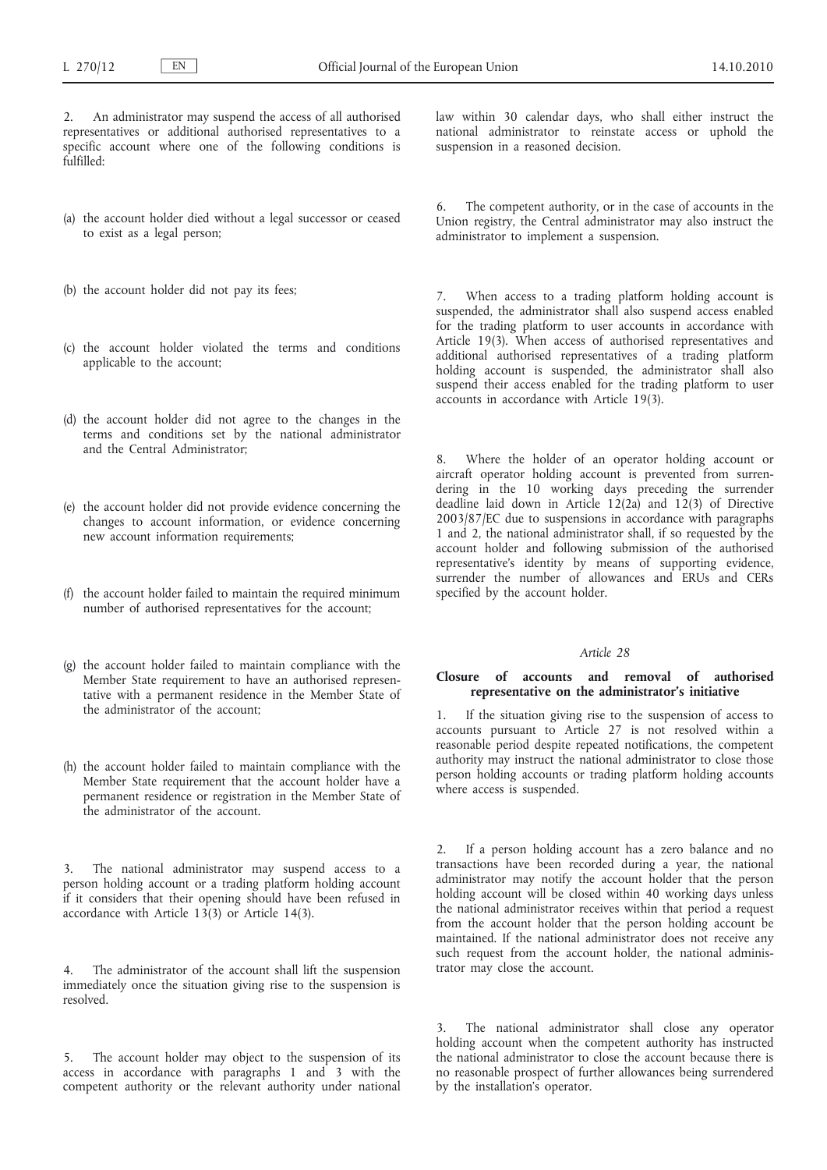2. An administrator may suspend the access of all authorised representatives or additional authorised representatives to a specific account where one of the following conditions is fulfilled:

- (a) the account holder died without a legal successor or ceased to exist as a legal person;
- (b) the account holder did not pay its fees;
- (c) the account holder violated the terms and conditions applicable to the account;
- (d) the account holder did not agree to the changes in the terms and conditions set by the national administrator and the Central Administrator;
- (e) the account holder did not provide evidence concerning the changes to account information, or evidence concerning new account information requirements;
- (f) the account holder failed to maintain the required minimum number of authorised representatives for the account;
- (g) the account holder failed to maintain compliance with the Member State requirement to have an authorised representative with a permanent residence in the Member State of the administrator of the account;
- (h) the account holder failed to maintain compliance with the Member State requirement that the account holder have a permanent residence or registration in the Member State of the administrator of the account.

The national administrator may suspend access to a person holding account or a trading platform holding account if it considers that their opening should have been refused in accordance with Article  $13(3)$  or Article 14(3).

4. The administrator of the account shall lift the suspension immediately once the situation giving rise to the suspension is resolved.

5. The account holder may object to the suspension of its access in accordance with paragraphs 1 and 3 with the competent authority or the relevant authority under national law within 30 calendar days, who shall either instruct the national administrator to reinstate access or uphold the suspension in a reasoned decision.

The competent authority, or in the case of accounts in the Union registry, the Central administrator may also instruct the administrator to implement a suspension.

When access to a trading platform holding account is suspended, the administrator shall also suspend access enabled for the trading platform to user accounts in accordance with Article 19(3). When access of authorised representatives and additional authorised representatives of a trading platform holding account is suspended, the administrator shall also suspend their access enabled for the trading platform to user accounts in accordance with Article 19(3).

Where the holder of an operator holding account or aircraft operator holding account is prevented from surrendering in the 10 working days preceding the surrender deadline laid down in Article  $12(2a)$  and  $12(3)$  of Directive 2003/87/EC due to suspensions in accordance with paragraphs 1 and 2, the national administrator shall, if so requested by the account holder and following submission of the authorised representative's identity by means of supporting evidence, surrender the number of allowances and ERUs and CERs specified by the account holder.

#### *Article 28*

## **Closure of accounts and removal of authorised representative on the administrator's initiative**

1. If the situation giving rise to the suspension of access to accounts pursuant to Article 27 is not resolved within a reasonable period despite repeated notifications, the competent authority may instruct the national administrator to close those person holding accounts or trading platform holding accounts where access is suspended.

2. If a person holding account has a zero balance and no transactions have been recorded during a year, the national administrator may notify the account holder that the person holding account will be closed within 40 working days unless the national administrator receives within that period a request from the account holder that the person holding account be maintained. If the national administrator does not receive any such request from the account holder, the national administrator may close the account.

The national administrator shall close any operator holding account when the competent authority has instructed the national administrator to close the account because there is no reasonable prospect of further allowances being surrendered by the installation's operator.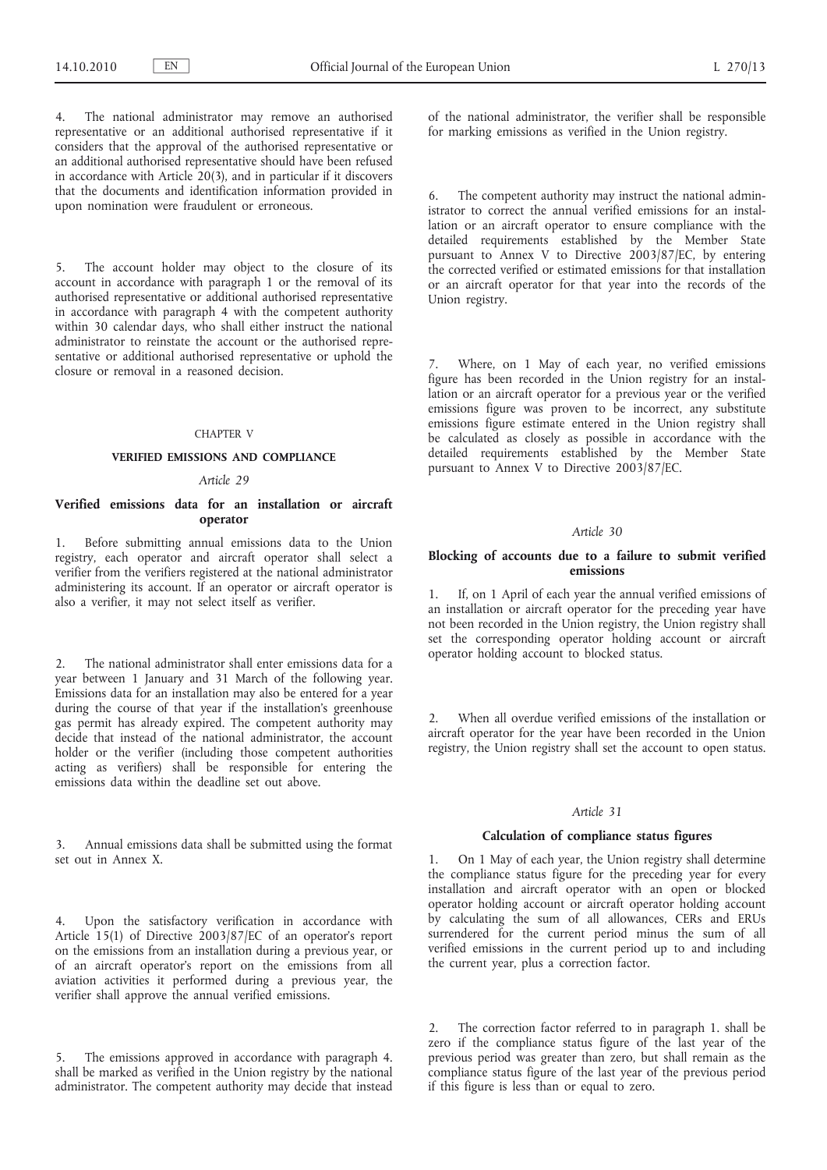The national administrator may remove an authorised representative or an additional authorised representative if it considers that the approval of the authorised representative or an additional authorised representative should have been refused in accordance with Article 20(3), and in particular if it discovers that the documents and identification information provided in upon nomination were fraudulent or erroneous.

5. The account holder may object to the closure of its account in accordance with paragraph 1 or the removal of its authorised representative or additional authorised representative in accordance with paragraph 4 with the competent authority within 30 calendar days, who shall either instruct the national administrator to reinstate the account or the authorised representative or additional authorised representative or uphold the closure or removal in a reasoned decision.

### CHAPTER V

### **VERIFIED EMISSIONS AND COMPLIANCE**

### *Article 29*

### **Verified emissions data for an installation or aircraft operator**

1. Before submitting annual emissions data to the Union registry, each operator and aircraft operator shall select a verifier from the verifiers registered at the national administrator administering its account. If an operator or aircraft operator is also a verifier, it may not select itself as verifier.

2. The national administrator shall enter emissions data for a year between 1 January and 31 March of the following year. Emissions data for an installation may also be entered for a year during the course of that year if the installation's greenhouse gas permit has already expired. The competent authority may decide that instead of the national administrator, the account holder or the verifier (including those competent authorities acting as verifiers) shall be responsible for entering the emissions data within the deadline set out above.

3. Annual emissions data shall be submitted using the format set out in Annex X.

4. Upon the satisfactory verification in accordance with Article 15(1) of Directive 2003/87/EC of an operator's report on the emissions from an installation during a previous year, or of an aircraft operator's report on the emissions from all aviation activities it performed during a previous year, the verifier shall approve the annual verified emissions.

The emissions approved in accordance with paragraph 4. shall be marked as verified in the Union registry by the national administrator. The competent authority may decide that instead of the national administrator, the verifier shall be responsible for marking emissions as verified in the Union registry.

6. The competent authority may instruct the national administrator to correct the annual verified emissions for an installation or an aircraft operator to ensure compliance with the detailed requirements established by the Member State pursuant to Annex V to Directive 2003/87/EC, by entering the corrected verified or estimated emissions for that installation or an aircraft operator for that year into the records of the Union registry.

Where, on 1 May of each year, no verified emissions figure has been recorded in the Union registry for an installation or an aircraft operator for a previous year or the verified emissions figure was proven to be incorrect, any substitute emissions figure estimate entered in the Union registry shall be calculated as closely as possible in accordance with the detailed requirements established by the Member State pursuant to Annex V to Directive 2003/87/EC.

### *Article 30*

### **Blocking of accounts due to a failure to submit verified emissions**

1. If, on 1 April of each year the annual verified emissions of an installation or aircraft operator for the preceding year have not been recorded in the Union registry, the Union registry shall set the corresponding operator holding account or aircraft operator holding account to blocked status.

2. When all overdue verified emissions of the installation or aircraft operator for the year have been recorded in the Union registry, the Union registry shall set the account to open status.

### *Article 31*

### **Calculation of compliance status figures**

1. On 1 May of each year, the Union registry shall determine the compliance status figure for the preceding year for every installation and aircraft operator with an open or blocked operator holding account or aircraft operator holding account by calculating the sum of all allowances, CERs and ERUs surrendered for the current period minus the sum of all verified emissions in the current period up to and including the current year, plus a correction factor.

The correction factor referred to in paragraph 1. shall be zero if the compliance status figure of the last year of the previous period was greater than zero, but shall remain as the compliance status figure of the last year of the previous period if this figure is less than or equal to zero.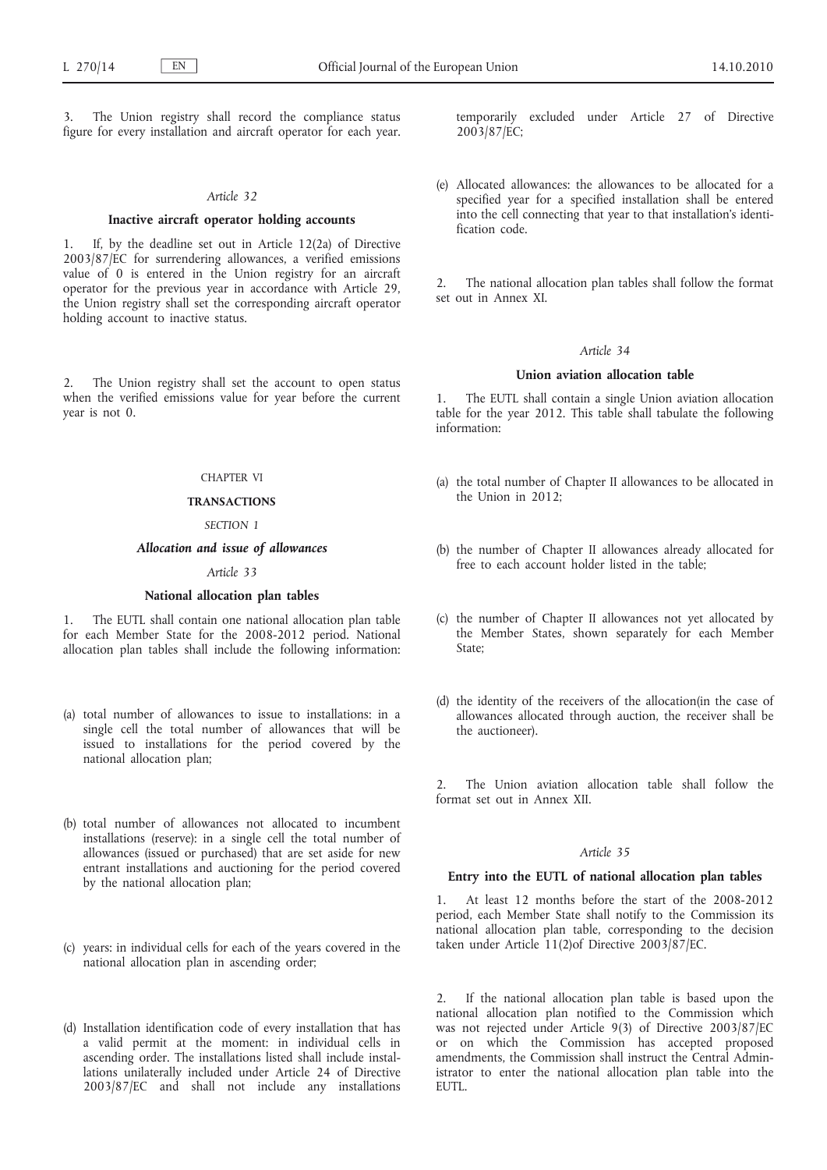The Union registry shall record the compliance status figure for every installation and aircraft operator for each year.

### *Article 32*

#### **Inactive aircraft operator holding accounts**

1. If, by the deadline set out in Article 12(2a) of Directive 2003/87/EC for surrendering allowances, a verified emissions value of 0 is entered in the Union registry for an aircraft operator for the previous year in accordance with Article 29, the Union registry shall set the corresponding aircraft operator holding account to inactive status.

2. The Union registry shall set the account to open status when the verified emissions value for year before the current year is not 0.

### CHAPTER VI

### **TRANSACTIONS**

### *SECTION 1*

#### *Allocation and issue of allowances*

### *Article 33*

#### **National allocation plan tables**

The EUTL shall contain one national allocation plan table for each Member State for the 2008-2012 period. National allocation plan tables shall include the following information:

- (a) total number of allowances to issue to installations: in a single cell the total number of allowances that will be issued to installations for the period covered by the national allocation plan;
- (b) total number of allowances not allocated to incumbent installations (reserve): in a single cell the total number of allowances (issued or purchased) that are set aside for new entrant installations and auctioning for the period covered by the national allocation plan;
- (c) years: in individual cells for each of the years covered in the national allocation plan in ascending order;
- (d) Installation identification code of every installation that has a valid permit at the moment: in individual cells in ascending order. The installations listed shall include installations unilaterally included under Article 24 of Directive 2003/87/EC and shall not include any installations

temporarily excluded under Article 27 of Directive 2003/87/EC;

(e) Allocated allowances: the allowances to be allocated for a specified year for a specified installation shall be entered into the cell connecting that year to that installation's identification code.

2. The national allocation plan tables shall follow the format set out in Annex XI.

#### *Article 34*

### **Union aviation allocation table**

1. The EUTL shall contain a single Union aviation allocation table for the year 2012. This table shall tabulate the following information:

- (a) the total number of Chapter II allowances to be allocated in the Union in 2012;
- (b) the number of Chapter II allowances already allocated for free to each account holder listed in the table;
- (c) the number of Chapter II allowances not yet allocated by the Member States, shown separately for each Member State;
- (d) the identity of the receivers of the allocation(in the case of allowances allocated through auction, the receiver shall be the auctioneer).

The Union aviation allocation table shall follow the format set out in Annex XII.

### *Article 35*

#### **Entry into the EUTL of national allocation plan tables**

At least 12 months before the start of the 2008-2012 period, each Member State shall notify to the Commission its national allocation plan table, corresponding to the decision taken under Article 11(2)of Directive 2003/87/EC.

2. If the national allocation plan table is based upon the national allocation plan notified to the Commission which was not rejected under Article 9(3) of Directive 2003/87/EC or on which the Commission has accepted proposed amendments, the Commission shall instruct the Central Administrator to enter the national allocation plan table into the EUTL.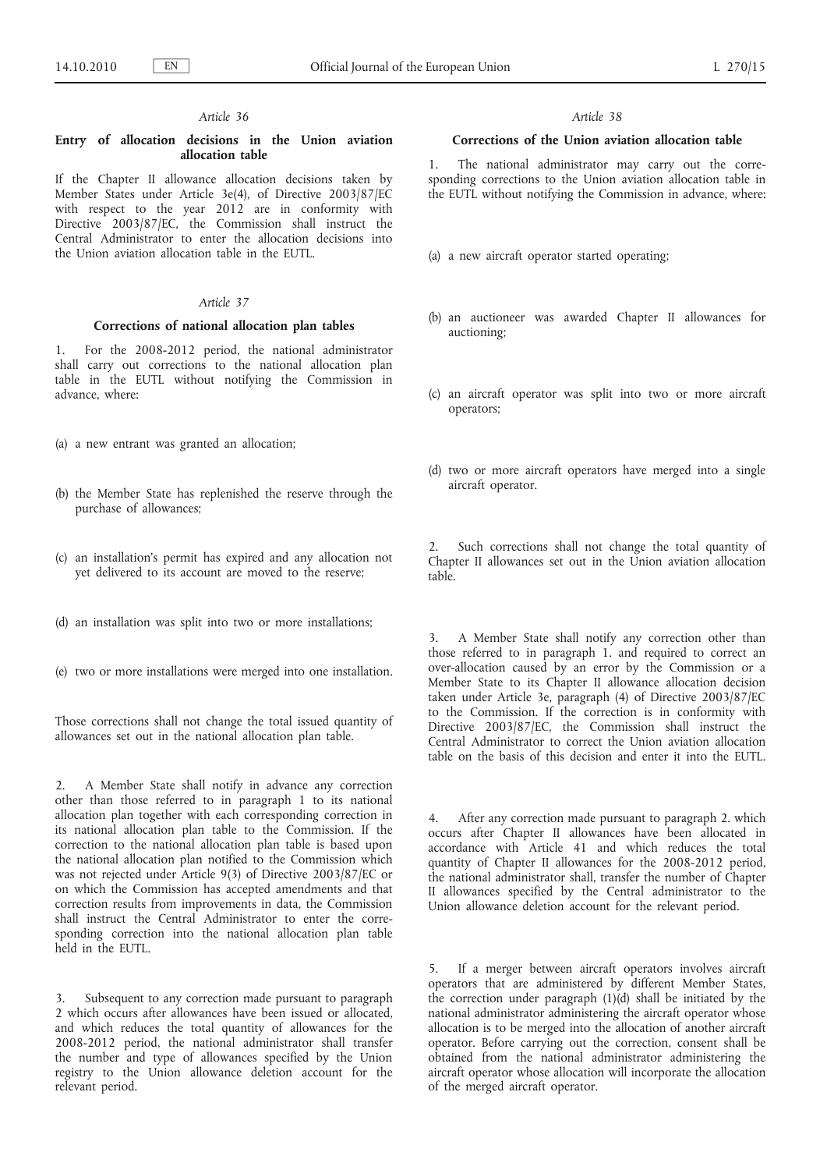### **Entry of allocation decisions in the Union aviation allocation table**

If the Chapter II allowance allocation decisions taken by Member States under Article 3e(4), of Directive 2003/87/EC with respect to the year  $2012$  are in conformity with Directive 2003/87/EC, the Commission shall instruct the Central Administrator to enter the allocation decisions into the Union aviation allocation table in the EUTL.

# *Article 37*

### **Corrections of national allocation plan tables**

1. For the 2008-2012 period, the national administrator shall carry out corrections to the national allocation plan table in the EUTL without notifying the Commission in advance, where:

- (a) a new entrant was granted an allocation;
- (b) the Member State has replenished the reserve through the purchase of allowances;
- (c) an installation's permit has expired and any allocation not yet delivered to its account are moved to the reserve;
- (d) an installation was split into two or more installations;
- (e) two or more installations were merged into one installation.

Those corrections shall not change the total issued quantity of allowances set out in the national allocation plan table.

2. A Member State shall notify in advance any correction other than those referred to in paragraph 1 to its national allocation plan together with each corresponding correction in its national allocation plan table to the Commission. If the correction to the national allocation plan table is based upon the national allocation plan notified to the Commission which was not rejected under Article 9(3) of Directive 2003/87/EC or on which the Commission has accepted amendments and that correction results from improvements in data, the Commission shall instruct the Central Administrator to enter the corresponding correction into the national allocation plan table held in the EUTL.

3. Subsequent to any correction made pursuant to paragraph 2 which occurs after allowances have been issued or allocated, and which reduces the total quantity of allowances for the 2008-2012 period, the national administrator shall transfer the number and type of allowances specified by the Union registry to the Union allowance deletion account for the relevant period.

#### *Article 38*

### **Corrections of the Union aviation allocation table**

1. The national administrator may carry out the corresponding corrections to the Union aviation allocation table in the EUTL without notifying the Commission in advance, where:

- (a) a new aircraft operator started operating;
- (b) an auctioneer was awarded Chapter II allowances for auctioning;
- (c) an aircraft operator was split into two or more aircraft operators;
- (d) two or more aircraft operators have merged into a single aircraft operator.

2. Such corrections shall not change the total quantity of Chapter II allowances set out in the Union aviation allocation table.

3. A Member State shall notify any correction other than those referred to in paragraph 1. and required to correct an over-allocation caused by an error by the Commission or a Member State to its Chapter II allowance allocation decision taken under Article 3e, paragraph (4) of Directive 2003/87/EC to the Commission. If the correction is in conformity with Directive 2003/87/EC, the Commission shall instruct the Central Administrator to correct the Union aviation allocation table on the basis of this decision and enter it into the EUTL.

4. After any correction made pursuant to paragraph 2. which occurs after Chapter II allowances have been allocated in accordance with Article 41 and which reduces the total quantity of Chapter II allowances for the 2008-2012 period, the national administrator shall, transfer the number of Chapter II allowances specified by the Central administrator to the Union allowance deletion account for the relevant period.

5. If a merger between aircraft operators involves aircraft operators that are administered by different Member States, the correction under paragraph (1)(d) shall be initiated by the national administrator administering the aircraft operator whose allocation is to be merged into the allocation of another aircraft operator. Before carrying out the correction, consent shall be obtained from the national administrator administering the aircraft operator whose allocation will incorporate the allocation of the merged aircraft operator.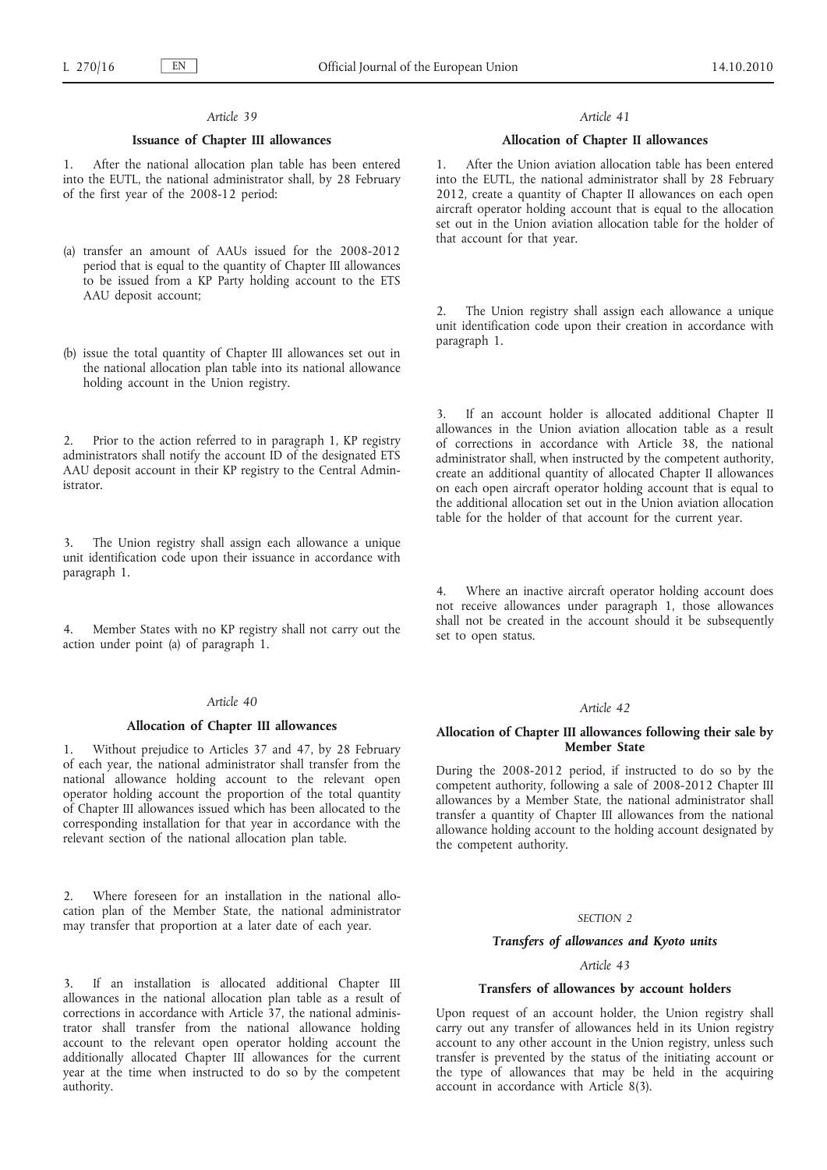### **Issuance of Chapter III allowances**

1. After the national allocation plan table has been entered into the EUTL, the national administrator shall, by 28 February of the first year of the 2008-12 period:

- (a) transfer an amount of AAUs issued for the 2008-2012 period that is equal to the quantity of Chapter III allowances to be issued from a KP Party holding account to the ETS AAU deposit account;
- (b) issue the total quantity of Chapter III allowances set out in the national allocation plan table into its national allowance holding account in the Union registry.

2. Prior to the action referred to in paragraph 1, KP registry administrators shall notify the account ID of the designated ETS AAU deposit account in their KP registry to the Central Administrator.

3. The Union registry shall assign each allowance a unique unit identification code upon their issuance in accordance with paragraph 1.

Member States with no KP registry shall not carry out the action under point (a) of paragraph 1.

#### *Article 40*

#### **Allocation of Chapter III allowances**

1. Without prejudice to Articles 37 and 47, by 28 February of each year, the national administrator shall transfer from the national allowance holding account to the relevant open operator holding account the proportion of the total quantity of Chapter III allowances issued which has been allocated to the corresponding installation for that year in accordance with the relevant section of the national allocation plan table.

2. Where foreseen for an installation in the national allocation plan of the Member State, the national administrator may transfer that proportion at a later date of each year.

3. If an installation is allocated additional Chapter III allowances in the national allocation plan table as a result of corrections in accordance with Article 37, the national administrator shall transfer from the national allowance holding account to the relevant open operator holding account the additionally allocated Chapter III allowances for the current year at the time when instructed to do so by the competent authority.

### *Article 41*

### **Allocation of Chapter II allowances**

1. After the Union aviation allocation table has been entered into the EUTL, the national administrator shall by 28 February 2012, create a quantity of Chapter II allowances on each open aircraft operator holding account that is equal to the allocation set out in the Union aviation allocation table for the holder of that account for that year.

The Union registry shall assign each allowance a unique unit identification code upon their creation in accordance with paragraph 1.

3. If an account holder is allocated additional Chapter II allowances in the Union aviation allocation table as a result of corrections in accordance with Article 38, the national administrator shall, when instructed by the competent authority, create an additional quantity of allocated Chapter II allowances on each open aircraft operator holding account that is equal to the additional allocation set out in the Union aviation allocation table for the holder of that account for the current year.

Where an inactive aircraft operator holding account does not receive allowances under paragraph 1, those allowances shall not be created in the account should it be subsequently set to open status.

### *Article 42*

#### **Allocation of Chapter III allowances following their sale by Member State**

During the 2008-2012 period, if instructed to do so by the competent authority, following a sale of 2008-2012 Chapter III allowances by a Member State, the national administrator shall transfer a quantity of Chapter III allowances from the national allowance holding account to the holding account designated by the competent authority.

### *SECTION 2*

#### *Transfers of allowances and Kyoto units*

# *Article 43*

### **Transfers of allowances by account holders**

Upon request of an account holder, the Union registry shall carry out any transfer of allowances held in its Union registry account to any other account in the Union registry, unless such transfer is prevented by the status of the initiating account or the type of allowances that may be held in the acquiring account in accordance with Article 8(3).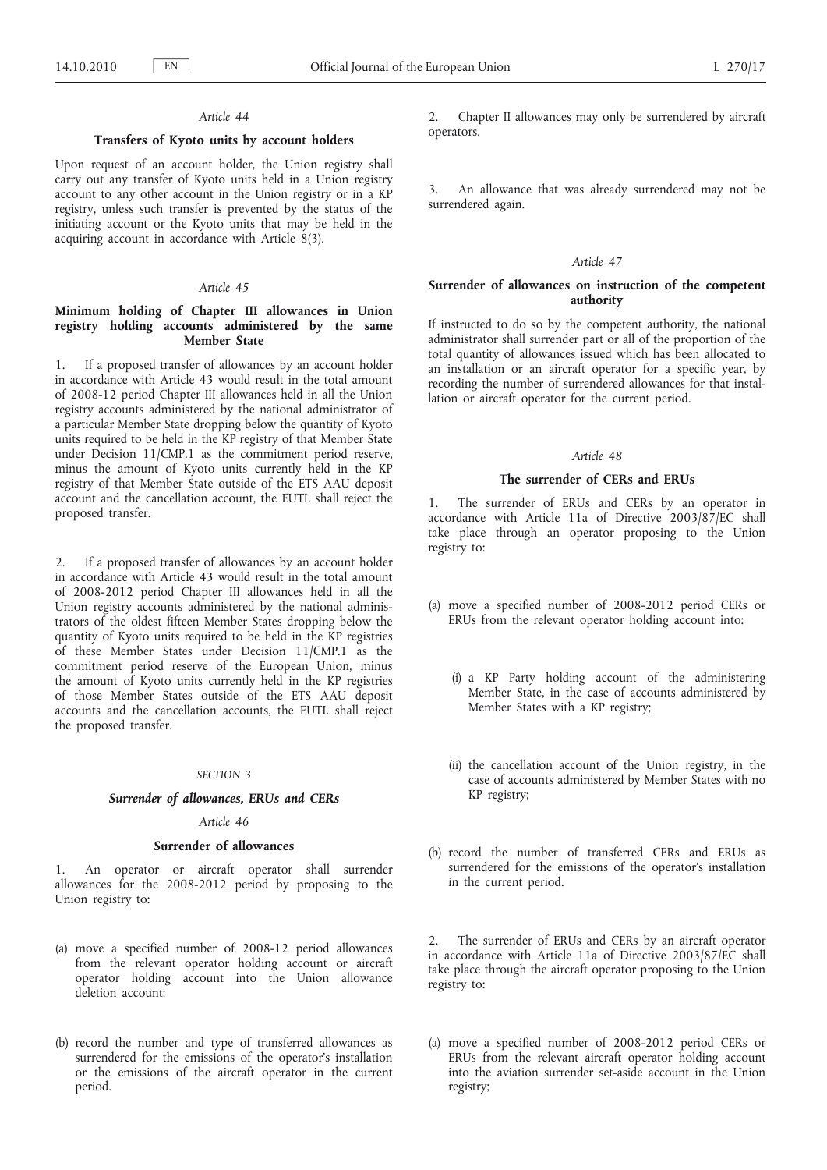### **Transfers of Kyoto units by account holders**

Upon request of an account holder, the Union registry shall carry out any transfer of Kyoto units held in a Union registry account to any other account in the Union registry or in a KP registry, unless such transfer is prevented by the status of the initiating account or the Kyoto units that may be held in the acquiring account in accordance with Article 8(3).

#### *Article 45*

# **Minimum holding of Chapter III allowances in Union registry holding accounts administered by the same Member State**

1. If a proposed transfer of allowances by an account holder in accordance with Article 43 would result in the total amount of 2008-12 period Chapter III allowances held in all the Union registry accounts administered by the national administrator of a particular Member State dropping below the quantity of Kyoto units required to be held in the KP registry of that Member State under Decision 11/CMP.1 as the commitment period reserve, minus the amount of Kyoto units currently held in the KP registry of that Member State outside of the ETS AAU deposit account and the cancellation account, the EUTL shall reject the proposed transfer.

2. If a proposed transfer of allowances by an account holder in accordance with Article 43 would result in the total amount of 2008-2012 period Chapter III allowances held in all the Union registry accounts administered by the national administrators of the oldest fifteen Member States dropping below the quantity of Kyoto units required to be held in the KP registries of these Member States under Decision 11/CMP.1 as the commitment period reserve of the European Union, minus the amount of Kyoto units currently held in the KP registries of those Member States outside of the ETS AAU deposit accounts and the cancellation accounts, the EUTL shall reject the proposed transfer.

#### *SECTION 3*

#### *Surrender of allowances, ERUs and CERs*

#### *Article 46*

### **Surrender of allowances**

1. An operator or aircraft operator shall surrender allowances for the 2008-2012 period by proposing to the Union registry to:

- (a) move a specified number of 2008-12 period allowances from the relevant operator holding account or aircraft operator holding account into the Union allowance deletion account:
- (b) record the number and type of transferred allowances as surrendered for the emissions of the operator's installation or the emissions of the aircraft operator in the current period.

2. Chapter II allowances may only be surrendered by aircraft operators.

3. An allowance that was already surrendered may not be surrendered again.

#### *Article 47*

### **Surrender of allowances on instruction of the competent authority**

If instructed to do so by the competent authority, the national administrator shall surrender part or all of the proportion of the total quantity of allowances issued which has been allocated to an installation or an aircraft operator for a specific year, by recording the number of surrendered allowances for that installation or aircraft operator for the current period.

#### *Article 48*

### **The surrender of CERs and ERUs**

The surrender of ERUs and CERs by an operator in accordance with Article 11a of Directive 2003/87/EC shall take place through an operator proposing to the Union registry to:

- (a) move a specified number of 2008-2012 period CERs or ERUs from the relevant operator holding account into:
	- (i) a KP Party holding account of the administering Member State, in the case of accounts administered by Member States with a KP registry;
	- (ii) the cancellation account of the Union registry, in the case of accounts administered by Member States with no KP registry;
- (b) record the number of transferred CERs and ERUs as surrendered for the emissions of the operator's installation in the current period.

2. The surrender of ERUs and CERs by an aircraft operator in accordance with Article 11a of Directive 2003/87/EC shall take place through the aircraft operator proposing to the Union registry to:

(a) move a specified number of 2008-2012 period CERs or ERUs from the relevant aircraft operator holding account into the aviation surrender set-aside account in the Union registry;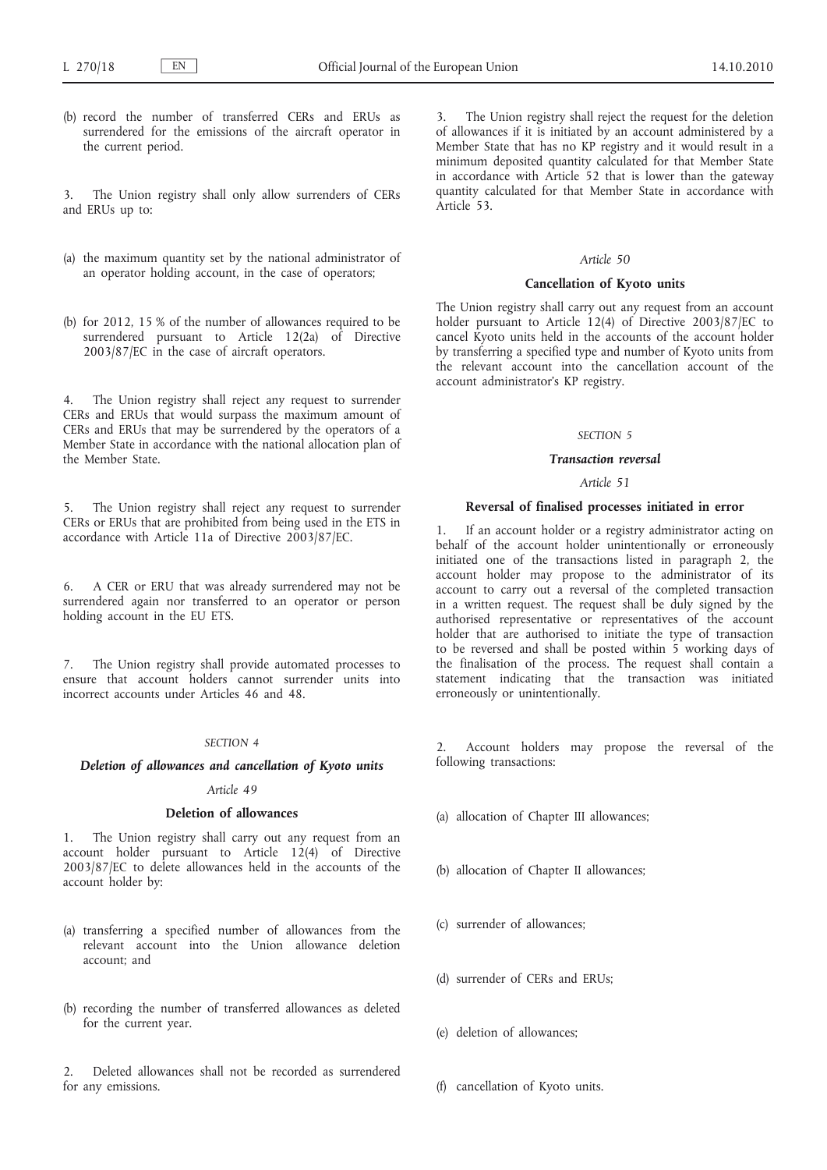(b) record the number of transferred CERs and ERUs as surrendered for the emissions of the aircraft operator in the current period.

3. The Union registry shall only allow surrenders of CERs and ERUs up to:

- (a) the maximum quantity set by the national administrator of an operator holding account, in the case of operators;
- (b) for 2012, 15 % of the number of allowances required to be surrendered pursuant to Article 12(2a) of Directive 2003/87/EC in the case of aircraft operators.

The Union registry shall reject any request to surrender CERs and ERUs that would surpass the maximum amount of CERs and ERUs that may be surrendered by the operators of a Member State in accordance with the national allocation plan of the Member State.

5. The Union registry shall reject any request to surrender CERs or ERUs that are prohibited from being used in the ETS in accordance with Article 11a of Directive 2003/87/EC.

6. A CER or ERU that was already surrendered may not be surrendered again nor transferred to an operator or person holding account in the EU ETS.

7. The Union registry shall provide automated processes to ensure that account holders cannot surrender units into incorrect accounts under Articles 46 and 48.

#### *SECTION 4*

#### *Deletion of allowances and cancellation of Kyoto units*

### *Article 49*

### **Deletion of allowances**

1. The Union registry shall carry out any request from an account holder pursuant to Article 12(4) of Directive 2003/87/EC to delete allowances held in the accounts of the account holder by:

- (a) transferring a specified number of allowances from the relevant account into the Union allowance deletion account; and
- (b) recording the number of transferred allowances as deleted for the current year.

2. Deleted allowances shall not be recorded as surrendered for any emissions.

The Union registry shall reject the request for the deletion of allowances if it is initiated by an account administered by a Member State that has no KP registry and it would result in a minimum deposited quantity calculated for that Member State in accordance with Article 52 that is lower than the gateway quantity calculated for that Member State in accordance with Article 53.

### *Article 50*

### **Cancellation of Kyoto units**

The Union registry shall carry out any request from an account holder pursuant to Article 12(4) of Directive 2003/87/EC to cancel Kyoto units held in the accounts of the account holder by transferring a specified type and number of Kyoto units from the relevant account into the cancellation account of the account administrator's KP registry.

#### *SECTION 5*

#### *Transaction reversal*

*Article 51*

#### **Reversal of finalised processes initiated in error**

1. If an account holder or a registry administrator acting on behalf of the account holder unintentionally or erroneously initiated one of the transactions listed in paragraph 2, the account holder may propose to the administrator of its account to carry out a reversal of the completed transaction in a written request. The request shall be duly signed by the authorised representative or representatives of the account holder that are authorised to initiate the type of transaction to be reversed and shall be posted within  $5 \times 10^{-10}$  working days of the finalisation of the process. The request shall contain a statement indicating that the transaction was initiated erroneously or unintentionally.

Account holders may propose the reversal of the following transactions:

- (a) allocation of Chapter III allowances;
- (b) allocation of Chapter II allowances;
- (c) surrender of allowances;
- (d) surrender of CERs and ERUs;
- (e) deletion of allowances;
- (f) cancellation of Kyoto units.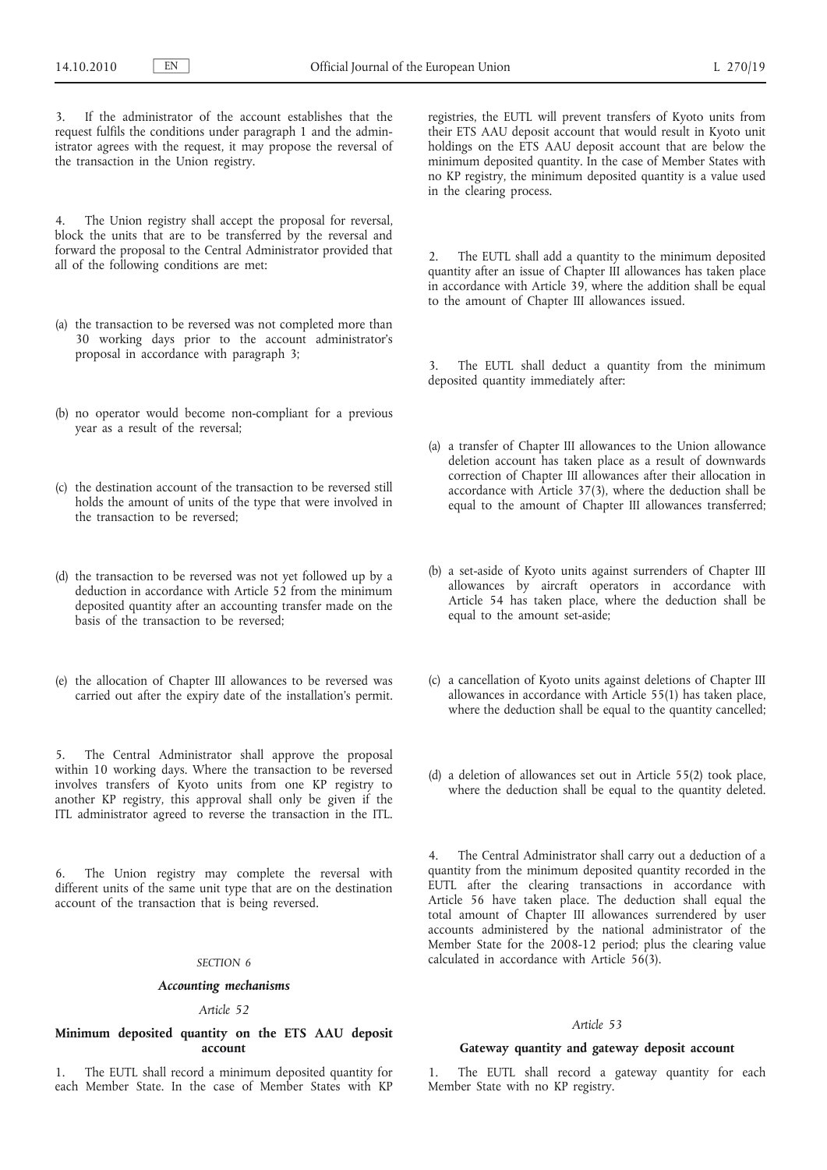If the administrator of the account establishes that the request fulfils the conditions under paragraph 1 and the administrator agrees with the request, it may propose the reversal of the transaction in the Union registry.

4. The Union registry shall accept the proposal for reversal, block the units that are to be transferred by the reversal and forward the proposal to the Central Administrator provided that all of the following conditions are met:

- (a) the transaction to be reversed was not completed more than 30 working days prior to the account administrator's proposal in accordance with paragraph 3;
- (b) no operator would become non-compliant for a previous year as a result of the reversal;
- (c) the destination account of the transaction to be reversed still holds the amount of units of the type that were involved in the transaction to be reversed;
- (d) the transaction to be reversed was not yet followed up by a deduction in accordance with Article 52 from the minimum deposited quantity after an accounting transfer made on the basis of the transaction to be reversed;
- (e) the allocation of Chapter III allowances to be reversed was carried out after the expiry date of the installation's permit.

The Central Administrator shall approve the proposal within 10 working days. Where the transaction to be reversed involves transfers of Kyoto units from one KP registry to another KP registry, this approval shall only be given if the ITL administrator agreed to reverse the transaction in the ITL.

6. The Union registry may complete the reversal with different units of the same unit type that are on the destination account of the transaction that is being reversed.

#### *SECTION 6*

#### *Accounting mechanisms*

#### *Article 52*

### **Minimum deposited quantity on the ETS AAU deposit account**

1. The EUTL shall record a minimum deposited quantity for each Member State. In the case of Member States with KP registries, the EUTL will prevent transfers of Kyoto units from their ETS AAU deposit account that would result in Kyoto unit holdings on the ETS AAU deposit account that are below the minimum deposited quantity. In the case of Member States with no KP registry, the minimum deposited quantity is a value used in the clearing process.

The EUTL shall add a quantity to the minimum deposited quantity after an issue of Chapter III allowances has taken place in accordance with Article 39, where the addition shall be equal to the amount of Chapter III allowances issued.

3. The EUTL shall deduct a quantity from the minimum deposited quantity immediately after:

- (a) a transfer of Chapter III allowances to the Union allowance deletion account has taken place as a result of downwards correction of Chapter III allowances after their allocation in accordance with Article  $37(3)$ , where the deduction shall be equal to the amount of Chapter III allowances transferred;
- (b) a set-aside of Kyoto units against surrenders of Chapter III allowances by aircraft operators in accordance with Article 54 has taken place, where the deduction shall be equal to the amount set-aside;
- (c) a cancellation of Kyoto units against deletions of Chapter III allowances in accordance with Article 55(1) has taken place, where the deduction shall be equal to the quantity cancelled;
- (d) a deletion of allowances set out in Article 55(2) took place, where the deduction shall be equal to the quantity deleted.

4. The Central Administrator shall carry out a deduction of a quantity from the minimum deposited quantity recorded in the EUTL after the clearing transactions in accordance with Article 56 have taken place. The deduction shall equal the total amount of Chapter III allowances surrendered by user accounts administered by the national administrator of the Member State for the 2008-12 period; plus the clearing value calculated in accordance with Article 56(3).

### *Article 53*

#### **Gateway quantity and gateway deposit account**

1. The EUTL shall record a gateway quantity for each Member State with no KP registry.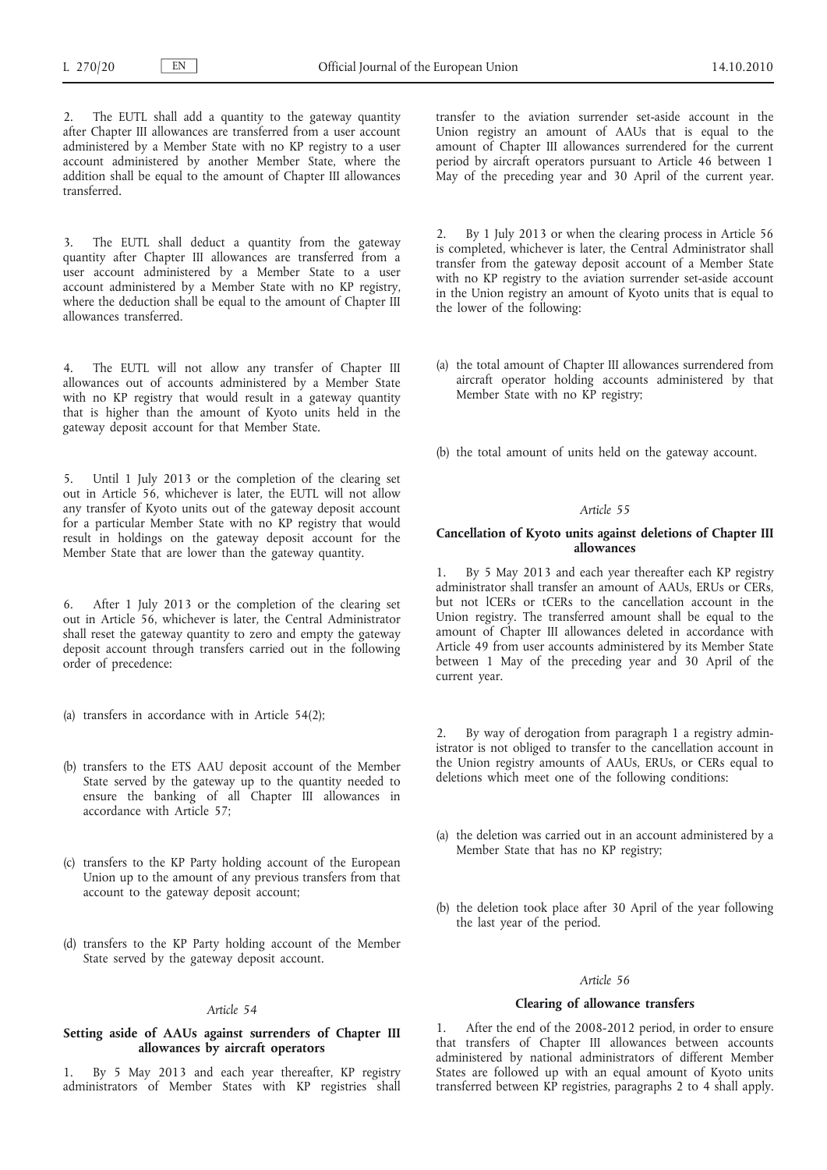The EUTL shall add a quantity to the gateway quantity after Chapter III allowances are transferred from a user account administered by a Member State with no KP registry to a user account administered by another Member State, where the addition shall be equal to the amount of Chapter III allowances transferred.

3. The EUTL shall deduct a quantity from the gateway quantity after Chapter III allowances are transferred from a user account administered by a Member State to a user account administered by a Member State with no KP registry, where the deduction shall be equal to the amount of Chapter III allowances transferred.

4. The EUTL will not allow any transfer of Chapter III allowances out of accounts administered by a Member State with no KP registry that would result in a gateway quantity that is higher than the amount of Kyoto units held in the gateway deposit account for that Member State.

5. Until 1 July 2013 or the completion of the clearing set out in Article 56, whichever is later, the EUTL will not allow any transfer of Kyoto units out of the gateway deposit account for a particular Member State with no KP registry that would result in holdings on the gateway deposit account for the Member State that are lower than the gateway quantity.

6. After 1 July 2013 or the completion of the clearing set out in Article 56, whichever is later, the Central Administrator shall reset the gateway quantity to zero and empty the gateway deposit account through transfers carried out in the following order of precedence:

- (a) transfers in accordance with in Article 54(2);
- (b) transfers to the ETS AAU deposit account of the Member State served by the gateway up to the quantity needed to ensure the banking of all Chapter III allowances in accordance with Article 57;
- (c) transfers to the KP Party holding account of the European Union up to the amount of any previous transfers from that account to the gateway deposit account;
- (d) transfers to the KP Party holding account of the Member State served by the gateway deposit account.

### *Article 54*

### **Setting aside of AAUs against surrenders of Chapter III allowances by aircraft operators**

1. By 5 May 2013 and each year thereafter, KP registry administrators of Member States with KP registries shall transfer to the aviation surrender set-aside account in the Union registry an amount of AAUs that is equal to the amount of Chapter III allowances surrendered for the current period by aircraft operators pursuant to Article 46 between 1 May of the preceding year and 30 April of the current year.

2. By 1 July 2013 or when the clearing process in Article 56 is completed, whichever is later, the Central Administrator shall transfer from the gateway deposit account of a Member State with no KP registry to the aviation surrender set-aside account in the Union registry an amount of Kyoto units that is equal to the lower of the following:

(a) the total amount of Chapter III allowances surrendered from aircraft operator holding accounts administered by that Member State with no KP registry;

(b) the total amount of units held on the gateway account.

### *Article 55*

### **Cancellation of Kyoto units against deletions of Chapter III allowances**

1. By 5 May 2013 and each year thereafter each KP registry administrator shall transfer an amount of AAUs, ERUs or CERs, but not lCERs or tCERs to the cancellation account in the Union registry. The transferred amount shall be equal to the amount of Chapter III allowances deleted in accordance with Article 49 from user accounts administered by its Member State between 1 May of the preceding year and 30 April of the current year.

2. By way of derogation from paragraph 1 a registry administrator is not obliged to transfer to the cancellation account in the Union registry amounts of AAUs, ERUs, or CERs equal to deletions which meet one of the following conditions:

- (a) the deletion was carried out in an account administered by a Member State that has no KP registry;
- (b) the deletion took place after 30 April of the year following the last year of the period.

### *Article 56*

#### **Clearing of allowance transfers**

After the end of the 2008-2012 period, in order to ensure that transfers of Chapter III allowances between accounts administered by national administrators of different Member States are followed up with an equal amount of Kyoto units transferred between KP registries, paragraphs 2 to 4 shall apply.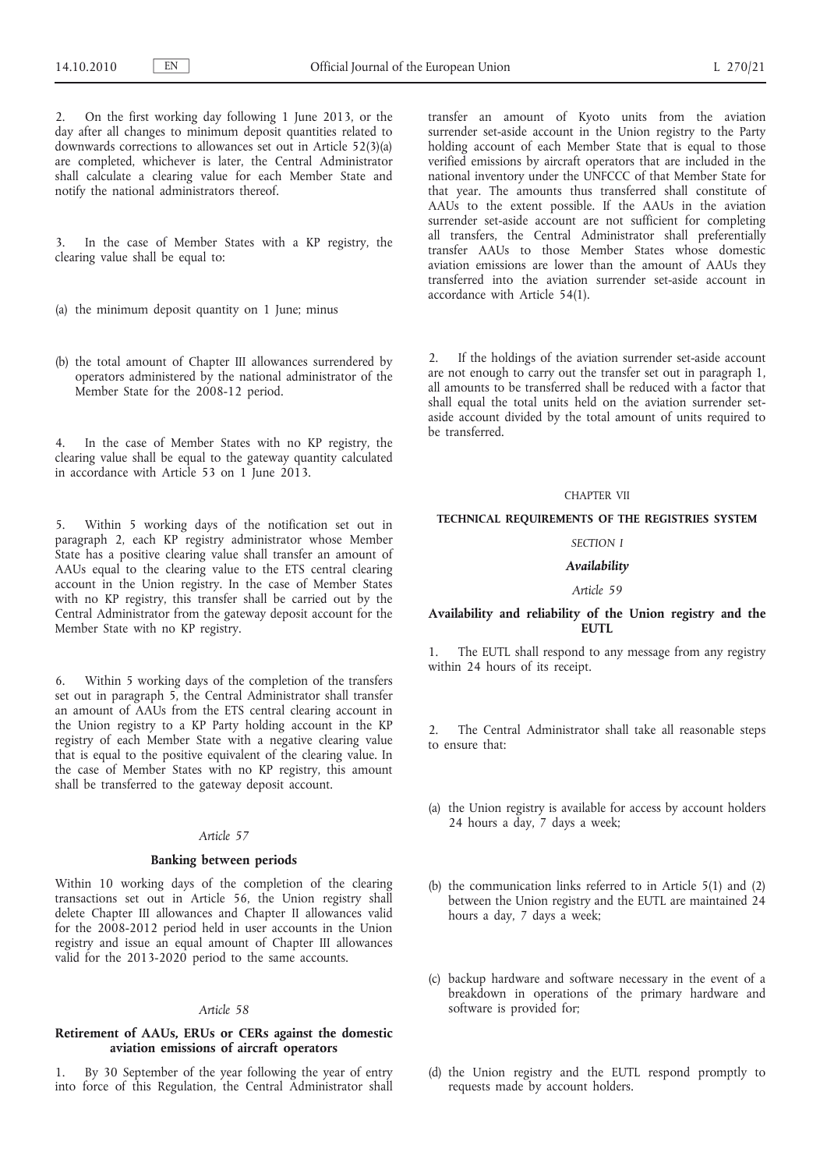2. On the first working day following 1 June 2013, or the day after all changes to minimum deposit quantities related to downwards corrections to allowances set out in Article 52(3)(a) are completed, whichever is later, the Central Administrator shall calculate a clearing value for each Member State and notify the national administrators thereof.

3. In the case of Member States with a KP registry, the clearing value shall be equal to:

- (a) the minimum deposit quantity on 1 June; minus
- (b) the total amount of Chapter III allowances surrendered by operators administered by the national administrator of the Member State for the 2008-12 period.

4. In the case of Member States with no KP registry, the clearing value shall be equal to the gateway quantity calculated in accordance with Article 53 on 1 June 2013.

5. Within 5 working days of the notification set out in paragraph 2, each KP registry administrator whose Member State has a positive clearing value shall transfer an amount of AAUs equal to the clearing value to the ETS central clearing account in the Union registry. In the case of Member States with no KP registry, this transfer shall be carried out by the Central Administrator from the gateway deposit account for the Member State with no KP registry.

6. Within 5 working days of the completion of the transfers set out in paragraph 5, the Central Administrator shall transfer an amount of AAUs from the ETS central clearing account in the Union registry to a KP Party holding account in the KP registry of each Member State with a negative clearing value that is equal to the positive equivalent of the clearing value. In the case of Member States with no KP registry, this amount shall be transferred to the gateway deposit account.

### *Article 57*

# **Banking between periods**

Within 10 working days of the completion of the clearing transactions set out in Article 56, the Union registry shall delete Chapter III allowances and Chapter II allowances valid for the 2008-2012 period held in user accounts in the Union registry and issue an equal amount of Chapter III allowances valid for the 2013-2020 period to the same accounts.

#### *Article 58*

### **Retirement of AAUs, ERUs or CERs against the domestic aviation emissions of aircraft operators**

1. By 30 September of the year following the year of entry into force of this Regulation, the Central Administrator shall transfer an amount of Kyoto units from the aviation surrender set-aside account in the Union registry to the Party holding account of each Member State that is equal to those verified emissions by aircraft operators that are included in the national inventory under the UNFCCC of that Member State for that year. The amounts thus transferred shall constitute of AAUs to the extent possible. If the AAUs in the aviation surrender set-aside account are not sufficient for completing all transfers, the Central Administrator shall preferentially transfer AAUs to those Member States whose domestic aviation emissions are lower than the amount of AAUs they transferred into the aviation surrender set-aside account in accordance with Article 54(1).

2. If the holdings of the aviation surrender set-aside account are not enough to carry out the transfer set out in paragraph 1, all amounts to be transferred shall be reduced with a factor that shall equal the total units held on the aviation surrender setaside account divided by the total amount of units required to be transferred.

#### CHAPTER VII

### **TECHNICAL REQUIREMENTS OF THE REGISTRIES SYSTEM**

### *SECTION I*

### *Availability*

### *Article 59*

### **Availability and reliability of the Union registry and the EUTL**

1. The EUTL shall respond to any message from any registry within 24 hours of its receipt.

2. The Central Administrator shall take all reasonable steps to ensure that:

- (a) the Union registry is available for access by account holders 24 hours a day, 7 days a week;
- (b) the communication links referred to in Article 5(1) and (2) between the Union registry and the EUTL are maintained 24 hours a day, 7 days a week;
- (c) backup hardware and software necessary in the event of a breakdown in operations of the primary hardware and software is provided for;
- (d) the Union registry and the EUTL respond promptly to requests made by account holders.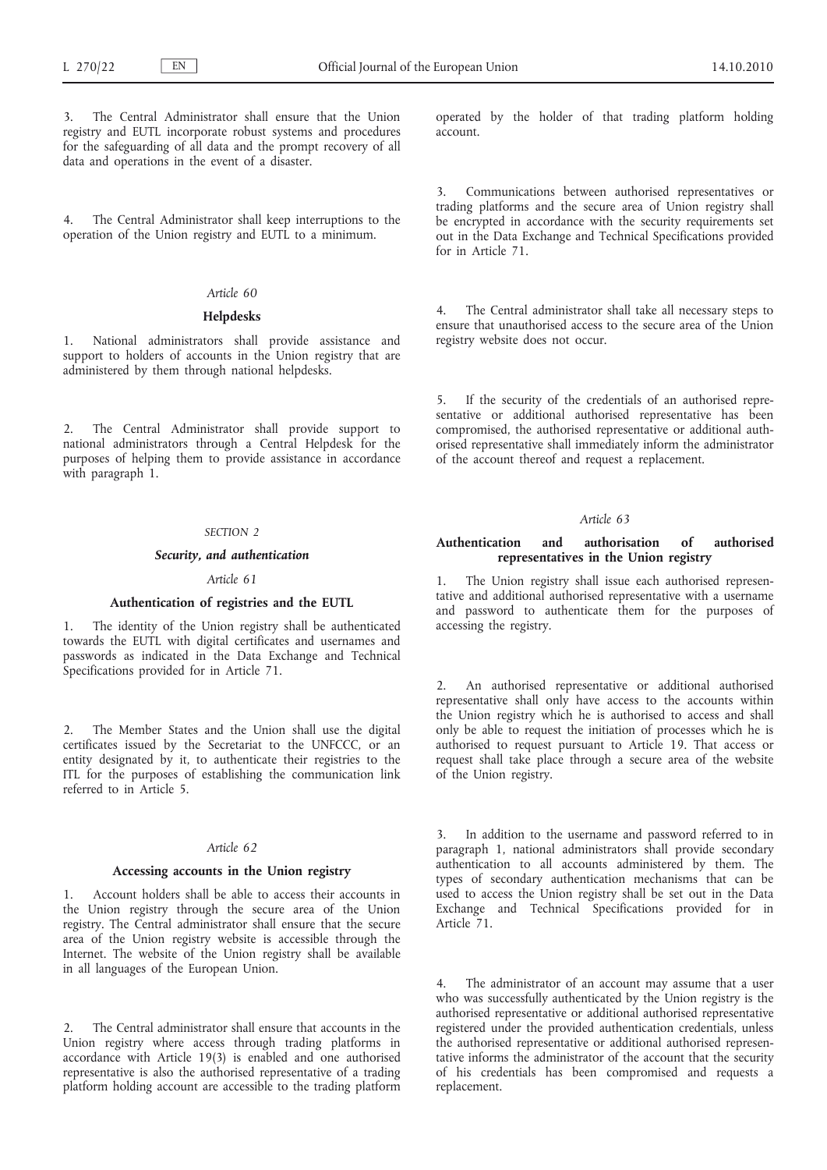The Central Administrator shall ensure that the Union registry and EUTL incorporate robust systems and procedures for the safeguarding of all data and the prompt recovery of all data and operations in the event of a disaster.

4. The Central Administrator shall keep interruptions to the operation of the Union registry and EUTL to a minimum.

# *Article 60*

### **Helpdesks**

1. National administrators shall provide assistance and support to holders of accounts in the Union registry that are administered by them through national helpdesks.

2. The Central Administrator shall provide support to national administrators through a Central Helpdesk for the purposes of helping them to provide assistance in accordance with paragraph 1.

### *SECTION 2*

### *Security, and authentication*

#### *Article 61*

#### **Authentication of registries and the EUTL**

The identity of the Union registry shall be authenticated towards the EUTL with digital certificates and usernames and passwords as indicated in the Data Exchange and Technical Specifications provided for in Article 71.

2. The Member States and the Union shall use the digital certificates issued by the Secretariat to the UNFCCC, or an entity designated by it, to authenticate their registries to the ITL for the purposes of establishing the communication link referred to in Article 5.

### *Article 62*

#### **Accessing accounts in the Union registry**

1. Account holders shall be able to access their accounts in the Union registry through the secure area of the Union registry. The Central administrator shall ensure that the secure area of the Union registry website is accessible through the Internet. The website of the Union registry shall be available in all languages of the European Union.

The Central administrator shall ensure that accounts in the Union registry where access through trading platforms in accordance with Article 19(3) is enabled and one authorised representative is also the authorised representative of a trading platform holding account are accessible to the trading platform operated by the holder of that trading platform holding account.

3. Communications between authorised representatives or trading platforms and the secure area of Union registry shall be encrypted in accordance with the security requirements set out in the Data Exchange and Technical Specifications provided for in Article 71.

4. The Central administrator shall take all necessary steps to ensure that unauthorised access to the secure area of the Union registry website does not occur.

5. If the security of the credentials of an authorised representative or additional authorised representative has been compromised, the authorised representative or additional authorised representative shall immediately inform the administrator of the account thereof and request a replacement.

### *Article 63*

## **Authentication and authorisation of authorised representatives in the Union registry**

The Union registry shall issue each authorised representative and additional authorised representative with a username and password to authenticate them for the purposes of accessing the registry.

2. An authorised representative or additional authorised representative shall only have access to the accounts within the Union registry which he is authorised to access and shall only be able to request the initiation of processes which he is authorised to request pursuant to Article 19. That access or request shall take place through a secure area of the website of the Union registry.

In addition to the username and password referred to in paragraph 1, national administrators shall provide secondary authentication to all accounts administered by them. The types of secondary authentication mechanisms that can be used to access the Union registry shall be set out in the Data Exchange and Technical Specifications provided for in Article 71.

4. The administrator of an account may assume that a user who was successfully authenticated by the Union registry is the authorised representative or additional authorised representative registered under the provided authentication credentials, unless the authorised representative or additional authorised representative informs the administrator of the account that the security of his credentials has been compromised and requests a replacement.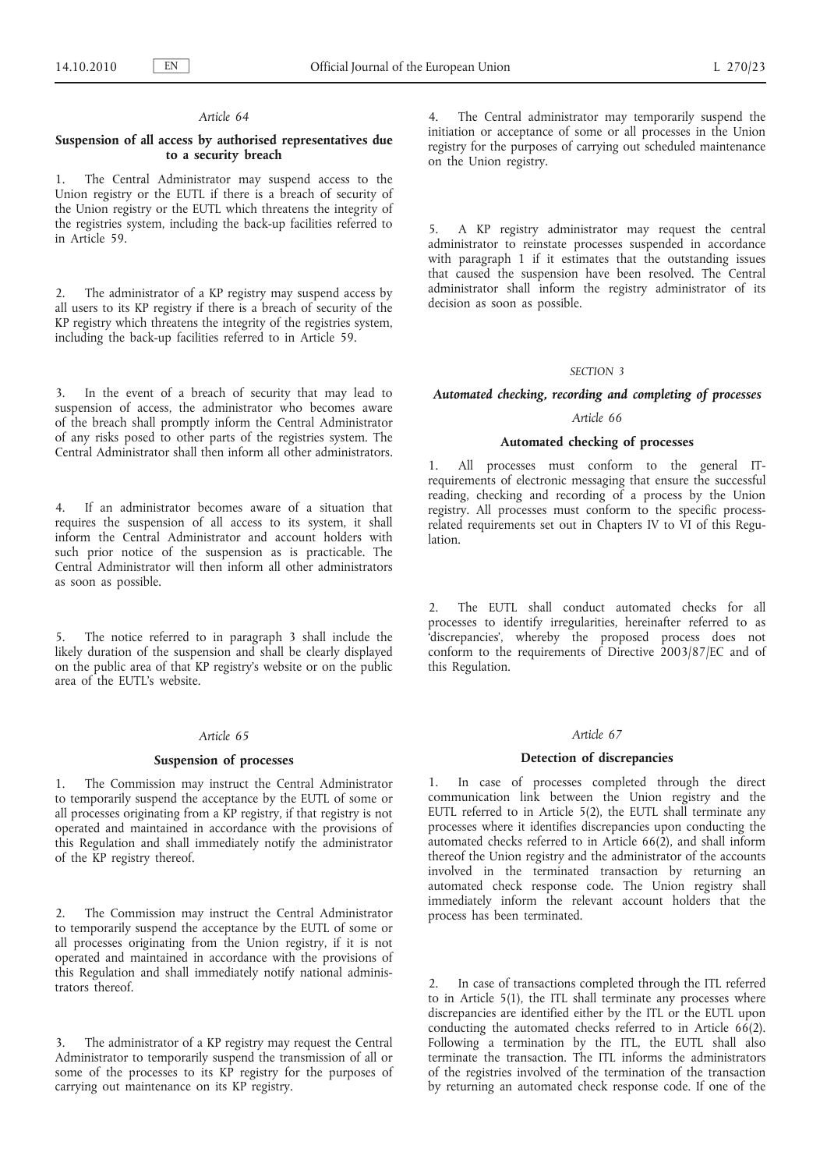### **Suspension of all access by authorised representatives due to a security breach**

1. The Central Administrator may suspend access to the Union registry or the EUTL if there is a breach of security of the Union registry or the EUTL which threatens the integrity of the registries system, including the back-up facilities referred to in Article 59.

2. The administrator of a KP registry may suspend access by all users to its KP registry if there is a breach of security of the KP registry which threatens the integrity of the registries system, including the back-up facilities referred to in Article 59.

In the event of a breach of security that may lead to suspension of access, the administrator who becomes aware of the breach shall promptly inform the Central Administrator of any risks posed to other parts of the registries system. The Central Administrator shall then inform all other administrators.

4. If an administrator becomes aware of a situation that requires the suspension of all access to its system, it shall inform the Central Administrator and account holders with such prior notice of the suspension as is practicable. The Central Administrator will then inform all other administrators as soon as possible.

The notice referred to in paragraph 3 shall include the likely duration of the suspension and shall be clearly displayed on the public area of that KP registry's website or on the public area of the EUTL's website.

#### *Article 65*

#### **Suspension of processes**

1. The Commission may instruct the Central Administrator to temporarily suspend the acceptance by the EUTL of some or all processes originating from a KP registry, if that registry is not operated and maintained in accordance with the provisions of this Regulation and shall immediately notify the administrator of the KP registry thereof.

2. The Commission may instruct the Central Administrator to temporarily suspend the acceptance by the EUTL of some or all processes originating from the Union registry, if it is not operated and maintained in accordance with the provisions of this Regulation and shall immediately notify national administrators thereof.

The administrator of a KP registry may request the Central Administrator to temporarily suspend the transmission of all or some of the processes to its KP registry for the purposes of carrying out maintenance on its KP registry.

The Central administrator may temporarily suspend the initiation or acceptance of some or all processes in the Union registry for the purposes of carrying out scheduled maintenance on the Union registry.

5. A KP registry administrator may request the central administrator to reinstate processes suspended in accordance with paragraph 1 if it estimates that the outstanding issues that caused the suspension have been resolved. The Central administrator shall inform the registry administrator of its decision as soon as possible.

### *SECTION 3*

### *Automated checking, recording and completing of processes*

### *Article 66*

### **Automated checking of processes**

1. All processes must conform to the general ITrequirements of electronic messaging that ensure the successful reading, checking and recording of a process by the Union registry. All processes must conform to the specific processrelated requirements set out in Chapters IV to VI of this Regulation.

2. The EUTL shall conduct automated checks for all processes to identify irregularities, hereinafter referred to as 'discrepancies', whereby the proposed process does not conform to the requirements of Directive 2003/87/EC and of this Regulation.

#### *Article 67*

### **Detection of discrepancies**

1. In case of processes completed through the direct communication link between the Union registry and the EUTL referred to in Article 5(2), the EUTL shall terminate any processes where it identifies discrepancies upon conducting the automated checks referred to in Article 66(2), and shall inform thereof the Union registry and the administrator of the accounts involved in the terminated transaction by returning an automated check response code. The Union registry shall immediately inform the relevant account holders that the process has been terminated.

2. In case of transactions completed through the ITL referred to in Article 5(1), the ITL shall terminate any processes where discrepancies are identified either by the ITL or the EUTL upon conducting the automated checks referred to in Article 66(2). Following a termination by the ITL, the EUTL shall also terminate the transaction. The ITL informs the administrators of the registries involved of the termination of the transaction by returning an automated check response code. If one of the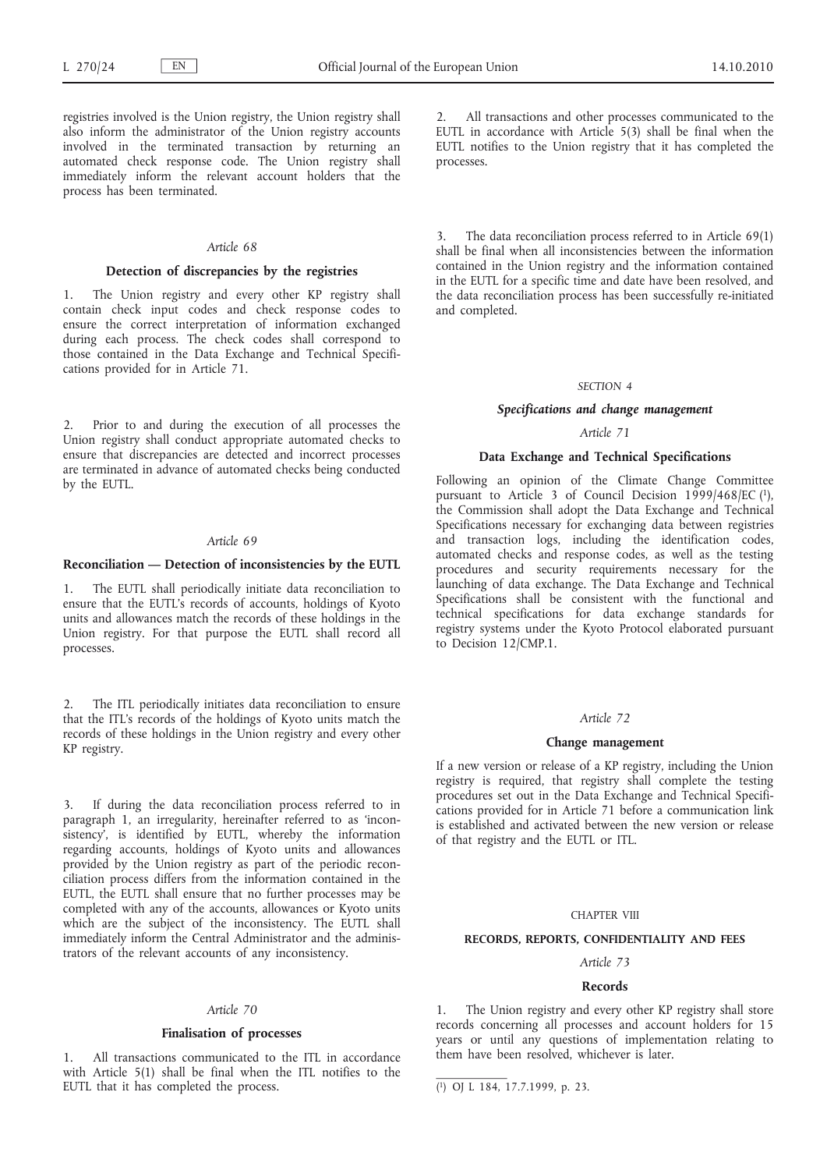registries involved is the Union registry, the Union registry shall also inform the administrator of the Union registry accounts involved in the terminated transaction by returning an automated check response code. The Union registry shall immediately inform the relevant account holders that the process has been terminated.

#### *Article 68*

# **Detection of discrepancies by the registries**

1. The Union registry and every other KP registry shall contain check input codes and check response codes to ensure the correct interpretation of information exchanged during each process. The check codes shall correspond to those contained in the Data Exchange and Technical Specifications provided for in Article 71.

Prior to and during the execution of all processes the Union registry shall conduct appropriate automated checks to ensure that discrepancies are detected and incorrect processes are terminated in advance of automated checks being conducted by the EUTL.

### *Article 69*

#### **Reconciliation — Detection of inconsistencies by the EUTL**

The EUTL shall periodically initiate data reconciliation to ensure that the EUTL's records of accounts, holdings of Kyoto units and allowances match the records of these holdings in the Union registry. For that purpose the EUTL shall record all processes.

2. The ITL periodically initiates data reconciliation to ensure that the ITL's records of the holdings of Kyoto units match the records of these holdings in the Union registry and every other KP registry.

3. If during the data reconciliation process referred to in paragraph 1, an irregularity, hereinafter referred to as 'inconsistency', is identified by EUTL, whereby the information regarding accounts, holdings of Kyoto units and allowances provided by the Union registry as part of the periodic reconciliation process differs from the information contained in the EUTL, the EUTL shall ensure that no further processes may be completed with any of the accounts, allowances or Kyoto units which are the subject of the inconsistency. The EUTL shall immediately inform the Central Administrator and the administrators of the relevant accounts of any inconsistency.

### *Article 70*

#### **Finalisation of processes**

1. All transactions communicated to the ITL in accordance with Article 5(1) shall be final when the ITL notifies to the EUTL that it has completed the process.

All transactions and other processes communicated to the EUTL in accordance with Article 5(3) shall be final when the EUTL notifies to the Union registry that it has completed the processes.

3. The data reconciliation process referred to in Article 69(1) shall be final when all inconsistencies between the information contained in the Union registry and the information contained in the EUTL for a specific time and date have been resolved, and the data reconciliation process has been successfully re-initiated and completed.

#### *SECTION 4*

### *Specifications and change management*

# *Article 71*

# **Data Exchange and Technical Specifications**

Following an opinion of the Climate Change Committee pursuant to Article 3 of Council Decision 1999/468/EC (1), the Commission shall adopt the Data Exchange and Technical Specifications necessary for exchanging data between registries and transaction logs, including the identification codes, automated checks and response codes, as well as the testing procedures and security requirements necessary for the launching of data exchange. The Data Exchange and Technical Specifications shall be consistent with the functional and technical specifications for data exchange standards for registry systems under the Kyoto Protocol elaborated pursuant to Decision 12/CMP.1.

#### *Article 72*

#### **Change management**

If a new version or release of a KP registry, including the Union registry is required, that registry shall complete the testing procedures set out in the Data Exchange and Technical Specifications provided for in Article 71 before a communication link is established and activated between the new version or release of that registry and the EUTL or ITL.

#### CHAPTER VIII

### **RECORDS, REPORTS, CONFIDENTIALITY AND FEES**

# *Article 73*

#### **Records**

1. The Union registry and every other KP registry shall store records concerning all processes and account holders for 15 years or until any questions of implementation relating to them have been resolved, whichever is later.

<sup>(</sup> 1) OJ L 184, 17.7.1999, p. 23.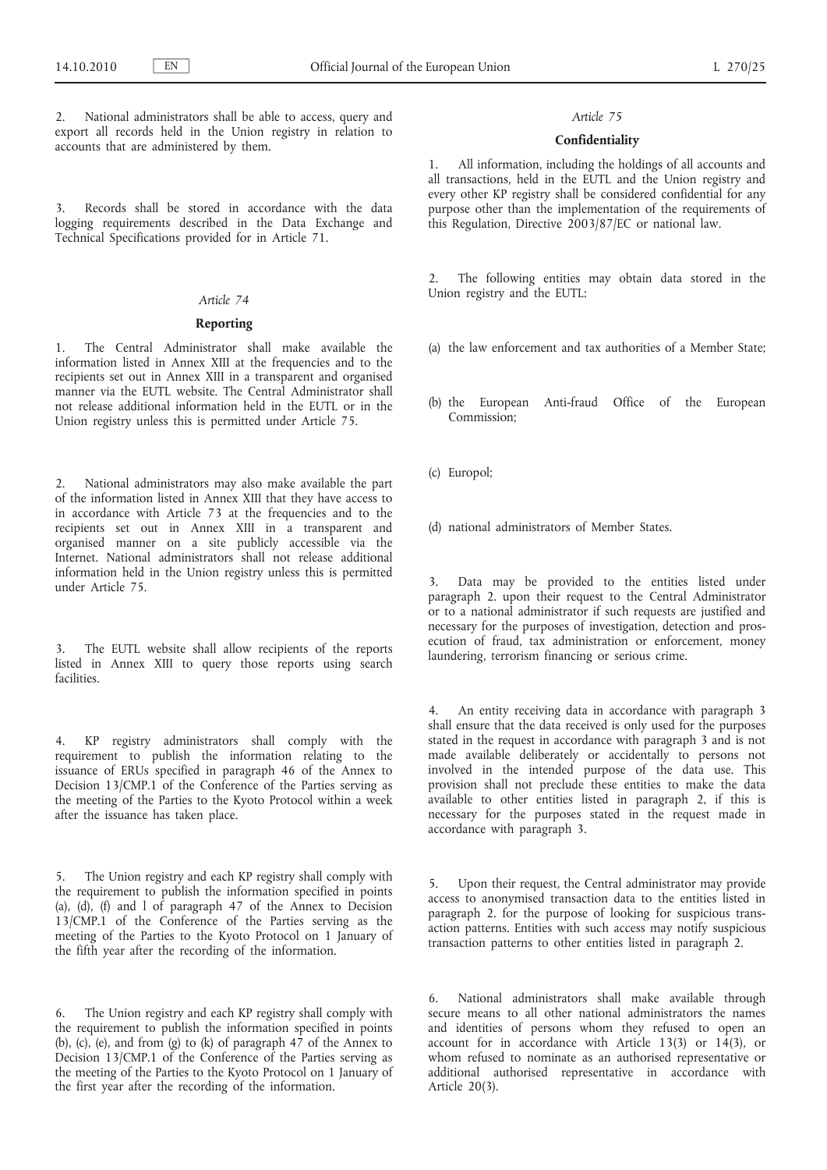National administrators shall be able to access, query and export all records held in the Union registry in relation to accounts that are administered by them.

Records shall be stored in accordance with the data logging requirements described in the Data Exchange and Technical Specifications provided for in Article 71.

### *Article 74*

### **Reporting**

1. The Central Administrator shall make available the information listed in Annex XIII at the frequencies and to the recipients set out in Annex XIII in a transparent and organised manner via the EUTL website. The Central Administrator shall not release additional information held in the EUTL or in the Union registry unless this is permitted under Article 75.

2. National administrators may also make available the part of the information listed in Annex XIII that they have access to in accordance with Article 73 at the frequencies and to the recipients set out in Annex XIII in a transparent and organised manner on a site publicly accessible via the Internet. National administrators shall not release additional information held in the Union registry unless this is permitted under Article 75.

3. The EUTL website shall allow recipients of the reports listed in Annex XIII to query those reports using search facilities.

4. KP registry administrators shall comply with the requirement to publish the information relating to the issuance of ERUs specified in paragraph 46 of the Annex to Decision 13/CMP.1 of the Conference of the Parties serving as the meeting of the Parties to the Kyoto Protocol within a week after the issuance has taken place.

5. The Union registry and each KP registry shall comply with the requirement to publish the information specified in points (a),  $(d)$ ,  $(f)$  and  $1$  of paragraph 47 of the Annex to Decision 13/CMP.1 of the Conference of the Parties serving as the meeting of the Parties to the Kyoto Protocol on 1 January of the fifth year after the recording of the information.

6. The Union registry and each KP registry shall comply with the requirement to publish the information specified in points (b), (c), (e), and from (g) to (k) of paragraph  $47$  of the Annex to Decision 13/CMP.1 of the Conference of the Parties serving as the meeting of the Parties to the Kyoto Protocol on 1 January of the first year after the recording of the information.

# *Article 75*

### **Confidentiality**

1. All information, including the holdings of all accounts and all transactions, held in the EUTL and the Union registry and every other KP registry shall be considered confidential for any purpose other than the implementation of the requirements of this Regulation, Directive 2003/87/EC or national law.

2. The following entities may obtain data stored in the Union registry and the EUTL:

- (a) the law enforcement and tax authorities of a Member State;
- (b) the European Anti-fraud Office of the European Commission;
- (c) Europol;

(d) national administrators of Member States.

3. Data may be provided to the entities listed under paragraph 2. upon their request to the Central Administrator or to a national administrator if such requests are justified and necessary for the purposes of investigation, detection and prosecution of fraud, tax administration or enforcement, money laundering, terrorism financing or serious crime.

4. An entity receiving data in accordance with paragraph 3 shall ensure that the data received is only used for the purposes stated in the request in accordance with paragraph 3 and is not made available deliberately or accidentally to persons not involved in the intended purpose of the data use. This provision shall not preclude these entities to make the data available to other entities listed in paragraph 2, if this is necessary for the purposes stated in the request made in accordance with paragraph 3.

5. Upon their request, the Central administrator may provide access to anonymised transaction data to the entities listed in paragraph 2. for the purpose of looking for suspicious transaction patterns. Entities with such access may notify suspicious transaction patterns to other entities listed in paragraph 2.

6. National administrators shall make available through secure means to all other national administrators the names and identities of persons whom they refused to open an account for in accordance with Article 13(3) or  $14(3)$ , or whom refused to nominate as an authorised representative or additional authorised representative in accordance with Article 20(3).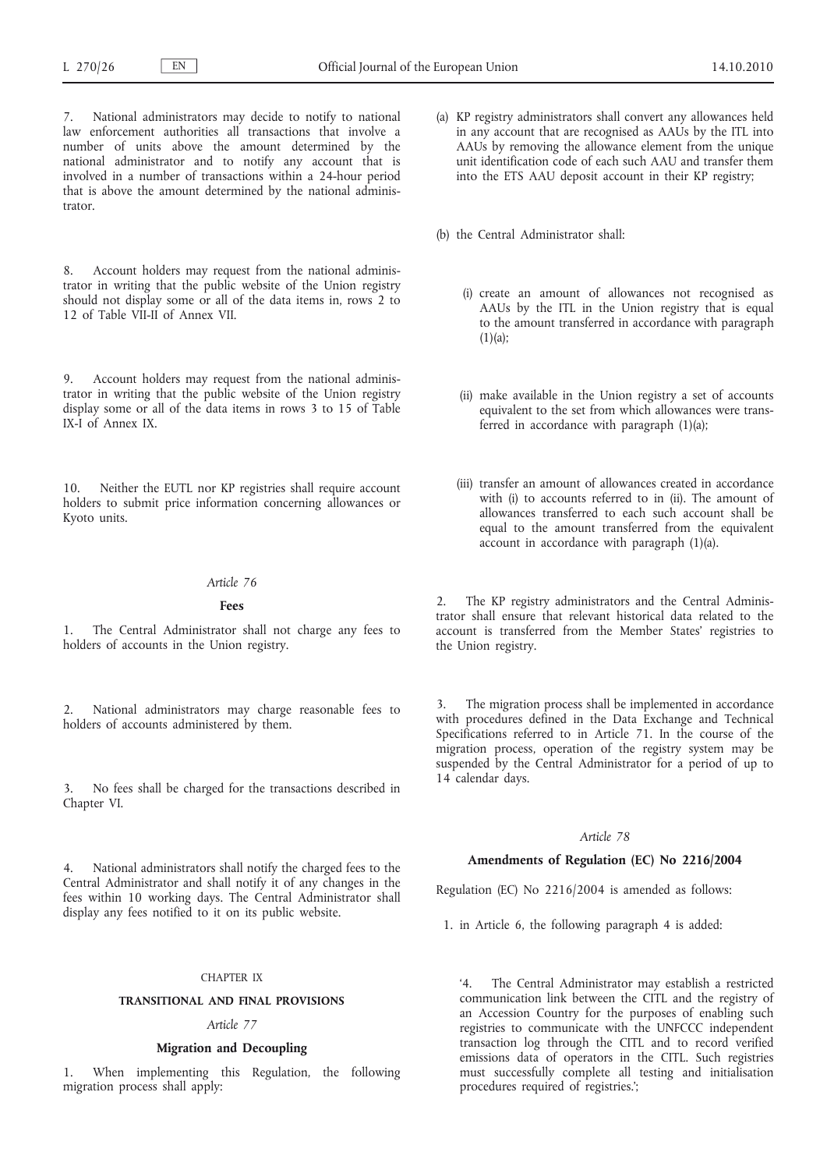7. National administrators may decide to notify to national law enforcement authorities all transactions that involve a number of units above the amount determined by the national administrator and to notify any account that is involved in a number of transactions within a 24-hour period that is above the amount determined by the national administrator.

8. Account holders may request from the national administrator in writing that the public website of the Union registry should not display some or all of the data items in, rows 2 to 12 of Table VII-II of Annex VII.

9. Account holders may request from the national administrator in writing that the public website of the Union registry display some or all of the data items in rows 3 to 15 of Table IX-I of Annex IX.

10. Neither the EUTL nor KP registries shall require account holders to submit price information concerning allowances or Kyoto units.

#### *Article 76*

### **Fees**

1. The Central Administrator shall not charge any fees to holders of accounts in the Union registry.

2. National administrators may charge reasonable fees to holders of accounts administered by them.

3. No fees shall be charged for the transactions described in Chapter VI.

4. National administrators shall notify the charged fees to the Central Administrator and shall notify it of any changes in the fees within 10 working days. The Central Administrator shall display any fees notified to it on its public website.

#### CHAPTER IX

### **TRANSITIONAL AND FINAL PROVISIONS**

### *Article 77*

### **Migration and Decoupling**

When implementing this Regulation, the following migration process shall apply:

(a) KP registry administrators shall convert any allowances held in any account that are recognised as AAUs by the ITL into AAUs by removing the allowance element from the unique unit identification code of each such AAU and transfer them into the ETS AAU deposit account in their KP registry;

(b) the Central Administrator shall:

- (i) create an amount of allowances not recognised as AAUs by the ITL in the Union registry that is equal to the amount transferred in accordance with paragraph  $(1)(a);$
- (ii) make available in the Union registry a set of accounts equivalent to the set from which allowances were transferred in accordance with paragraph (1)(a);
- (iii) transfer an amount of allowances created in accordance with (i) to accounts referred to in (ii). The amount of allowances transferred to each such account shall be equal to the amount transferred from the equivalent account in accordance with paragraph (1)(a).

2. The KP registry administrators and the Central Administrator shall ensure that relevant historical data related to the account is transferred from the Member States' registries to the Union registry.

3. The migration process shall be implemented in accordance with procedures defined in the Data Exchange and Technical Specifications referred to in Article 71. In the course of the migration process, operation of the registry system may be suspended by the Central Administrator for a period of up to 14 calendar days.

### *Article 78*

### **Amendments of Regulation (EC) No 2216/2004**

Regulation (EC) No 2216/2004 is amended as follows:

1. in Article 6, the following paragraph 4 is added:

'4. The Central Administrator may establish a restricted communication link between the CITL and the registry of an Accession Country for the purposes of enabling such registries to communicate with the UNFCCC independent transaction log through the CITL and to record verified emissions data of operators in the CITL. Such registries must successfully complete all testing and initialisation procedures required of registries.';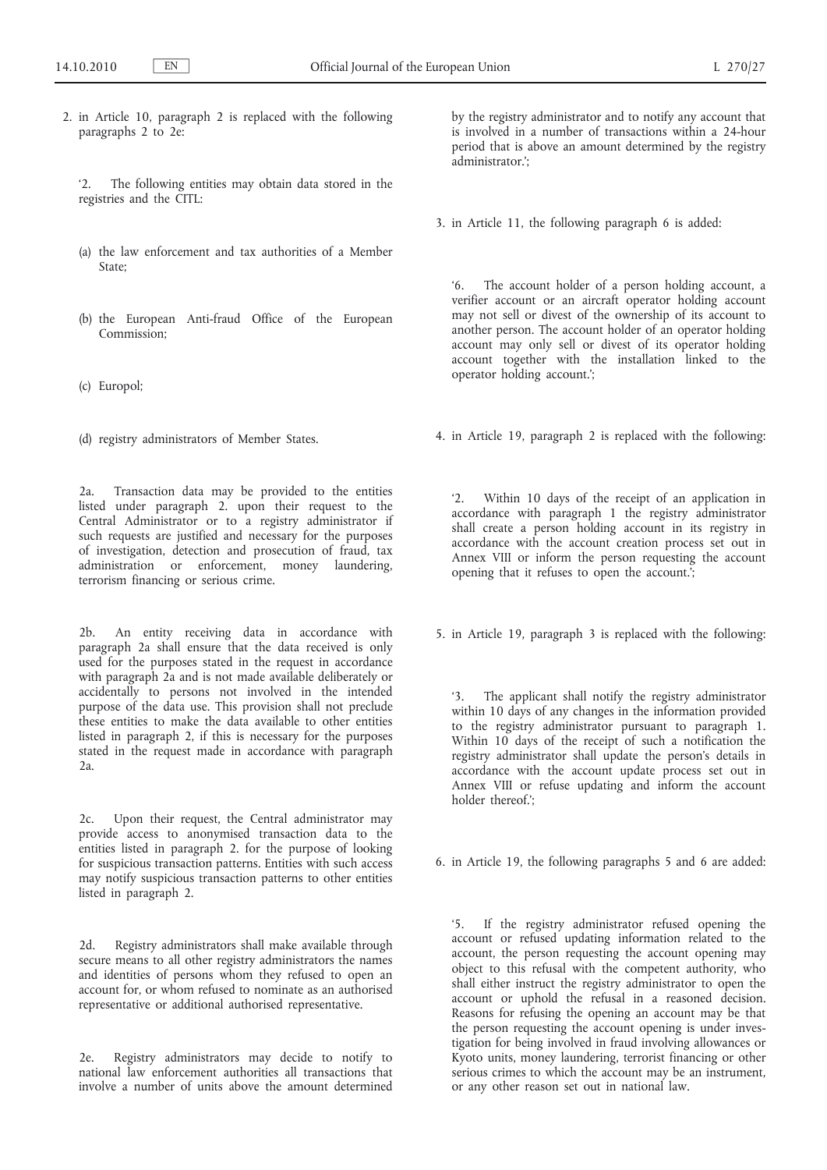2. in Article 10, paragraph 2 is replaced with the following paragraphs 2 to 2e:

'2. The following entities may obtain data stored in the registries and the CITL:

- (a) the law enforcement and tax authorities of a Member State;
- (b) the European Anti-fraud Office of the European Commission;
- (c) Europol;
- (d) registry administrators of Member States.

2a. Transaction data may be provided to the entities listed under paragraph 2. upon their request to the Central Administrator or to a registry administrator if such requests are justified and necessary for the purposes of investigation, detection and prosecution of fraud, tax administration or enforcement, money laundering, terrorism financing or serious crime.

2b. An entity receiving data in accordance with paragraph 2a shall ensure that the data received is only used for the purposes stated in the request in accordance with paragraph 2<sup>a</sup> and is not made available deliberately or accidentally to persons not involved in the intended purpose of the data use. This provision shall not preclude these entities to make the data available to other entities listed in paragraph 2, if this is necessary for the purposes stated in the request made in accordance with paragraph  $2a$ 

2c. Upon their request, the Central administrator may provide access to anonymised transaction data to the entities listed in paragraph 2. for the purpose of looking for suspicious transaction patterns. Entities with such access may notify suspicious transaction patterns to other entities listed in paragraph 2.

2d. Registry administrators shall make available through secure means to all other registry administrators the names and identities of persons whom they refused to open an account for, or whom refused to nominate as an authorised representative or additional authorised representative.

2e. Registry administrators may decide to notify to national law enforcement authorities all transactions that involve a number of units above the amount determined by the registry administrator and to notify any account that is involved in a number of transactions within a 24-hour period that is above an amount determined by the registry administrator<sup>"</sup>

3. in Article 11, the following paragraph 6 is added:

'6. The account holder of a person holding account, a verifier account or an aircraft operator holding account may not sell or divest of the ownership of its account to another person. The account holder of an operator holding account may only sell or divest of its operator holding account together with the installation linked to the operator holding account.';

4. in Article 19, paragraph 2 is replaced with the following:

'2. Within 10 days of the receipt of an application in accordance with paragraph 1 the registry administrator shall create a person holding account in its registry in accordance with the account creation process set out in Annex VIII or inform the person requesting the account opening that it refuses to open the account.';

5. in Article 19, paragraph 3 is replaced with the following:

'3. The applicant shall notify the registry administrator within 10 days of any changes in the information provided to the registry administrator pursuant to paragraph 1. Within  $10^\circ$  days of the receipt of such a notification the registry administrator shall update the person's details in accordance with the account update process set out in Annex VIII or refuse updating and inform the account holder thereof.';

6. in Article 19, the following paragraphs 5 and 6 are added:

'5. If the registry administrator refused opening the account or refused updating information related to the account, the person requesting the account opening may object to this refusal with the competent authority, who shall either instruct the registry administrator to open the account or uphold the refusal in a reasoned decision. Reasons for refusing the opening an account may be that the person requesting the account opening is under investigation for being involved in fraud involving allowances or Kyoto units, money laundering, terrorist financing or other serious crimes to which the account may be an instrument, or any other reason set out in national law.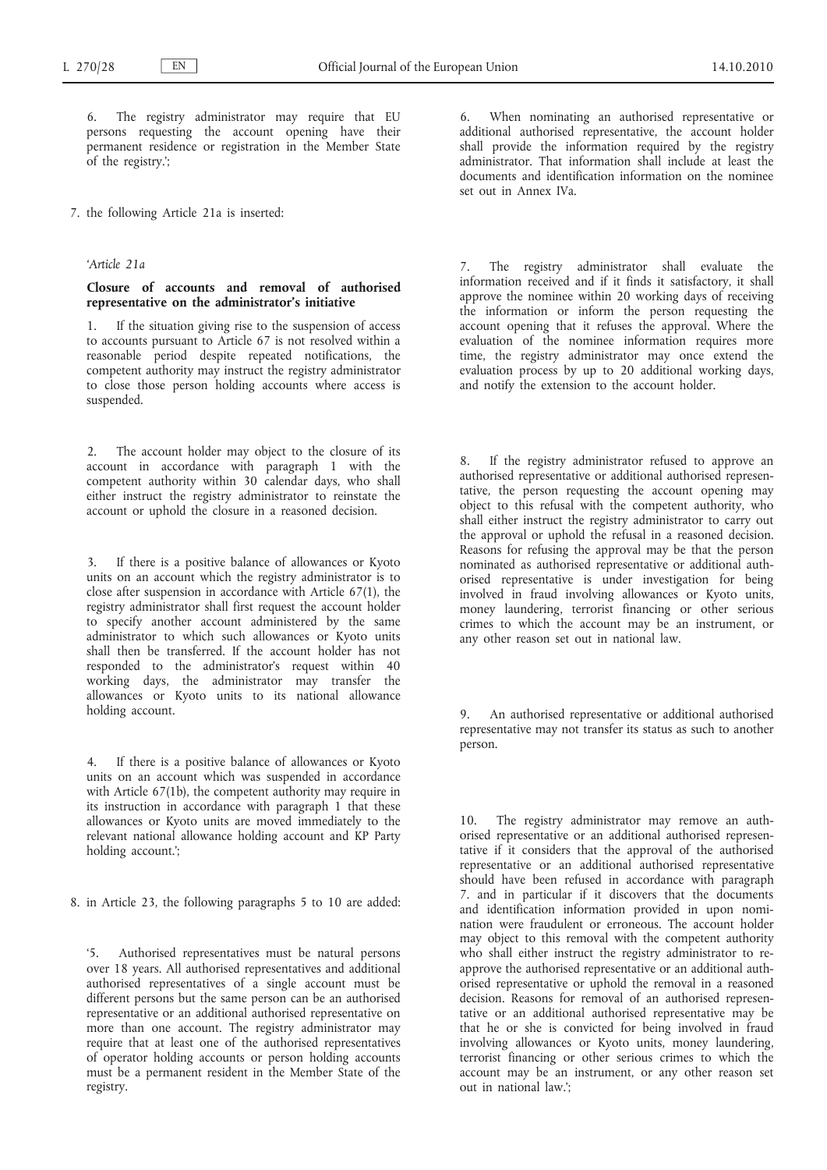The registry administrator may require that EU persons requesting the account opening have their permanent residence or registration in the Member State of the registry.';

7. the following Article 21a is inserted:

### *'Article 21a*

# **Closure of accounts and removal of authorised representative on the administrator's initiative**

1. If the situation giving rise to the suspension of access to accounts pursuant to Article 67 is not resolved within a reasonable period despite repeated notifications, the competent authority may instruct the registry administrator to close those person holding accounts where access is suspended.

2. The account holder may object to the closure of its account in accordance with paragraph 1 with the competent authority within 30 calendar days, who shall either instruct the registry administrator to reinstate the account or uphold the closure in a reasoned decision.

3. If there is a positive balance of allowances or Kyoto units on an account which the registry administrator is to close after suspension in accordance with Article 67(1), the registry administrator shall first request the account holder to specify another account administered by the same administrator to which such allowances or Kyoto units shall then be transferred. If the account holder has not responded to the administrator's request within 40 working days, the administrator may transfer the allowances or Kyoto units to its national allowance holding account.

4. If there is a positive balance of allowances or Kyoto units on an account which was suspended in accordance with Article 67(1b), the competent authority may require in its instruction in accordance with paragraph 1 that these allowances or Kyoto units are moved immediately to the relevant national allowance holding account and KP Party holding account.';

8. in Article 23, the following paragraphs 5 to 10 are added:

'5. Authorised representatives must be natural persons over 18 years. All authorised representatives and additional authorised representatives of a single account must be different persons but the same person can be an authorised representative or an additional authorised representative on more than one account. The registry administrator may require that at least one of the authorised representatives of operator holding accounts or person holding accounts must be a permanent resident in the Member State of the registry.

6. When nominating an authorised representative or additional authorised representative, the account holder shall provide the information required by the registry administrator. That information shall include at least the documents and identification information on the nominee set out in Annex IVa.

7. The registry administrator shall evaluate the information received and if it finds it satisfactory, it shall approve the nominee within 20 working days of receiving the information or inform the person requesting the account opening that it refuses the approval. Where the evaluation of the nominee information requires more time, the registry administrator may once extend the evaluation process by up to 20 additional working days, and notify the extension to the account holder.

8. If the registry administrator refused to approve an authorised representative or additional authorised representative, the person requesting the account opening may object to this refusal with the competent authority, who shall either instruct the registry administrator to carry out the approval or uphold the refusal in a reasoned decision. Reasons for refusing the approval may be that the person nominated as authorised representative or additional authorised representative is under investigation for being involved in fraud involving allowances or Kyoto units, money laundering, terrorist financing or other serious crimes to which the account may be an instrument, or any other reason set out in national law.

An authorised representative or additional authorised representative may not transfer its status as such to another person.

10. The registry administrator may remove an authorised representative or an additional authorised representative if it considers that the approval of the authorised representative or an additional authorised representative should have been refused in accordance with paragraph 7. and in particular if it discovers that the documents and identification information provided in upon nomination were fraudulent or erroneous. The account holder may object to this removal with the competent authority who shall either instruct the registry administrator to reapprove the authorised representative or an additional authorised representative or uphold the removal in a reasoned decision. Reasons for removal of an authorised representative or an additional authorised representative may be that he or she is convicted for being involved in fraud involving allowances or Kyoto units, money laundering, terrorist financing or other serious crimes to which the account may be an instrument, or any other reason set out in national law.';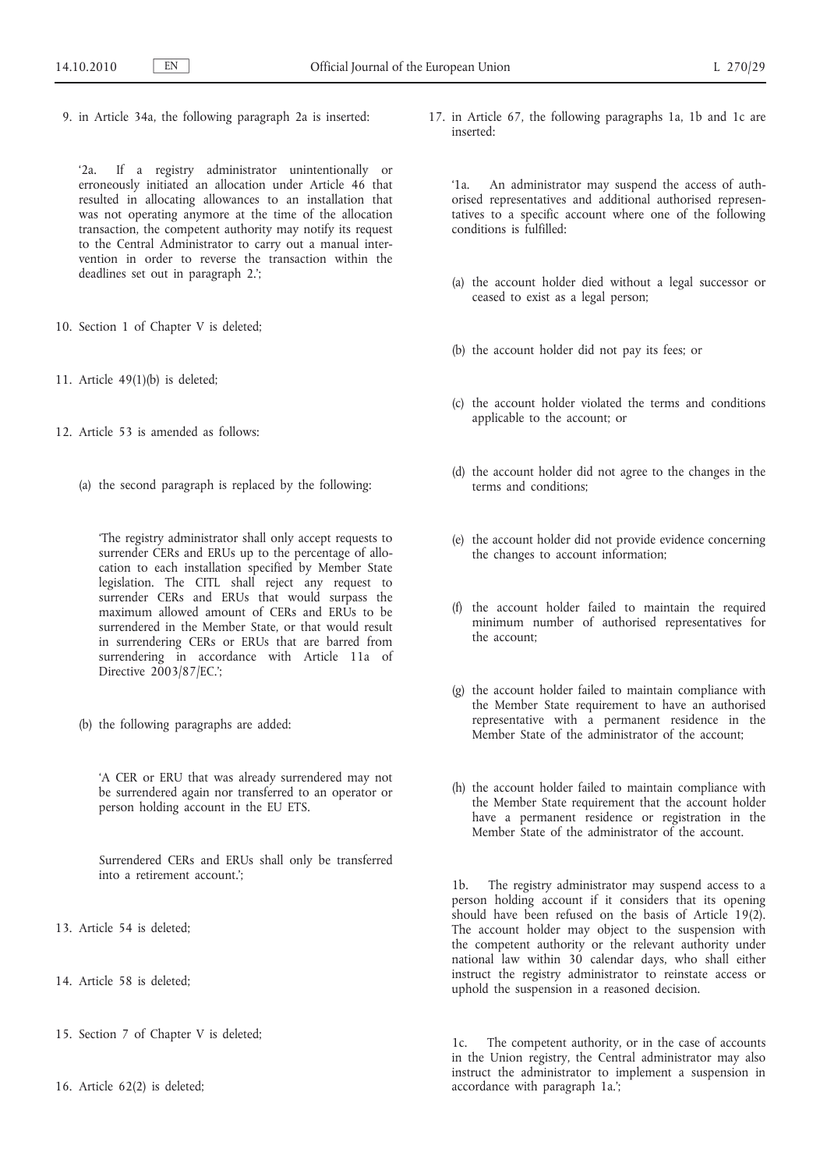9. in Article 34a, the following paragraph 2a is inserted:

'2a. If a registry administrator unintentionally or erroneously initiated an allocation under Article 46 that resulted in allocating allowances to an installation that was not operating anymore at the time of the allocation transaction, the competent authority may notify its request to the Central Administrator to carry out a manual intervention in order to reverse the transaction within the deadlines set out in paragraph 2.';

- 10. Section 1 of Chapter V is deleted;
- 11. Article 49(1)(b) is deleted;
- 12. Article 53 is amended as follows:
	- (a) the second paragraph is replaced by the following:

'The registry administrator shall only accept requests to surrender CERs and ERUs up to the percentage of allocation to each installation specified by Member State legislation. The CITL shall reject any request to surrender CERs and ERUs that would surpass the maximum allowed amount of CERs and ERUs to be surrendered in the Member State, or that would result in surrendering CERs or ERUs that are barred from surrendering in accordance with Article 11a of Directive 2003/87/EC.';

(b) the following paragraphs are added:

'A CER or ERU that was already surrendered may not be surrendered again nor transferred to an operator or person holding account in the EU ETS.

Surrendered CERs and ERUs shall only be transferred into a retirement account.';

- 13. Article 54 is deleted;
- 14. Article 58 is deleted;
- 15. Section 7 of Chapter V is deleted;
- 16. Article 62(2) is deleted;

17. in Article 67, the following paragraphs 1a, 1b and 1c are inserted:

'1a. An administrator may suspend the access of authorised representatives and additional authorised representatives to a specific account where one of the following conditions is fulfilled:

- (a) the account holder died without a legal successor or ceased to exist as a legal person;
- (b) the account holder did not pay its fees; or
- (c) the account holder violated the terms and conditions applicable to the account; or
- (d) the account holder did not agree to the changes in the terms and conditions;
- (e) the account holder did not provide evidence concerning the changes to account information;
- (f) the account holder failed to maintain the required minimum number of authorised representatives for the account;
- (g) the account holder failed to maintain compliance with the Member State requirement to have an authorised representative with a permanent residence in the Member State of the administrator of the account;
- (h) the account holder failed to maintain compliance with the Member State requirement that the account holder have a permanent residence or registration in the Member State of the administrator of the account.

1b. The registry administrator may suspend access to a person holding account if it considers that its opening should have been refused on the basis of Article 19(2). The account holder may object to the suspension with the competent authority or the relevant authority under national law within 30 calendar days, who shall either instruct the registry administrator to reinstate access or uphold the suspension in a reasoned decision.

1c. The competent authority, or in the case of accounts in the Union registry, the Central administrator may also instruct the administrator to implement a suspension in accordance with paragraph 1a.';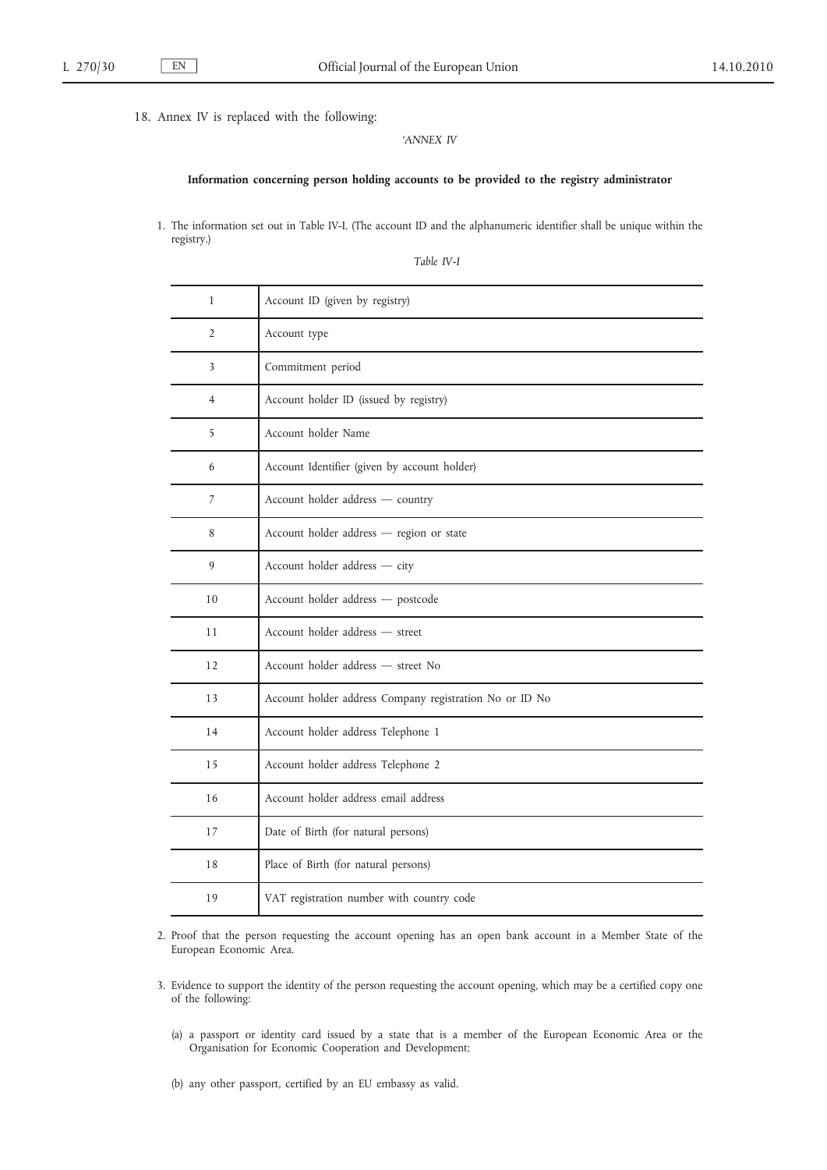18. Annex IV is replaced with the following:

*'ANNEX IV*

#### **Information concerning person holding accounts to be provided to the registry administrator**

1. The information set out in Table IV-I. (The account ID and the alphanumeric identifier shall be unique within the registry.)

*Table IV-I*

| $\mathbf{1}$   | Account ID (given by registry)                          |
|----------------|---------------------------------------------------------|
| $\overline{2}$ | Account type                                            |
| 3              | Commitment period                                       |
| $\overline{4}$ | Account holder ID (issued by registry)                  |
| 5              | Account holder Name                                     |
| 6              | Account Identifier (given by account holder)            |
| 7              | Account holder address - country                        |
| 8              | Account holder address - region or state                |
| 9              | Account holder address - city                           |
| 10             | Account holder address - postcode                       |
| 11             | Account holder address - street                         |
| 12             | Account holder address - street No                      |
| 13             | Account holder address Company registration No or ID No |
| 14             | Account holder address Telephone 1                      |
| 15             | Account holder address Telephone 2                      |
| 16             | Account holder address email address                    |
| 17             | Date of Birth (for natural persons)                     |
| 18             | Place of Birth (for natural persons)                    |
| 19             | VAT registration number with country code               |

2. Proof that the person requesting the account opening has an open bank account in a Member State of the European Economic Area.

- 3. Evidence to support the identity of the person requesting the account opening, which may be a certified copy one of the following:
	- (a) a passport or identity card issued by a state that is a member of the European Economic Area or the Organisation for Economic Cooperation and Development;
	- (b) any other passport, certified by an EU embassy as valid.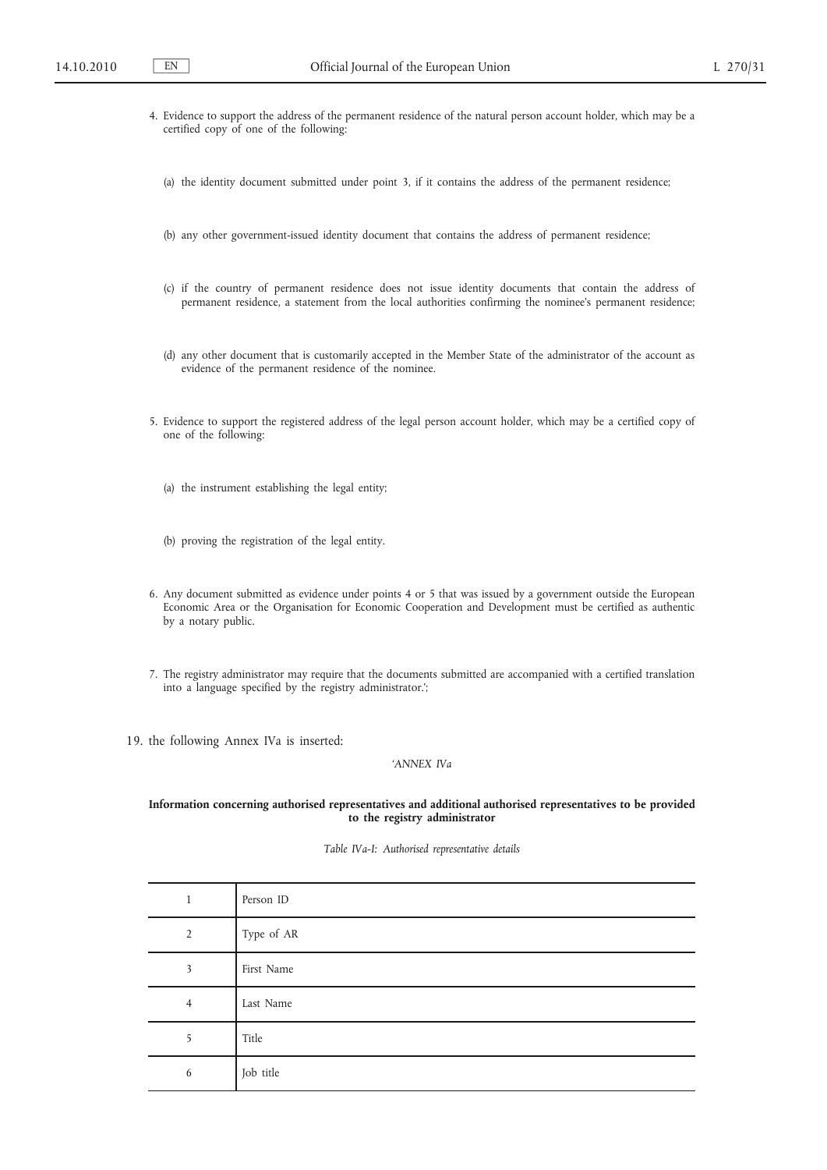- 4. Evidence to support the address of the permanent residence of the natural person account holder, which may be a certified copy of one of the following:
	- (a) the identity document submitted under point 3, if it contains the address of the permanent residence;
	- (b) any other government-issued identity document that contains the address of permanent residence;
	- (c) if the country of permanent residence does not issue identity documents that contain the address of permanent residence, a statement from the local authorities confirming the nominee's permanent residence;
	- (d) any other document that is customarily accepted in the Member State of the administrator of the account as evidence of the permanent residence of the nominee.
- 5. Evidence to support the registered address of the legal person account holder, which may be a certified copy of one of the following:
	- (a) the instrument establishing the legal entity;
	- (b) proving the registration of the legal entity.
- 6. Any document submitted as evidence under points 4 or 5 that was issued by a government outside the European Economic Area or the Organisation for Economic Cooperation and Development must be certified as authentic by a notary public.
- 7. The registry administrator may require that the documents submitted are accompanied with a certified translation into a language specified by the registry administrator.';

19. the following Annex IVa is inserted:

### *'ANNEX IVa*

### **Information concerning authorised representatives and additional authorised representatives to be provided to the registry administrator**

*Table IVa-I: Authorised representative details*

| 1              | Person ID  |
|----------------|------------|
| $\overline{2}$ | Type of AR |
| 3              | First Name |
| $\overline{4}$ | Last Name  |
| 5              | Title      |
| 6              | Job title  |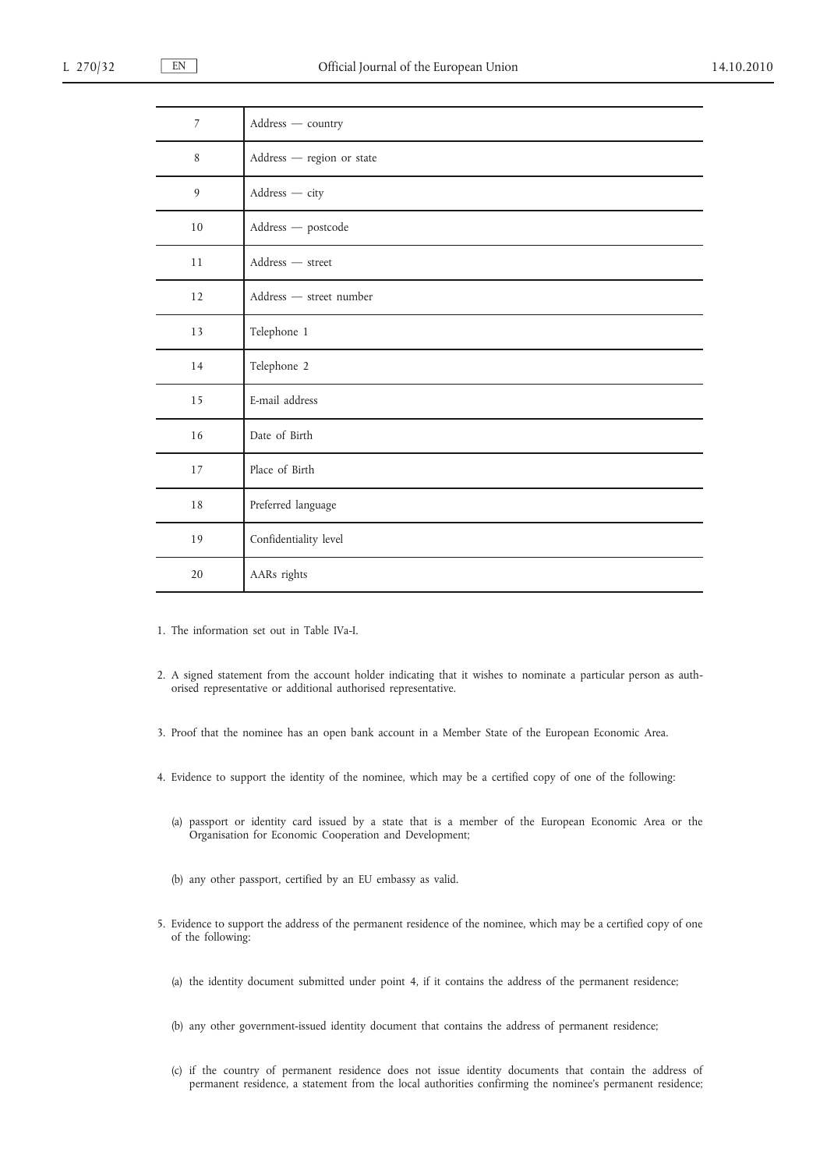| Address - country         |
|---------------------------|
| Address - region or state |
| Address - city            |
| Address - postcode        |
| Address - street          |
| Address - street number   |
| Telephone 1               |
| Telephone 2               |
| E-mail address            |
| Date of Birth             |
| Place of Birth            |
| Preferred language        |
| Confidentiality level     |
| AARs rights               |
|                           |

1. The information set out in Table IVa-I.

- 2. A signed statement from the account holder indicating that it wishes to nominate a particular person as authorised representative or additional authorised representative.
- 3. Proof that the nominee has an open bank account in a Member State of the European Economic Area.
- 4. Evidence to support the identity of the nominee, which may be a certified copy of one of the following:
	- (a) passport or identity card issued by a state that is a member of the European Economic Area or the Organisation for Economic Cooperation and Development;
	- (b) any other passport, certified by an EU embassy as valid.
- 5. Evidence to support the address of the permanent residence of the nominee, which may be a certified copy of one of the following:
	- (a) the identity document submitted under point 4, if it contains the address of the permanent residence;
	- (b) any other government-issued identity document that contains the address of permanent residence;
	- (c) if the country of permanent residence does not issue identity documents that contain the address of permanent residence, a statement from the local authorities confirming the nominee's permanent residence;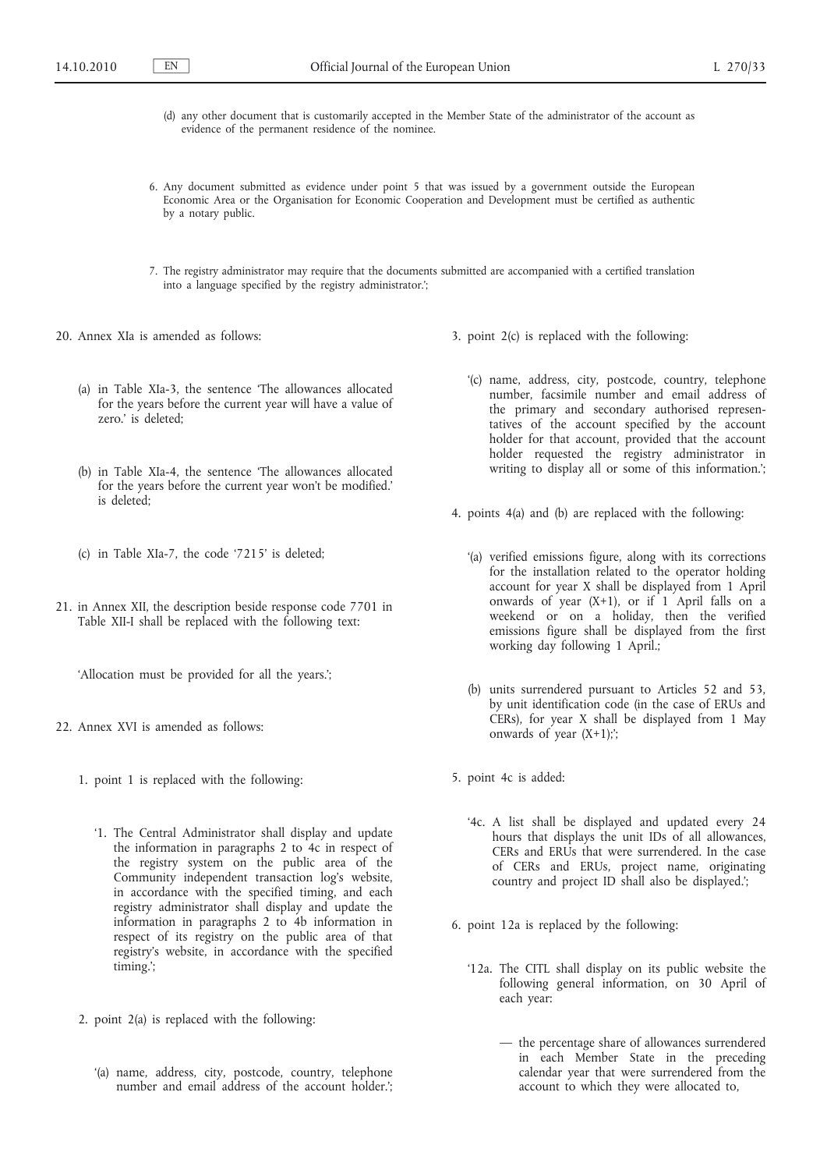- (d) any other document that is customarily accepted in the Member State of the administrator of the account as evidence of the permanent residence of the nominee.
- 6. Any document submitted as evidence under point 5 that was issued by a government outside the European Economic Area or the Organisation for Economic Cooperation and Development must be certified as authentic by a notary public.
- 7. The registry administrator may require that the documents submitted are accompanied with a certified translation into a language specified by the registry administrator.';
- 20. Annex XIa is amended as follows:
	- (a) in Table XIa-3, the sentence 'The allowances allocated for the years before the current year will have a value of zero.' is deleted;
	- (b) in Table XIa-4, the sentence 'The allowances allocated for the years before the current year won't be modified.' is deleted;
	- (c) in Table XIa-7, the code '7215' is deleted;
- 21. in Annex XII, the description beside response code 7701 in Table XII-I shall be replaced with the following text:

'Allocation must be provided for all the years.';

- 22. Annex XVI is amended as follows:
	- 1. point 1 is replaced with the following:
		- '1. The Central Administrator shall display and update the information in paragraphs 2 to 4c in respect of the registry system on the public area of the Community independent transaction log's website, in accordance with the specified timing, and each registry administrator shall display and update the information in paragraphs 2 to 4b information in respect of its registry on the public area of that registry's website, in accordance with the specified timing.';
	- 2. point 2(a) is replaced with the following:
		- '(a) name, address, city, postcode, country, telephone number and email address of the account holder.';
- 3. point 2(c) is replaced with the following:
	- '(c) name, address, city, postcode, country, telephone number, facsimile number and email address of the primary and secondary authorised representatives of the account specified by the account holder for that account, provided that the account holder requested the registry administrator in writing to display all or some of this information.';
- 4. points 4(a) and (b) are replaced with the following:
	- '(a) verified emissions figure, along with its corrections for the installation related to the operator holding account for year X shall be displayed from 1 April onwards of year  $(X+1)$ , or if 1 April falls on a weekend or on a holiday, then the verified emissions figure shall be displayed from the first working day following 1 April.;
	- (b) units surrendered pursuant to Articles 52 and 53, by unit identification code (in the case of ERUs and CERs), for year X shall be displayed from 1 May onwards of year  $(X+1)$ ;
- 5. point 4c is added:
	- '4c. A list shall be displayed and updated every 24 hours that displays the unit IDs of all allowances, CERs and ERUs that were surrendered. In the case of CERs and ERUs, project name, originating country and project ID shall also be displayed.';
- 6. point 12a is replaced by the following:
	- '12a. The CITL shall display on its public website the following general information, on 30 April of each year:
		- the percentage share of allowances surrendered in each Member State in the preceding calendar year that were surrendered from the account to which they were allocated to,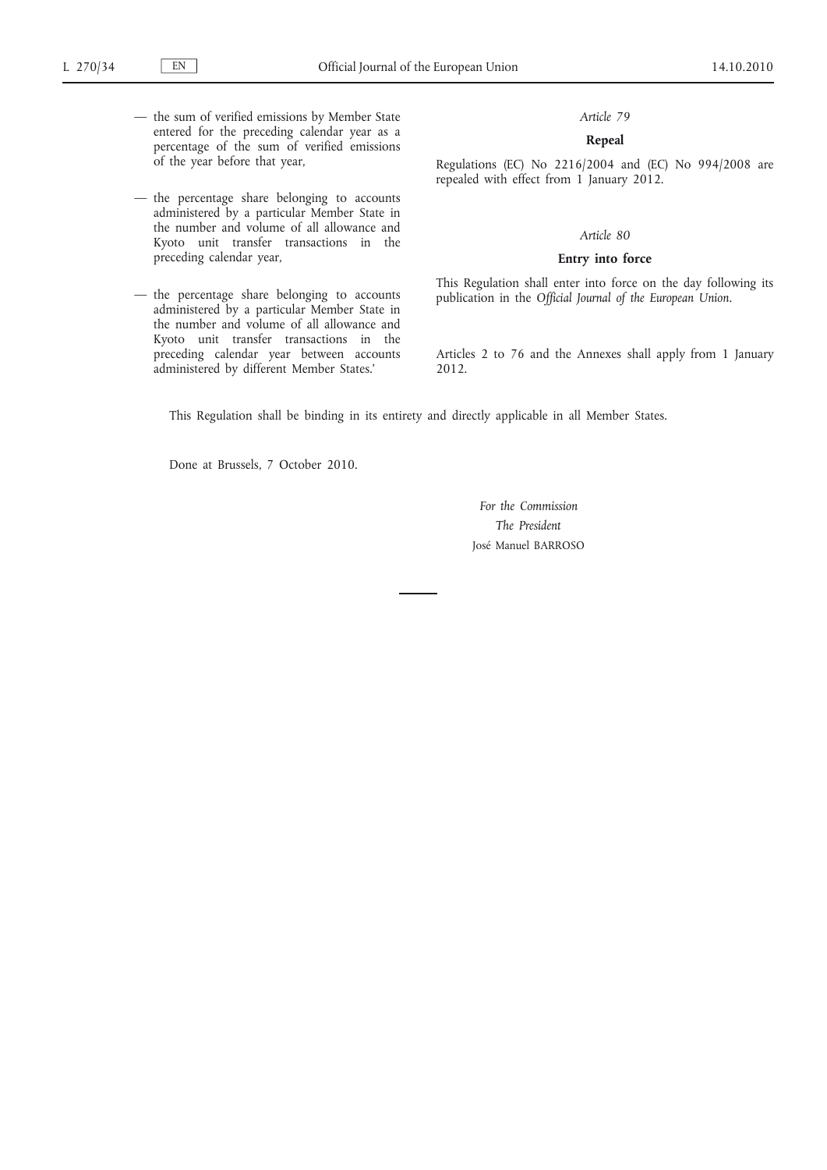- the sum of verified emissions by Member State entered for the preceding calendar year as a percentage of the sum of verified emissions of the year before that year,
- the percentage share belonging to accounts administered by a particular Member State in the number and volume of all allowance and Kyoto unit transfer transactions in the preceding calendar year,
- the percentage share belonging to accounts administered by a particular Member State in the number and volume of all allowance and Kyoto unit transfer transactions in the preceding calendar year between accounts administered by different Member States.'

### **Repeal**

Regulations (EC) No 2216/2004 and (EC) No 994/2008 are repealed with effect from 1 January 2012.

### *Article 80*

### **Entry into force**

This Regulation shall enter into force on the day following its publication in the *Official Journal of the European Union*.

Articles 2 to 76 and the Annexes shall apply from 1 January 2012.

This Regulation shall be binding in its entirety and directly applicable in all Member States.

Done at Brussels, 7 October 2010.

*For the Commission The President* José Manuel BARROSO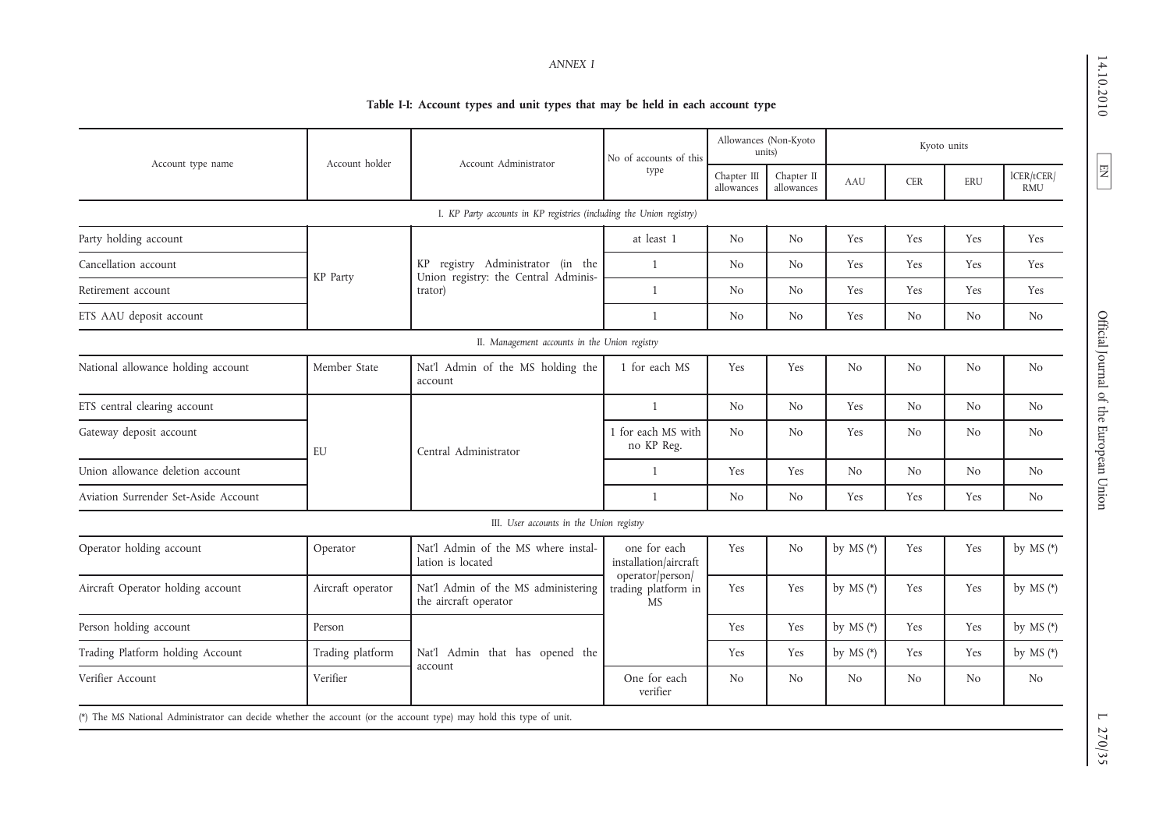14.10.2010 EN 14.10.2010 Official Journal of the European Union L 270/35

 $\boxed{\phantom{\begin{bmatrix} \Xi \end{bmatrix}}$ 

Official Journal of the European Union

# **Table I-I: Account types and unit types that may be held in each account type**

|                                      | Account Administrator<br>Account holder |                                                                      | No of accounts of this                | Allowances (Non-Kyoto<br>units) |                          | Kyoto units      |                |                |                          |             |     |     |             |
|--------------------------------------|-----------------------------------------|----------------------------------------------------------------------|---------------------------------------|---------------------------------|--------------------------|------------------|----------------|----------------|--------------------------|-------------|-----|-----|-------------|
| Account type name                    |                                         |                                                                      | type                                  | Chapter III<br>allowances       | Chapter II<br>allowances | AAU              | <b>CER</b>     | ERU            | lCER/tCER/<br><b>RMU</b> |             |     |     |             |
|                                      |                                         | I. KP Party accounts in KP registries (including the Union registry) |                                       |                                 |                          |                  |                |                |                          |             |     |     |             |
| Party holding account                |                                         |                                                                      | at least 1                            | N <sub>o</sub>                  | N <sub>o</sub>           | Yes              | Yes            | Yes            | Yes                      |             |     |     |             |
| Cancellation account                 |                                         | KP registry Administrator (in the                                    | 1                                     | N <sub>o</sub>                  | N <sub>o</sub>           | Yes              | Yes            | Yes            | Yes                      |             |     |     |             |
| Retirement account                   | KP Party                                | Union registry: the Central Adminis-<br>trator)                      | $\mathbf{1}$                          | N <sub>o</sub>                  | N <sub>o</sub>           | Yes              | Yes            | Yes            | Yes                      |             |     |     |             |
| ETS AAU deposit account              |                                         |                                                                      | 1                                     | N <sub>o</sub>                  | N <sub>o</sub>           | Yes              | N <sub>o</sub> | No             | N <sub>o</sub>           |             |     |     |             |
|                                      |                                         | II. Management accounts in the Union registry                        |                                       |                                 |                          |                  |                |                |                          |             |     |     |             |
| National allowance holding account   | Member State                            | Nat'l Admin of the MS holding the<br>account                         | 1 for each MS                         | Yes                             | Yes                      | No               | N <sub>o</sub> | N <sub>o</sub> | N <sub>o</sub>           |             |     |     |             |
| ETS central clearing account         |                                         |                                                                      | $\mathbf{1}$                          | N <sub>o</sub>                  | N <sub>o</sub>           | Yes              | N <sub>o</sub> | No             | N <sub>o</sub>           |             |     |     |             |
| Gateway deposit account              | EU                                      | Central Administrator                                                | 1 for each MS with<br>no KP Reg.      | N <sub>o</sub>                  | N <sub>o</sub>           | Yes              | N <sub>o</sub> | No             | N <sub>o</sub>           |             |     |     |             |
| Union allowance deletion account     |                                         |                                                                      | 1                                     | Yes                             | Yes                      | No               | N <sub>o</sub> | N <sub>o</sub> | N <sub>o</sub>           |             |     |     |             |
| Aviation Surrender Set-Aside Account |                                         |                                                                      | $\mathbf{1}$                          | N <sub>o</sub>                  | N <sub>o</sub>           | Yes              | Yes            | Yes            | N <sub>o</sub>           |             |     |     |             |
|                                      |                                         | III. User accounts in the Union registry                             |                                       |                                 |                          |                  |                |                |                          |             |     |     |             |
| Operator holding account             | Operator                                | Nat'l Admin of the MS where instal-<br>lation is located             | one for each<br>installation/aircraft | Yes                             | N <sub>o</sub>           | by $MS$ (*)      | Yes            | Yes            | by $MS$ (*)              |             |     |     |             |
| Aircraft Operator holding account    | Aircraft operator                       | Nat'l Admin of the MS administering<br>the aircraft operator         | trading platform in<br><b>MS</b>      |                                 |                          | operator/person/ |                | Yes            | Yes                      | by $MS$ (*) | Yes | Yes | by $MS$ (*) |
| Person holding account               | Person                                  |                                                                      |                                       | Yes                             | Yes                      | by $MS$ (*)      | Yes            | Yes            | by MS $(*)$              |             |     |     |             |
| Trading Platform holding Account     | Trading platform                        | Nat'l Admin that has opened the                                      |                                       | Yes                             | Yes                      | by MS $(*)$      | Yes            | Yes            | by $MS$ (*)              |             |     |     |             |
| Verifier Account                     | Verifier                                | account                                                              | One for each<br>verifier              | N <sub>o</sub>                  | N <sub>o</sub>           | No               | N <sub>o</sub> | N <sub>o</sub> | N <sub>o</sub>           |             |     |     |             |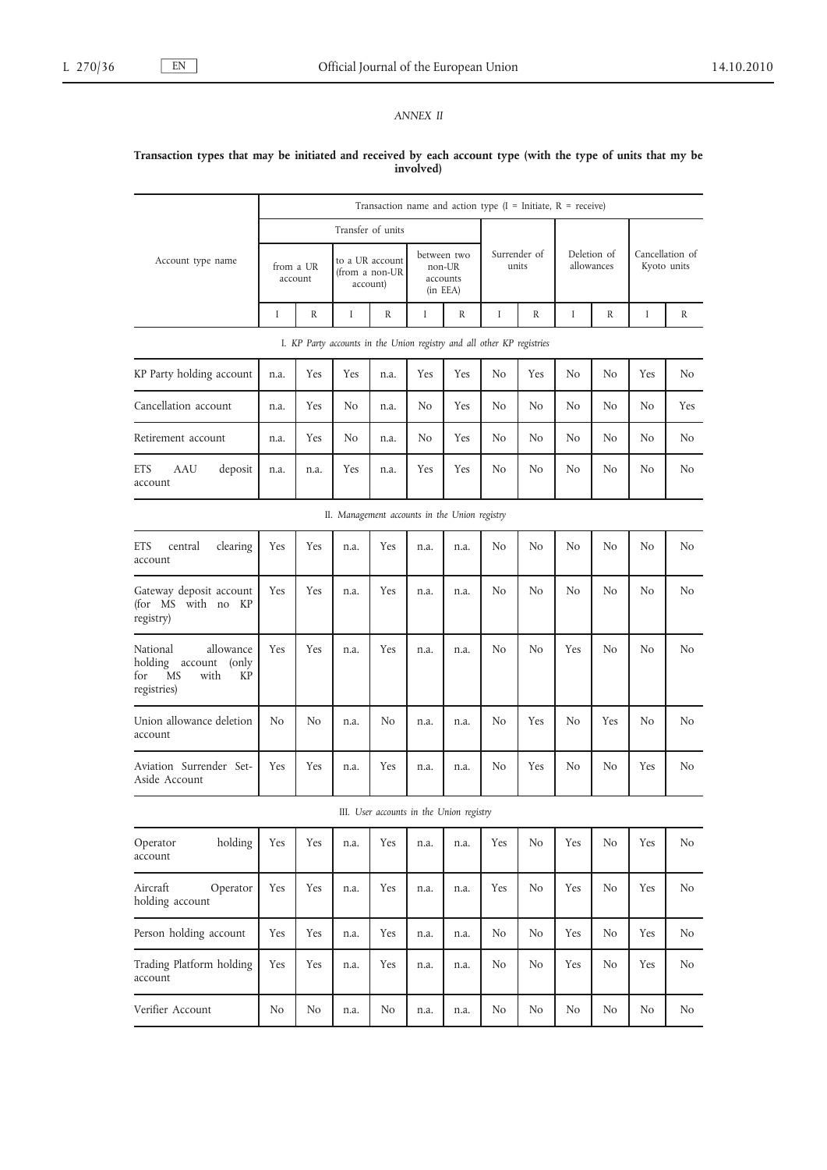# *ANNEX II*

### **Transaction types that may be initiated and received by each account type (with the type of units that my be involved)**

|                                                                                             | Transaction name and action type $(I = Initiate, R = receive)$ |      |                                                                        |                                               |      |                                               |                |                       |                           |     |                                |                |
|---------------------------------------------------------------------------------------------|----------------------------------------------------------------|------|------------------------------------------------------------------------|-----------------------------------------------|------|-----------------------------------------------|----------------|-----------------------|---------------------------|-----|--------------------------------|----------------|
|                                                                                             |                                                                |      |                                                                        | Transfer of units                             |      |                                               |                |                       |                           |     |                                |                |
| Account type name                                                                           | from a UR<br>account                                           |      |                                                                        | to a UR account<br>(from a non-UR<br>account) |      | between two<br>non-UR<br>accounts<br>(in EEA) |                | Surrender of<br>units | Deletion of<br>allowances |     | Cancellation of<br>Kyoto units |                |
|                                                                                             | Ι                                                              | R    | Ι                                                                      | R                                             | Ι    | R                                             | Ι              | R                     | Ι                         | R   | Ι                              | R              |
|                                                                                             |                                                                |      | I. KP Party accounts in the Union registry and all other KP registries |                                               |      |                                               |                |                       |                           |     |                                |                |
| KP Party holding account                                                                    | n.a.                                                           | Yes  | Yes                                                                    | n.a.                                          | Yes  | Yes                                           | No             | Yes                   | No                        | No  | Yes                            | No             |
| Cancellation account                                                                        | n.a.                                                           | Yes  | N <sub>o</sub>                                                         | n.a.                                          | No   | Yes                                           | No             | No                    | No.                       | No  | No                             | <b>Yes</b>     |
| Retirement account                                                                          | n.a.                                                           | Yes  | No                                                                     | n.a.                                          | No   | Yes                                           | No             | No                    | No                        | No  | No                             | No             |
| <b>ETS</b><br>AAU<br>deposit<br>account                                                     | n.a.                                                           | n.a. | Yes                                                                    | n.a.                                          | Yes  | Yes                                           | No             | No.                   | No                        | No  | No                             | No             |
|                                                                                             |                                                                |      | II. Management accounts in the Union registry                          |                                               |      |                                               |                |                       |                           |     |                                |                |
| <b>ETS</b><br>central<br>clearing<br>account                                                | Yes                                                            | Yes  | n.a.                                                                   | <b>Yes</b>                                    | n.a. | n.a.                                          | No             | No                    | No                        | No  | No                             | No             |
| Gateway deposit account<br>(for MS with no KP<br>registry)                                  | Yes                                                            | Yes  | n.a.                                                                   | Yes                                           | n.a. | n.a.                                          | No             | No                    | No                        | No  | N <sub>o</sub>                 | No             |
| allowance<br>National<br>holding account<br>(only<br>for<br>MS<br>with<br>KP<br>registries) | Yes                                                            | Yes  | n.a.                                                                   | Yes                                           | n.a. | n.a.                                          | No             | No                    | Yes                       | No  | No                             | No             |
| Union allowance deletion<br>account                                                         | No                                                             | No   | n.a.                                                                   | No                                            | n.a. | n.a.                                          | No             | Yes                   | No                        | Yes | No                             | No.            |
| Aviation Surrender Set-<br>Aside Account                                                    | Yes                                                            | Yes  | n.a.                                                                   | Yes                                           | n.a. | n.a.                                          | No             | Yes                   | No                        | No  | Yes                            | No             |
|                                                                                             |                                                                |      |                                                                        | III. User accounts in the Union registry      |      |                                               |                |                       |                           |     |                                |                |
| holding<br>Operator<br>account                                                              | Yes                                                            | Yes  | n.a.                                                                   | Yes                                           | n.a. | n.a.                                          | Yes            | No                    | Yes                       | No  | Yes                            | No             |
| Aircraft<br>Operator<br>holding account                                                     | Yes                                                            | Yes  | n.a.                                                                   | Yes                                           | n.a. | n.a.                                          | Yes            | N <sub>o</sub>        | Yes                       | No  | Yes                            | No             |
| Person holding account                                                                      | Yes                                                            | Yes  | n.a.                                                                   | Yes                                           | n.a. | n.a.                                          | No             | N <sub>o</sub>        | Yes                       | No  | Yes                            | No             |
| Trading Platform holding<br>account                                                         | Yes                                                            | Yes  | n.a.                                                                   | Yes                                           | n.a. | n.a.                                          | N <sub>o</sub> | N <sub>o</sub>        | Yes                       | No  | Yes                            | N <sub>o</sub> |
| Verifier Account                                                                            | No                                                             | No   | n.a.                                                                   | No                                            | n.a. | n.a.                                          | No             | No                    | No                        | No  | No                             | No             |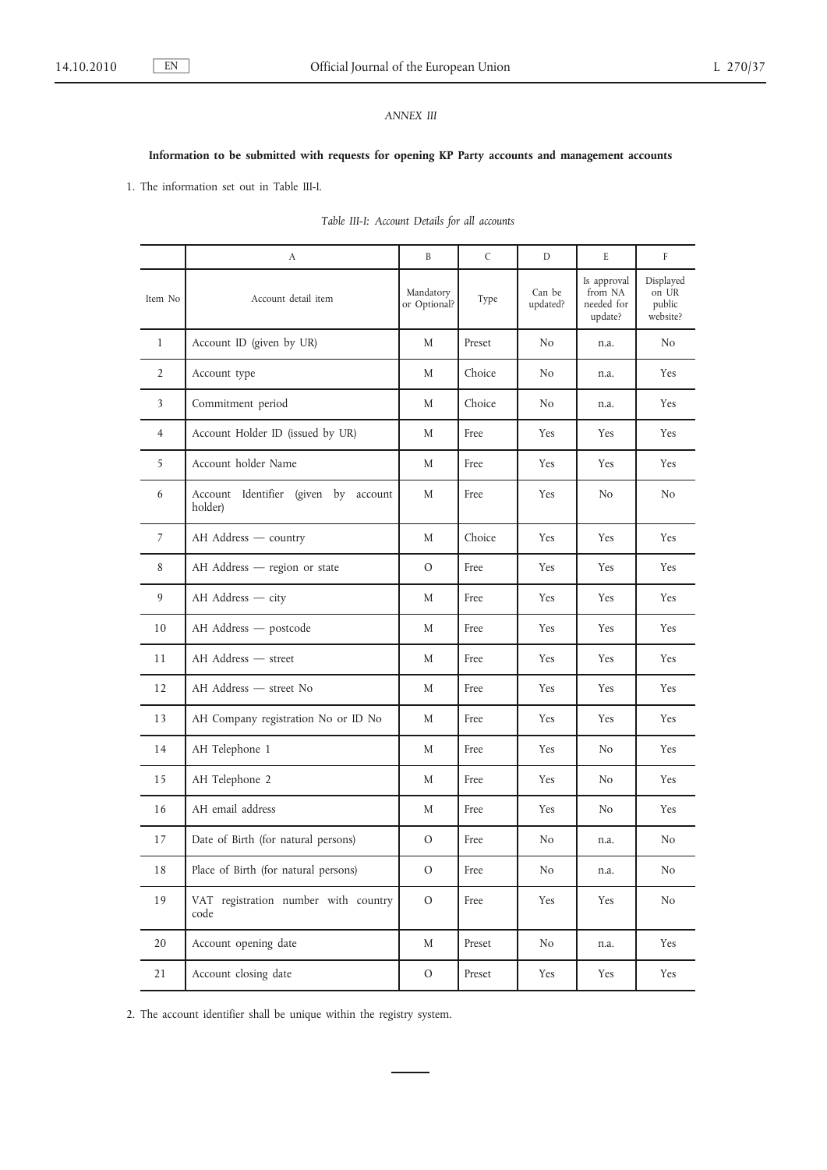# *ANNEX III*

# **Information to be submitted with requests for opening KP Party accounts and management accounts**

1. The information set out in Table III-I.

|                | А                                               | B                         | $\mathsf{C}$ | D                  | E                                               | F                                        |
|----------------|-------------------------------------------------|---------------------------|--------------|--------------------|-------------------------------------------------|------------------------------------------|
| Item No        | Account detail item                             | Mandatory<br>or Optional? | Type         | Can be<br>updated? | Is approval<br>from NA<br>needed for<br>update? | Displayed<br>on UR<br>public<br>website? |
| $\mathbf{1}$   | Account ID (given by UR)                        | M                         | Preset       | No                 | n.a.                                            | N <sub>0</sub>                           |
| $\overline{2}$ | Account type                                    | M                         | Choice       | No                 | n.a.                                            | Yes                                      |
| 3              | Commitment period                               | M                         | Choice       | No                 | n.a.                                            | Yes                                      |
| $\overline{4}$ | Account Holder ID (issued by UR)                | M                         | Free         | Yes                | Yes                                             | Yes                                      |
| 5              | Account holder Name                             | M                         | Free         | Yes                | Yes                                             | Yes                                      |
| 6              | Account Identifier (given by account<br>holder) | M                         | Free         | Yes                | N <sub>o</sub>                                  | No                                       |
| 7              | AH Address - country                            | M                         | Choice       | Yes                | Yes                                             | Yes                                      |
| 8              | AH Address - region or state                    | $\circ$                   | Free         | Yes                | Yes                                             | Yes                                      |
| 9              | AH Address - city                               | M                         | Free         | Yes                | Yes                                             | Yes                                      |
| 10             | AH Address - postcode                           | M                         | Free         | Yes                | Yes                                             | Yes                                      |
| 11             | AH Address – street                             | M                         | Free         | Yes                | Yes                                             | Yes                                      |
| 12             | AH Address – street No                          | M                         | Free         | Yes                | Yes                                             | Yes                                      |
| 13             | AH Company registration No or ID No             | M                         | Free         | Yes                | Yes                                             | Yes                                      |
| 14             | AH Telephone 1                                  | M                         | Free         | Yes                | No                                              | Yes                                      |
| 15             | AH Telephone 2                                  | M                         | Free         | Yes                | No.                                             | <b>Yes</b>                               |
| 16             | AH email address                                | M                         | Free         | Yes                | No                                              | Yes                                      |
| 17             | Date of Birth (for natural persons)             | O                         | Free         | N <sub>o</sub>     | n.a.                                            | No                                       |
| $18\,$         | Place of Birth (for natural persons)            | $\mathcal{O}$             | Free         | $\rm No$           | n.a.                                            | N <sub>o</sub>                           |
| 19             | VAT registration number with country<br>code    | $\mathcal{O}$             | Free         | Yes                | Yes                                             | N <sub>o</sub>                           |
| 20             | Account opening date                            | M                         | Preset       | No                 | n.a.                                            | Yes                                      |
| 21             | Account closing date                            | $\rm{O}$                  | Preset       | Yes                | Yes                                             | Yes                                      |

 $\overline{\phantom{a}}$ 

| Table III-I: Account Details for all accounts |
|-----------------------------------------------|
|                                               |

2. The account identifier shall be unique within the registry system.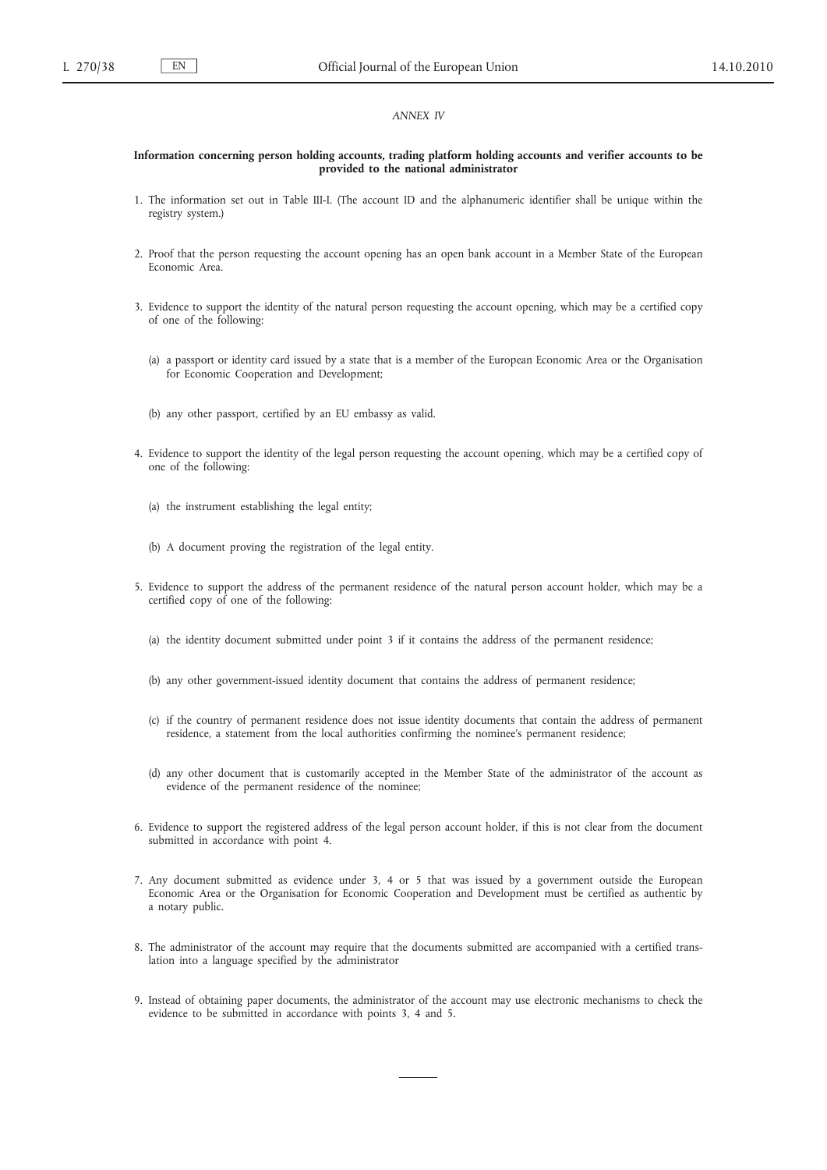### *ANNEX IV*

#### **Information concerning person holding accounts, trading platform holding accounts and verifier accounts to be provided to the national administrator**

- 1. The information set out in Table III-I. (The account ID and the alphanumeric identifier shall be unique within the registry system.)
- 2. Proof that the person requesting the account opening has an open bank account in a Member State of the European Economic Area.
- 3. Evidence to support the identity of the natural person requesting the account opening, which may be a certified copy of one of the following:
	- (a) a passport or identity card issued by a state that is a member of the European Economic Area or the Organisation for Economic Cooperation and Development;
	- (b) any other passport, certified by an EU embassy as valid.
- 4. Evidence to support the identity of the legal person requesting the account opening, which may be a certified copy of one of the following:
	- (a) the instrument establishing the legal entity;
	- (b) A document proving the registration of the legal entity.
- 5. Evidence to support the address of the permanent residence of the natural person account holder, which may be a certified copy of one of the following:
	- (a) the identity document submitted under point 3 if it contains the address of the permanent residence;
	- (b) any other government-issued identity document that contains the address of permanent residence;
	- (c) if the country of permanent residence does not issue identity documents that contain the address of permanent residence, a statement from the local authorities confirming the nominee's permanent residence;
	- (d) any other document that is customarily accepted in the Member State of the administrator of the account as evidence of the permanent residence of the nominee;
- 6. Evidence to support the registered address of the legal person account holder, if this is not clear from the document submitted in accordance with point 4.
- 7. Any document submitted as evidence under 3, 4 or 5 that was issued by a government outside the European Economic Area or the Organisation for Economic Cooperation and Development must be certified as authentic by a notary public.
- 8. The administrator of the account may require that the documents submitted are accompanied with a certified translation into a language specified by the administrator
- 9. Instead of obtaining paper documents, the administrator of the account may use electronic mechanisms to check the evidence to be submitted in accordance with points 3, 4 and 5.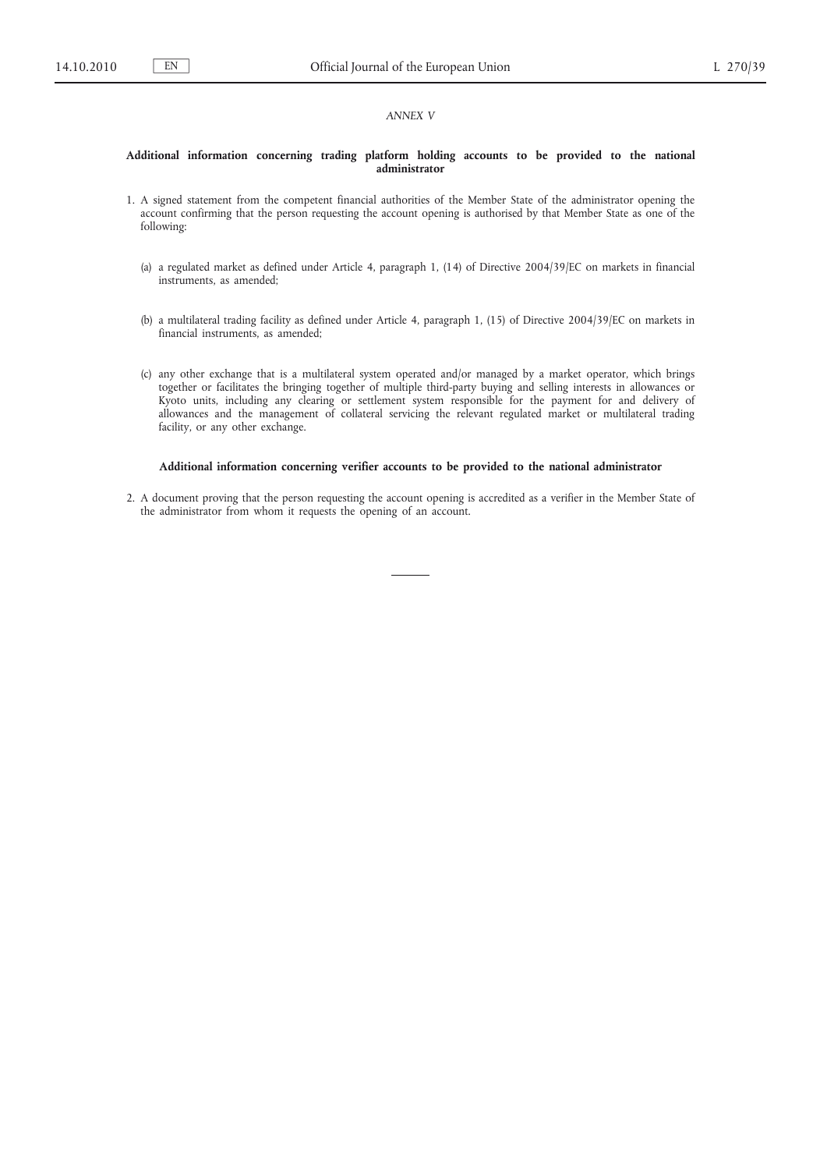### *ANNEX V*

#### **Additional information concerning trading platform holding accounts to be provided to the national administrator**

- 1. A signed statement from the competent financial authorities of the Member State of the administrator opening the account confirming that the person requesting the account opening is authorised by that Member State as one of the following:
	- (a) a regulated market as defined under Article 4, paragraph 1, (14) of Directive 2004/39/EC on markets in financial instruments, as amended;
	- (b) a multilateral trading facility as defined under Article 4, paragraph 1, (15) of Directive 2004/39/EC on markets in financial instruments, as amended;
	- (c) any other exchange that is a multilateral system operated and/or managed by a market operator, which brings together or facilitates the bringing together of multiple third-party buying and selling interests in allowances or Kyoto units, including any clearing or settlement system responsible for the payment for and delivery of allowances and the management of collateral servicing the relevant regulated market or multilateral trading facility, or any other exchange.

#### **Additional information concerning verifier accounts to be provided to the national administrator**

2. A document proving that the person requesting the account opening is accredited as a verifier in the Member State of the administrator from whom it requests the opening of an account.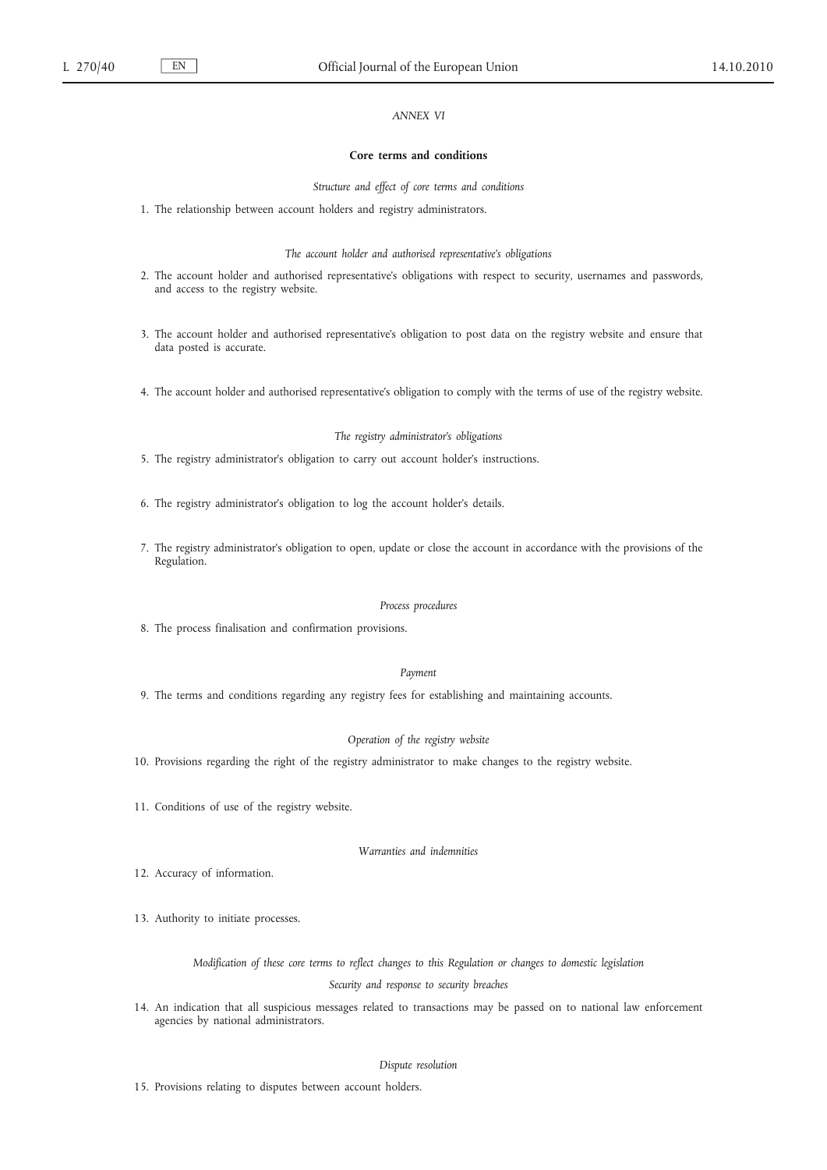# *ANNEX VI*

#### **Core terms and conditions**

*Structure and effect of core terms and conditions*

1. The relationship between account holders and registry administrators.

*The account holder and authorised representative's obligations*

- 2. The account holder and authorised representative's obligations with respect to security, usernames and passwords, and access to the registry website.
- 3. The account holder and authorised representative's obligation to post data on the registry website and ensure that data posted is accurate.
- 4. The account holder and authorised representative's obligation to comply with the terms of use of the registry website.

#### *The registry administrator's obligations*

- 5. The registry administrator's obligation to carry out account holder's instructions.
- 6. The registry administrator's obligation to log the account holder's details.
- 7. The registry administrator's obligation to open, update or close the account in accordance with the provisions of the Regulation.

#### *Process procedures*

8. The process finalisation and confirmation provisions.

#### *Payment*

9. The terms and conditions regarding any registry fees for establishing and maintaining accounts.

#### *Operation of the registry website*

- 10. Provisions regarding the right of the registry administrator to make changes to the registry website.
- 11. Conditions of use of the registry website.

### *Warranties and indemnities*

- 12. Accuracy of information.
- 13. Authority to initiate processes.

*Modification of these core terms to reflect changes to this Regulation or changes to domestic legislation Security and response to security breaches*

14. An indication that all suspicious messages related to transactions may be passed on to national law enforcement agencies by national administrators.

# *Dispute resolution*

15. Provisions relating to disputes between account holders.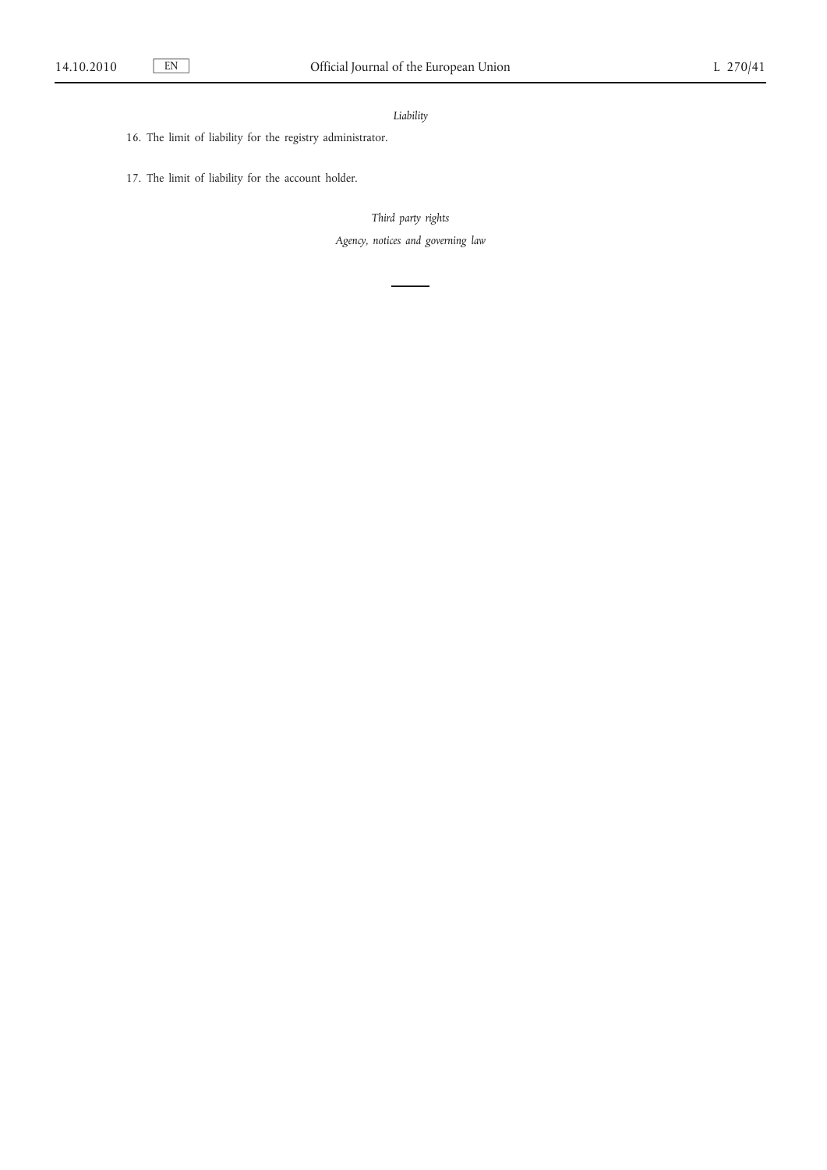# *Liability*

- 16. The limit of liability for the registry administrator.
- 17. The limit of liability for the account holder.

*Third party rights Agency, notices and governing law*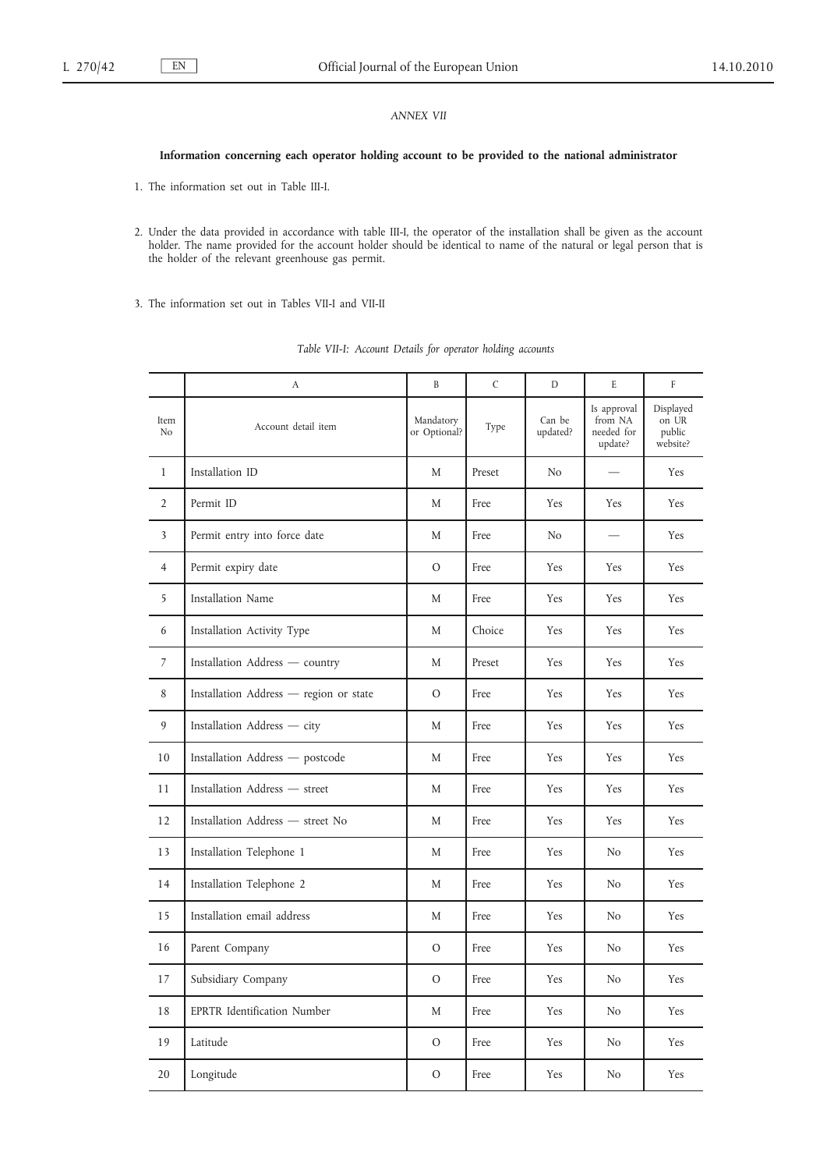# *ANNEX VII*

### **Information concerning each operator holding account to be provided to the national administrator**

1. The information set out in Table III-I.

- 2. Under the data provided in accordance with table III-I, the operator of the installation shall be given as the account holder. The name provided for the account holder should be identical to name of the natural or legal person that is the holder of the relevant greenhouse gas permit.
- 3. The information set out in Tables VII-I and VII-II

|                         | A                                      | B                         | $\mathsf{C}$ | D                  | E                                               | $\mathbf{F}$                             |
|-------------------------|----------------------------------------|---------------------------|--------------|--------------------|-------------------------------------------------|------------------------------------------|
| Item<br>No              | Account detail item                    | Mandatory<br>or Optional? | Type         | Can be<br>updated? | Is approval<br>from NA<br>needed for<br>update? | Displayed<br>on UR<br>public<br>website? |
| $\mathbf{1}$            | Installation ID                        | M                         | Preset       | N <sub>o</sub>     |                                                 | Yes                                      |
| $\overline{2}$          | Permit ID                              | M                         | Free         | Yes                | Yes                                             | Yes                                      |
| $\overline{\mathbf{3}}$ | Permit entry into force date           | M                         | Free         | No                 |                                                 | <b>Yes</b>                               |
| $\overline{4}$          | Permit expiry date                     | $\circ$                   | Free         | Yes                | Yes                                             | Yes                                      |
| 5                       | Installation Name                      | M                         | Free         | Yes                | Yes                                             | Yes                                      |
| 6                       | Installation Activity Type             | M                         | Choice       | Yes                | Yes                                             | Yes                                      |
| $\overline{7}$          | Installation Address - country         | M                         | Preset       | Yes                | Yes                                             | Yes                                      |
| 8                       | Installation Address - region or state | $\overline{O}$            | Free         | Yes                | Yes                                             | Yes                                      |
| 9                       | Installation Address - city            | M                         | Free         | Yes                | Yes                                             | Yes                                      |
| 10                      | Installation Address - postcode        | M                         | Free         | Yes                | Yes                                             | <b>Yes</b>                               |
| 11                      | Installation Address - street          | M                         | Free         | Yes                | Yes                                             | Yes                                      |
| 12                      | Installation Address - street No       | M                         | Free         | Yes                | Yes                                             | Yes                                      |
| 13                      | Installation Telephone 1               | M                         | Free         | Yes                | No.                                             | Yes                                      |
| 14                      | Installation Telephone 2               | M                         | Free         | Yes                | No                                              | Yes                                      |
| 15                      | Installation email address             | M                         | Free         | Yes                | No                                              | Yes                                      |
| 16                      | Parent Company                         | $\overline{O}$            | Free         | Yes                | No.                                             | Yes                                      |
| 17                      | Subsidiary Company                     | $\mathcal{O}$             | Free         | Yes                | No                                              | Yes                                      |
| 18                      | EPRTR Identification Number            | M                         | Free         | Yes                | No                                              | Yes                                      |
| 19                      | Latitude                               | $\mathcal{O}$             | Free         | Yes                | No                                              | Yes                                      |
| 20                      | Longitude                              | $\mathcal{O}$             | Free         | Yes                | N <sub>o</sub>                                  | Yes                                      |

|  | Table VII-I: Account Details for operator holding accounts |  |  |  |
|--|------------------------------------------------------------|--|--|--|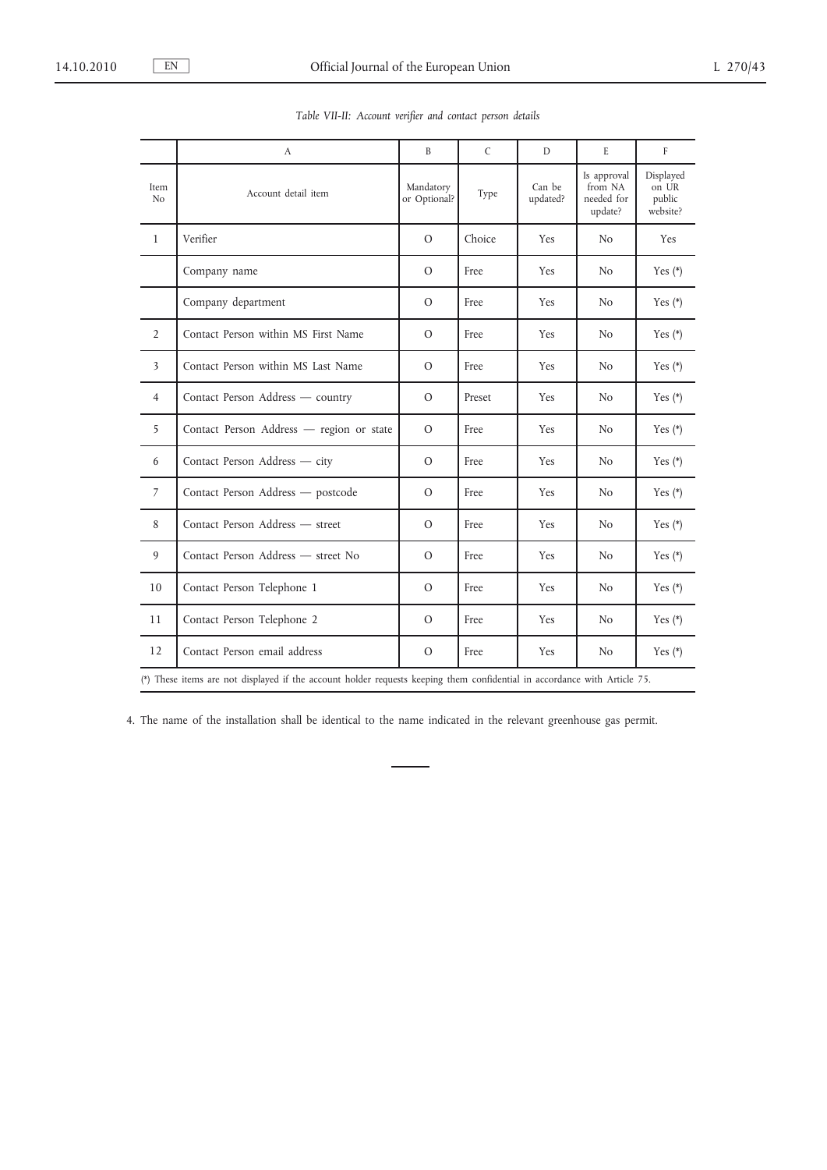|                         | A                                                                                                                         | B                         | $\mathsf{C}$ | D                  | E                                               | F                                        |
|-------------------------|---------------------------------------------------------------------------------------------------------------------------|---------------------------|--------------|--------------------|-------------------------------------------------|------------------------------------------|
| Item<br>N <sub>o</sub>  | Account detail item                                                                                                       | Mandatory<br>or Optional? | Type         | Can be<br>updated? | Is approval<br>from NA<br>needed for<br>update? | Displayed<br>on UR<br>public<br>website? |
| $\mathbf{1}$            | Verifier                                                                                                                  | $\circ$                   | Choice       | Yes                | No.                                             | Yes                                      |
|                         | Company name                                                                                                              | $\Omega$                  | Free         | <b>Yes</b>         | N <sub>0</sub>                                  | Yes $(*)$                                |
|                         | Company department                                                                                                        | $\Omega$                  | Free         | Yes                | N <sub>0</sub>                                  | Yes $(*)$                                |
| $\overline{2}$          | Contact Person within MS First Name                                                                                       | $\Omega$                  | Free         | Yes                | N <sub>o</sub>                                  | Yes $(*)$                                |
| $\overline{\mathbf{3}}$ | Contact Person within MS Last Name                                                                                        | $\circ$                   | Free         | Yes                | N <sub>o</sub>                                  | Yes $(*)$                                |
| $\overline{4}$          | Contact Person Address - country                                                                                          | $\mathcal{O}$             | Preset       | Yes                | N <sub>o</sub>                                  | Yes $(*)$                                |
| 5                       | Contact Person Address - region or state                                                                                  | $\mathcal{O}$             | Free         | Yes                | N <sub>o</sub>                                  | Yes $(*)$                                |
| 6                       | Contact Person Address - city                                                                                             | $\circ$                   | Free         | Yes                | N <sub>o</sub>                                  | Yes $(*)$                                |
| $\overline{7}$          | Contact Person Address - postcode                                                                                         | $\circ$                   | Free         | Yes                | N <sub>o</sub>                                  | Yes $(*)$                                |
| 8                       | Contact Person Address - street                                                                                           | $\Omega$                  | Free         | <b>Yes</b>         | N <sub>o</sub>                                  | Yes $(*)$                                |
| 9                       | Contact Person Address - street No                                                                                        | $\Omega$                  | Free         | Yes                | N <sub>o</sub>                                  | Yes $(*)$                                |
| 10                      | Contact Person Telephone 1                                                                                                | $\mathcal{O}$             | Free         | Yes                | N <sub>o</sub>                                  | Yes $(*)$                                |
| 11                      | Contact Person Telephone 2                                                                                                | $\mathcal{O}$             | Free         | Yes                | N <sub>o</sub>                                  | Yes $(*)$                                |
| 12                      | Contact Person email address                                                                                              | $\mathcal{O}$             | Free         | Yes                | N <sub>o</sub>                                  | Yes $(*)$                                |
|                         | (*) These items are not displayed if the account holder requests keeping them confidential in accordance with Article 75. |                           |              |                    |                                                 |                                          |

*Table VII-II: Account verifier and contact person details*

4. The name of the installation shall be identical to the name indicated in the relevant greenhouse gas permit.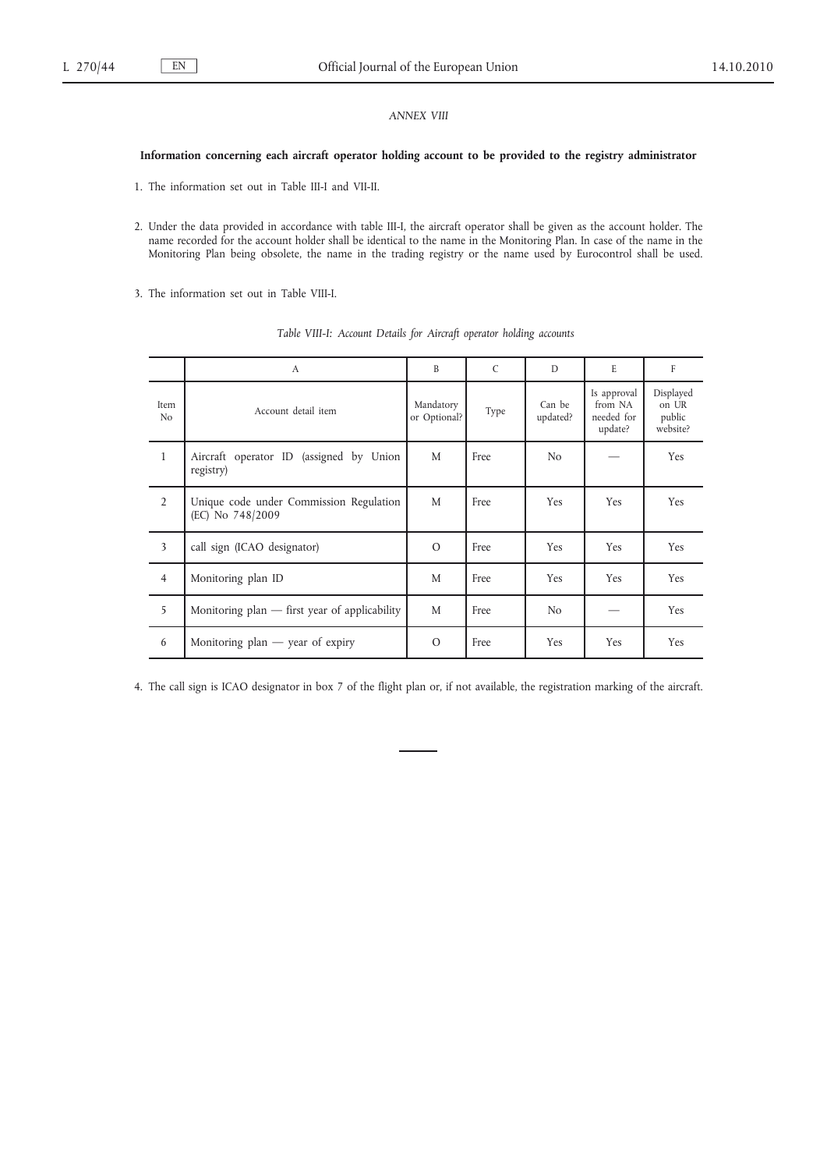# *ANNEX VIII*

### **Information concerning each aircraft operator holding account to be provided to the registry administrator**

1. The information set out in Table III-I and VII-II.

2. Under the data provided in accordance with table III-I, the aircraft operator shall be given as the account holder. The name recorded for the account holder shall be identical to the name in the Monitoring Plan. In case of the name in the Monitoring Plan being obsolete, the name in the trading registry or the name used by Eurocontrol shall be used.

3. The information set out in Table VIII-I.

|                         | A                                                           | B                         | $\mathcal{C}$ | D                  | E                                               | $\mathbf{F}$                             |
|-------------------------|-------------------------------------------------------------|---------------------------|---------------|--------------------|-------------------------------------------------|------------------------------------------|
| Item<br>N <sub>0</sub>  | Account detail item                                         | Mandatory<br>or Optional? | Type          | Can be<br>updated? | Is approval<br>from NA<br>needed for<br>update? | Displayed<br>on UR<br>public<br>website? |
| $\mathbf{1}$            | Aircraft operator ID (assigned by Union<br>registry)        | M                         | Free          | N <sub>o</sub>     |                                                 | Yes                                      |
| $\overline{2}$          | Unique code under Commission Regulation<br>(EC) No 748/2009 | M                         | Free          | Yes                | Yes                                             | Yes                                      |
| $\overline{\mathbf{3}}$ | call sign (ICAO designator)                                 | $\Omega$                  | Free          | Yes                | Yes                                             | Yes                                      |
| $\overline{4}$          | Monitoring plan ID                                          | M                         | Free          | Yes                | Yes                                             | Yes                                      |
| 5                       | Monitoring plan $-$ first year of applicability             | M                         | Free          | N <sub>o</sub>     |                                                 | Yes                                      |
| 6                       | Monitoring $plan$ — year of expiry                          | $\Omega$                  | Free          | Yes                | Yes                                             | Yes                                      |

*Table VIII-I: Account Details for Aircraft operator holding accounts*

4. The call sign is ICAO designator in box 7 of the flight plan or, if not available, the registration marking of the aircraft.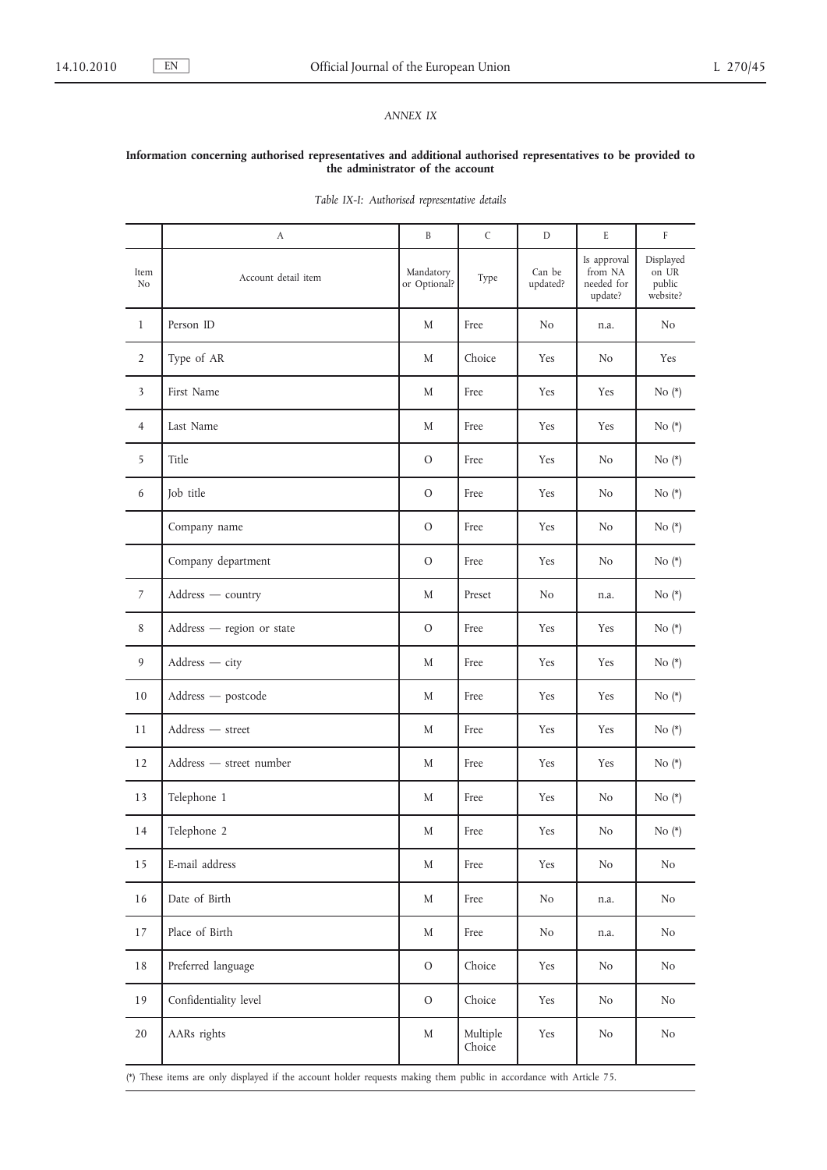# *ANNEX IX*

### **Information concerning authorised representatives and additional authorised representatives to be provided to the administrator of the account**

|                | А                         | B                         | C                  | D                  | E                                               | F                                        |
|----------------|---------------------------|---------------------------|--------------------|--------------------|-------------------------------------------------|------------------------------------------|
| Item<br>No     | Account detail item       | Mandatory<br>or Optional? | Type               | Can be<br>updated? | Is approval<br>from NA<br>needed for<br>update? | Displayed<br>on UR<br>public<br>website? |
| $\mathbf{1}$   | Person ID                 | M                         | Free               | No                 | n.a.                                            | No                                       |
| $\overline{2}$ | Type of AR                | M                         | Choice             | Yes                | N <sub>o</sub>                                  | Yes                                      |
| 3              | First Name                | M                         | Free               | Yes                | Yes                                             | No $(*)$                                 |
| $\overline{4}$ | Last Name                 | M                         | Free               | Yes                | Yes                                             | No $(*)$                                 |
| 5              | Title                     | $\circ$                   | Free               | Yes                | No                                              | No $(*)$                                 |
| 6              | Job title                 | $\circ$                   | Free               | Yes                | No                                              | No $(*)$                                 |
|                | Company name              | $\circ$                   | Free               | Yes                | No                                              | No $(*)$                                 |
|                | Company department        | $\circ$                   | Free               | Yes                | No                                              | No $(*)$                                 |
| 7              | Address - country         | M                         | Preset             | N <sub>o</sub>     | n.a.                                            | No $(*)$                                 |
| 8              | Address - region or state | $\circ$                   | Free               | Yes                | Yes                                             | No $(*)$                                 |
| 9              | Address - city            | M                         | Free               | Yes                | Yes                                             | No $(*)$                                 |
| 10             | Address — postcode        | M                         | Free               | Yes                | Yes                                             | No $(*)$                                 |
| 11             | Address - street          | M                         | Free               | Yes                | Yes                                             | No $(*)$                                 |
| 12             | Address - street number   | M                         | Free               | Yes                | Yes                                             | No $(*)$                                 |
| 13             | Telephone 1               | M                         | Free               | Yes                | No                                              | No $(*)$                                 |
| 14             | Telephone 2               | M                         | Free               | Yes                | No                                              | No $(*)$                                 |
| 15             | E-mail address            | M                         | Free               | Yes                | No                                              | No                                       |
| 16             | Date of Birth             | M                         | Free               | N <sub>o</sub>     | n.a.                                            | No                                       |
| 17             | Place of Birth            | M                         | Free               | N <sub>o</sub>     | n.a.                                            | No                                       |
| 18             | Preferred language        | $\rm O$                   | Choice             | Yes                | N <sub>o</sub>                                  | No                                       |
| 19             | Confidentiality level     | $\rm O$                   | Choice             | Yes                | N <sub>o</sub>                                  | No                                       |
| 20             | AARs rights               | M                         | Multiple<br>Choice | Yes                | N <sub>o</sub>                                  | No                                       |

*Table IX-I: Authorised representative details*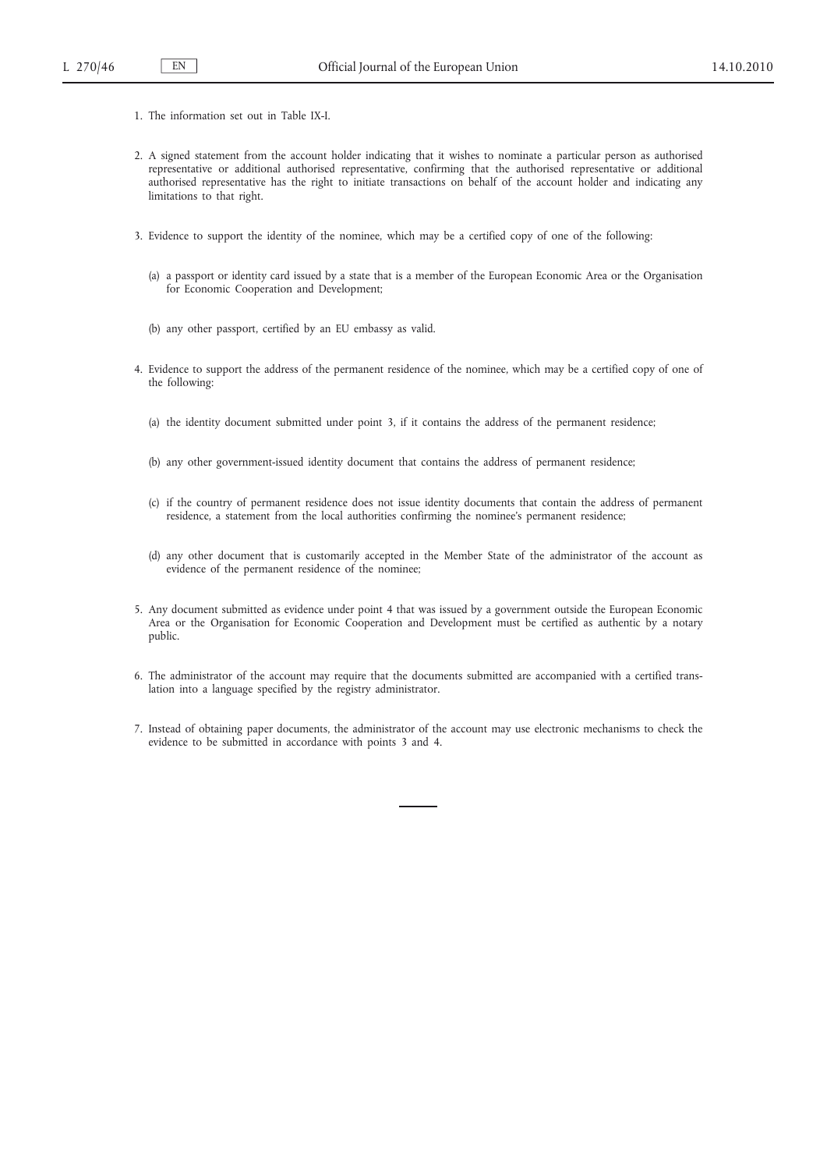- 1. The information set out in Table IX-I.
- 2. A signed statement from the account holder indicating that it wishes to nominate a particular person as authorised representative or additional authorised representative, confirming that the authorised representative or additional authorised representative has the right to initiate transactions on behalf of the account holder and indicating any limitations to that right.
- 3. Evidence to support the identity of the nominee, which may be a certified copy of one of the following:
	- (a) a passport or identity card issued by a state that is a member of the European Economic Area or the Organisation for Economic Cooperation and Development;
	- (b) any other passport, certified by an EU embassy as valid.
- 4. Evidence to support the address of the permanent residence of the nominee, which may be a certified copy of one of the following:
	- (a) the identity document submitted under point 3, if it contains the address of the permanent residence;
	- (b) any other government-issued identity document that contains the address of permanent residence;
	- (c) if the country of permanent residence does not issue identity documents that contain the address of permanent residence, a statement from the local authorities confirming the nominee's permanent residence;
	- (d) any other document that is customarily accepted in the Member State of the administrator of the account as evidence of the permanent residence of the nominee;
- 5. Any document submitted as evidence under point 4 that was issued by a government outside the European Economic Area or the Organisation for Economic Cooperation and Development must be certified as authentic by a notary public.
- 6. The administrator of the account may require that the documents submitted are accompanied with a certified translation into a language specified by the registry administrator.
- 7. Instead of obtaining paper documents, the administrator of the account may use electronic mechanisms to check the evidence to be submitted in accordance with points 3 and 4.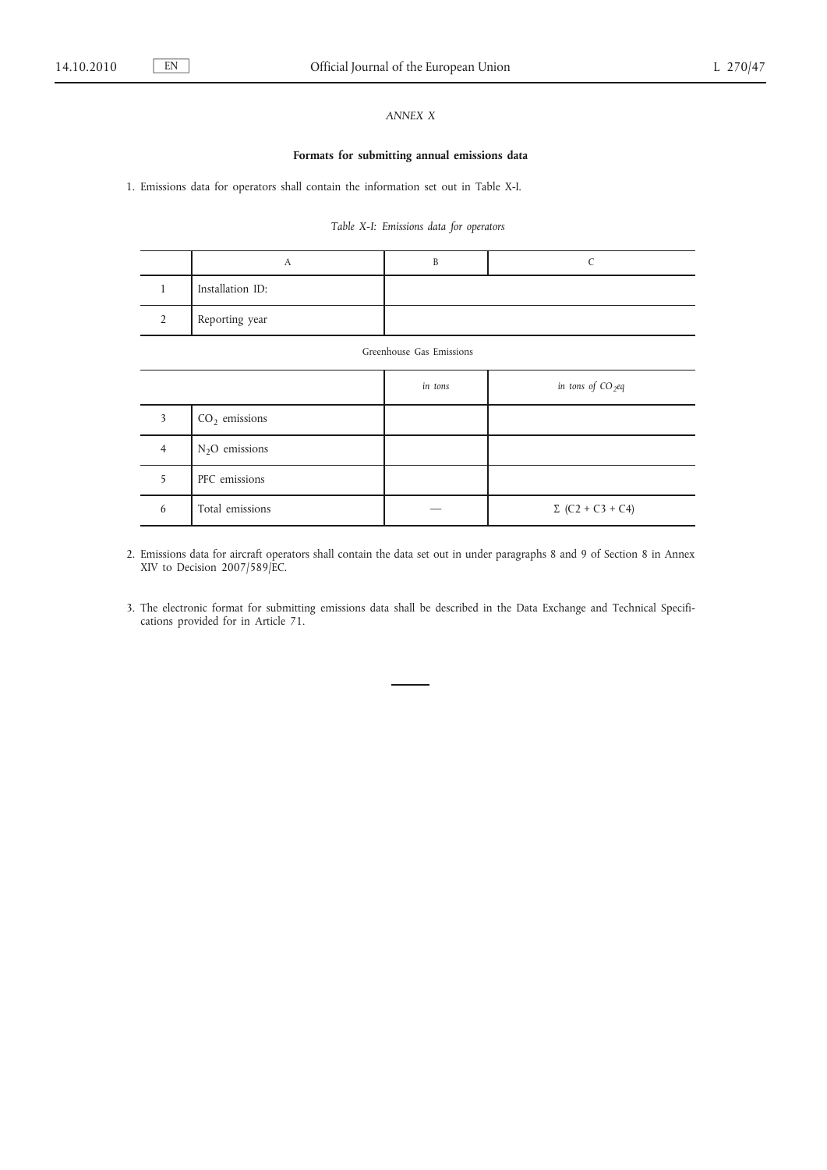# *ANNEX X*

### **Formats for submitting annual emissions data**

1. Emissions data for operators shall contain the information set out in Table X-I.

# *Table X-I: Emissions data for operators*

| Installation ID: |  |
|------------------|--|
| Reporting year   |  |

| Greenhouse Gas Emissions |                 |         |                         |  |  |
|--------------------------|-----------------|---------|-------------------------|--|--|
|                          |                 | in tons | in tons of $CO_2$ eq    |  |  |
| 3                        | $CO2$ emissions |         |                         |  |  |
| $\overline{4}$           | $N2O$ emissions |         |                         |  |  |
| 5                        | PFC emissions   |         |                         |  |  |
| 6                        | Total emissions |         | $\Sigma$ (C2 + C3 + C4) |  |  |

2. Emissions data for aircraft operators shall contain the data set out in under paragraphs 8 and 9 of Section 8 in Annex XIV to Decision 2007/589/EC.

3. The electronic format for submitting emissions data shall be described in the Data Exchange and Technical Specifications provided for in Article 71.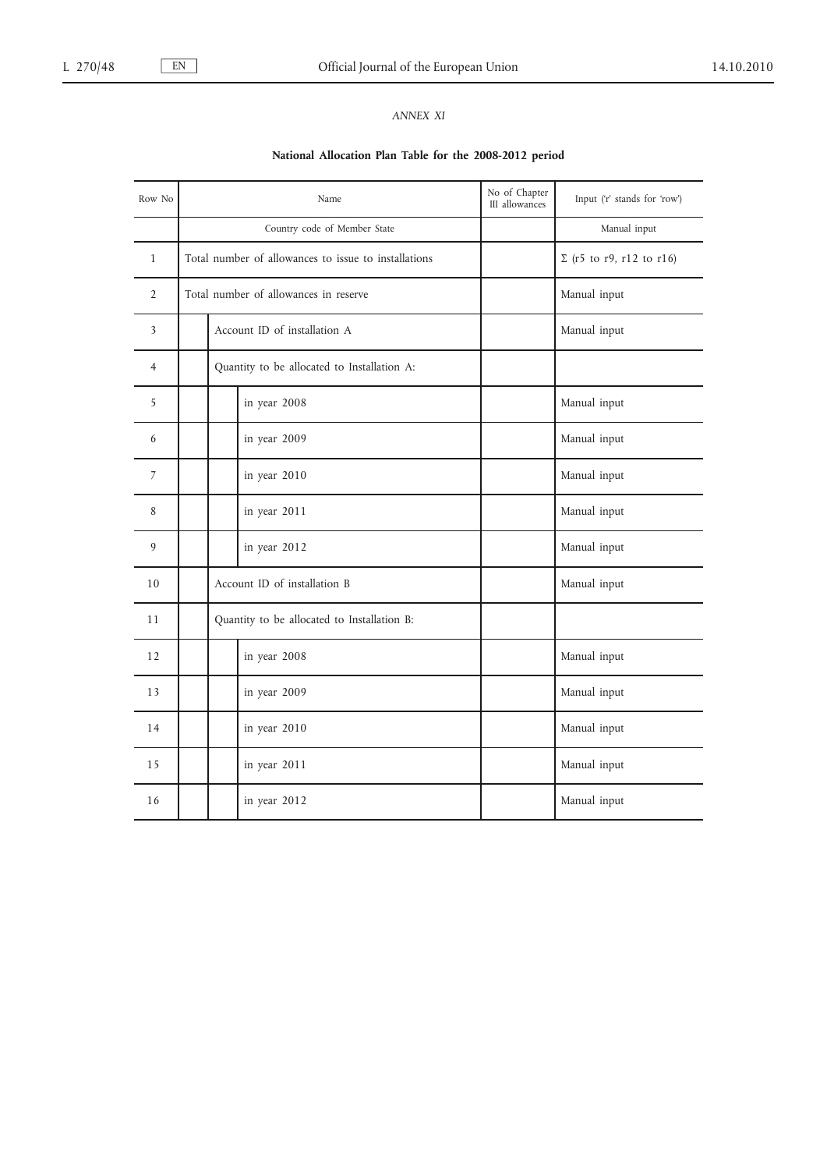# *ANNEX XI*

# **National Allocation Plan Table for the 2008-2012 period**

| Row No         | Name                                                 |                                             |              | No of Chapter<br>III allowances | Input ('r' stands for 'row')    |
|----------------|------------------------------------------------------|---------------------------------------------|--------------|---------------------------------|---------------------------------|
|                | Country code of Member State                         |                                             |              |                                 | Manual input                    |
| $\mathbf{1}$   | Total number of allowances to issue to installations |                                             |              |                                 | $\Sigma$ (r5 to r9, r12 to r16) |
| $\overline{2}$ | Total number of allowances in reserve                |                                             |              |                                 | Manual input                    |
| 3              |                                                      | Account ID of installation A                |              |                                 | Manual input                    |
| $\overline{4}$ |                                                      | Quantity to be allocated to Installation A: |              |                                 |                                 |
| 5              |                                                      |                                             | in year 2008 |                                 | Manual input                    |
| 6              |                                                      |                                             | in year 2009 |                                 | Manual input                    |
| 7              |                                                      |                                             | in year 2010 |                                 | Manual input                    |
| 8              |                                                      |                                             | in year 2011 |                                 | Manual input                    |
| 9              |                                                      |                                             | in year 2012 |                                 | Manual input                    |
| 10             | Account ID of installation B                         |                                             |              | Manual input                    |                                 |
| 11             | Quantity to be allocated to Installation B:          |                                             |              |                                 |                                 |
| 12             |                                                      |                                             | in year 2008 |                                 | Manual input                    |
| 13             |                                                      |                                             | in year 2009 |                                 | Manual input                    |
| 14             |                                                      |                                             | in year 2010 |                                 | Manual input                    |
| 15             |                                                      |                                             | in year 2011 |                                 | Manual input                    |
| 16             |                                                      |                                             | in year 2012 |                                 | Manual input                    |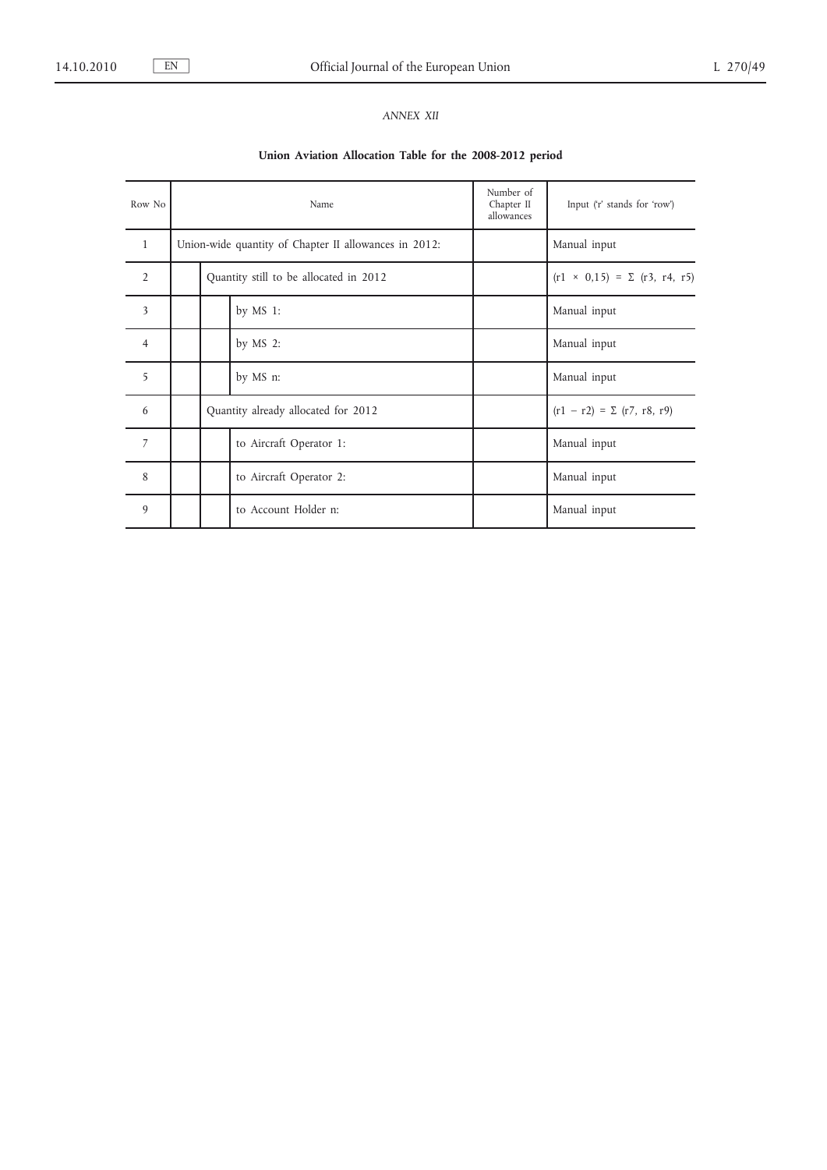# *ANNEX XII*

# **Union Aviation Allocation Table for the 2008-2012 period**

| Row No         | Name                                   |                                                       |                         | Number of<br>Chapter II<br>allowances | Input ('r' stands for 'row')           |
|----------------|----------------------------------------|-------------------------------------------------------|-------------------------|---------------------------------------|----------------------------------------|
| $\mathbf{1}$   |                                        | Union-wide quantity of Chapter II allowances in 2012: |                         |                                       | Manual input                           |
| $\overline{2}$ | Quantity still to be allocated in 2012 |                                                       |                         |                                       | $(r1 \times 0.15) = \sum (r3, r4, r5)$ |
| 3              |                                        |                                                       | by MS 1:                |                                       | Manual input                           |
| $\overline{4}$ |                                        |                                                       | by $MS$ 2:              |                                       | Manual input                           |
| 5              |                                        |                                                       | by MS n:                |                                       | Manual input                           |
| 6              | Quantity already allocated for 2012    |                                                       |                         | $(r1 - r2) = \sum (r7, r8, r9)$       |                                        |
| $\overline{7}$ |                                        |                                                       | to Aircraft Operator 1: |                                       | Manual input                           |
| 8              |                                        |                                                       | to Aircraft Operator 2: |                                       | Manual input                           |
| 9              |                                        |                                                       | to Account Holder n:    |                                       | Manual input                           |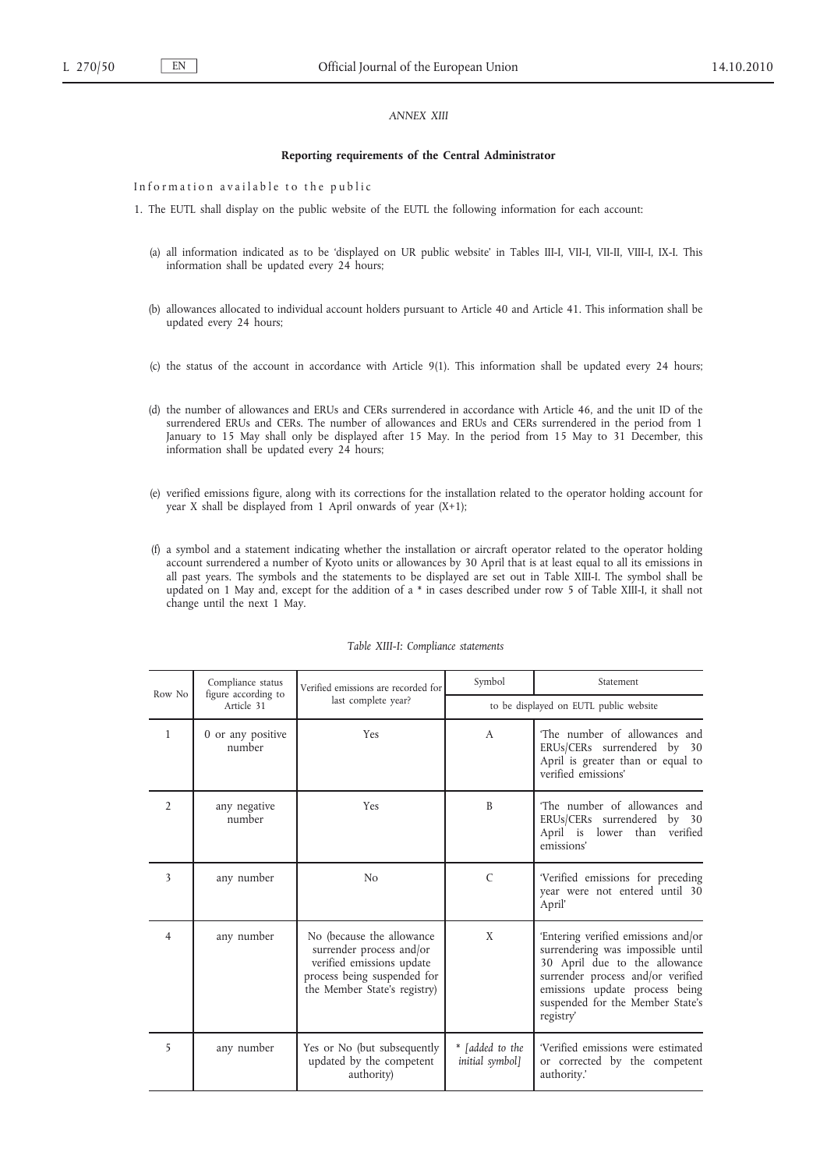### *ANNEX XIII*

#### **Reporting requirements of the Central Administrator**

Information available to the public

1. The EUTL shall display on the public website of the EUTL the following information for each account:

- (a) all information indicated as to be 'displayed on UR public website' in Tables III-I, VII-I, VII-II, VIII-I, IX-I. This information shall be updated every 24 hours;
- (b) allowances allocated to individual account holders pursuant to Article 40 and Article 41. This information shall be updated every 24 hours;
- (c) the status of the account in accordance with Article 9(1). This information shall be updated every 24 hours;
- (d) the number of allowances and ERUs and CERs surrendered in accordance with Article 46, and the unit ID of the surrendered ERUs and CERs. The number of allowances and ERUs and CERs surrendered in the period from 1 January to 15 May shall only be displayed after 15 May. In the period from 15 May to 31 December, this information shall be updated every 24 hours;
- (e) verified emissions figure, along with its corrections for the installation related to the operator holding account for year X shall be displayed from 1 April onwards of year (X+1);
- (f) a symbol and a statement indicating whether the installation or aircraft operator related to the operator holding account surrendered a number of Kyoto units or allowances by 30 April that is at least equal to all its emissions in all past years. The symbols and the statements to be displayed are set out in Table XIII-I. The symbol shall be updated on 1 May and, except for the addition of a \* in cases described under row 5 of Table XIII-I, it shall not change until the next 1 May.

| Row No         | Compliance status<br>figure according to | Verified emissions are recorded for                                                                                                               | Symbol                                 | Statement                                                                                                                                                                                                                         |
|----------------|------------------------------------------|---------------------------------------------------------------------------------------------------------------------------------------------------|----------------------------------------|-----------------------------------------------------------------------------------------------------------------------------------------------------------------------------------------------------------------------------------|
|                | Article 31                               | last complete year?                                                                                                                               | to be displayed on EUTL public website |                                                                                                                                                                                                                                   |
| $\mathbf{1}$   | 0 or any positive<br>number              | Yes                                                                                                                                               | $\mathsf{A}$                           | The number of allowances and<br>ERUs/CERs surrendered by 30<br>April is greater than or equal to<br>verified emissions'                                                                                                           |
| $\overline{2}$ | any negative<br>number                   | Yes                                                                                                                                               | B                                      | The number of allowances and<br>ERUs/CERs surrendered by 30<br>April is lower than<br>verified<br>emissions'                                                                                                                      |
| 3              | any number                               | N <sub>0</sub>                                                                                                                                    | $\mathcal{C}$                          | 'Verified emissions for preceding<br>year were not entered until 30<br>April'                                                                                                                                                     |
| $\overline{4}$ | any number                               | No (because the allowance<br>surrender process and/or<br>verified emissions update<br>process being suspended for<br>the Member State's registry) | X                                      | 'Entering verified emissions and/or<br>surrendering was impossible until<br>30 April due to the allowance<br>surrender process and/or verified<br>emissions update process being<br>suspended for the Member State's<br>registry' |
| 5              | any number                               | Yes or No (but subsequently<br>updated by the competent<br>authority)                                                                             | * [added to the<br>initial symbol]     | 'Verified emissions were estimated<br>or corrected by the competent<br>authority.'                                                                                                                                                |

### *Table XIII-I: Compliance statements*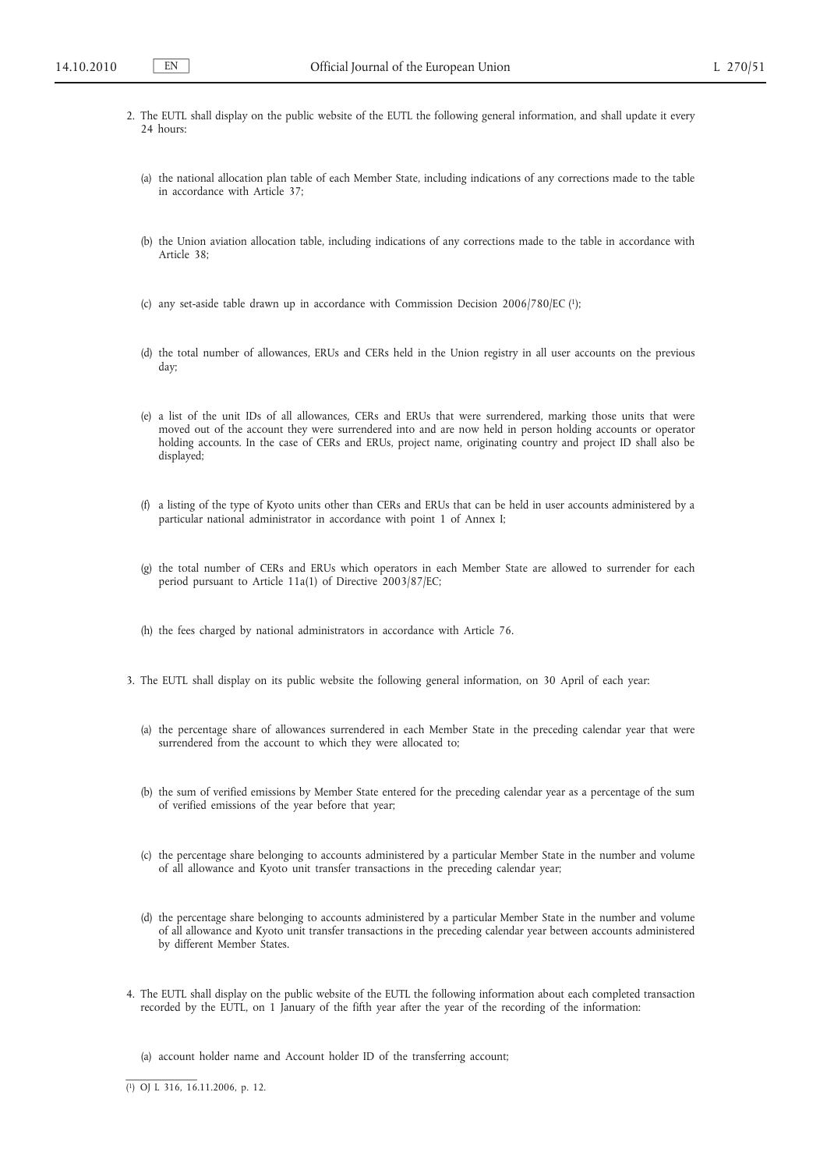- 2. The EUTL shall display on the public website of the EUTL the following general information, and shall update it every 24 hours:
	- (a) the national allocation plan table of each Member State, including indications of any corrections made to the table in accordance with Article 37;
	- (b) the Union aviation allocation table, including indications of any corrections made to the table in accordance with Article 38;
	- (c) any set-aside table drawn up in accordance with Commission Decision 2006/780/EC (1);
	- (d) the total number of allowances, ERUs and CERs held in the Union registry in all user accounts on the previous day;
	- (e) a list of the unit IDs of all allowances, CERs and ERUs that were surrendered, marking those units that were moved out of the account they were surrendered into and are now held in person holding accounts or operator holding accounts. In the case of CERs and ERUs, project name, originating country and project ID shall also be displayed;
	- (f) a listing of the type of Kyoto units other than CERs and ERUs that can be held in user accounts administered by a particular national administrator in accordance with point 1 of Annex I;
	- (g) the total number of CERs and ERUs which operators in each Member State are allowed to surrender for each period pursuant to Article 11a(1) of Directive 2003/87/EC;
	- (h) the fees charged by national administrators in accordance with Article 76.
- 3. The EUTL shall display on its public website the following general information, on 30 April of each year:
	- (a) the percentage share of allowances surrendered in each Member State in the preceding calendar year that were surrendered from the account to which they were allocated to;
	- (b) the sum of verified emissions by Member State entered for the preceding calendar year as a percentage of the sum of verified emissions of the year before that year;
	- (c) the percentage share belonging to accounts administered by a particular Member State in the number and volume of all allowance and Kyoto unit transfer transactions in the preceding calendar year;
	- (d) the percentage share belonging to accounts administered by a particular Member State in the number and volume of all allowance and Kyoto unit transfer transactions in the preceding calendar year between accounts administered by different Member States.
- 4. The EUTL shall display on the public website of the EUTL the following information about each completed transaction recorded by the EUTL, on 1 January of the fifth year after the year of the recording of the information:
	- (a) account holder name and Account holder ID of the transferring account;

( 1) OJ L 316, 16.11.2006, p. 12.